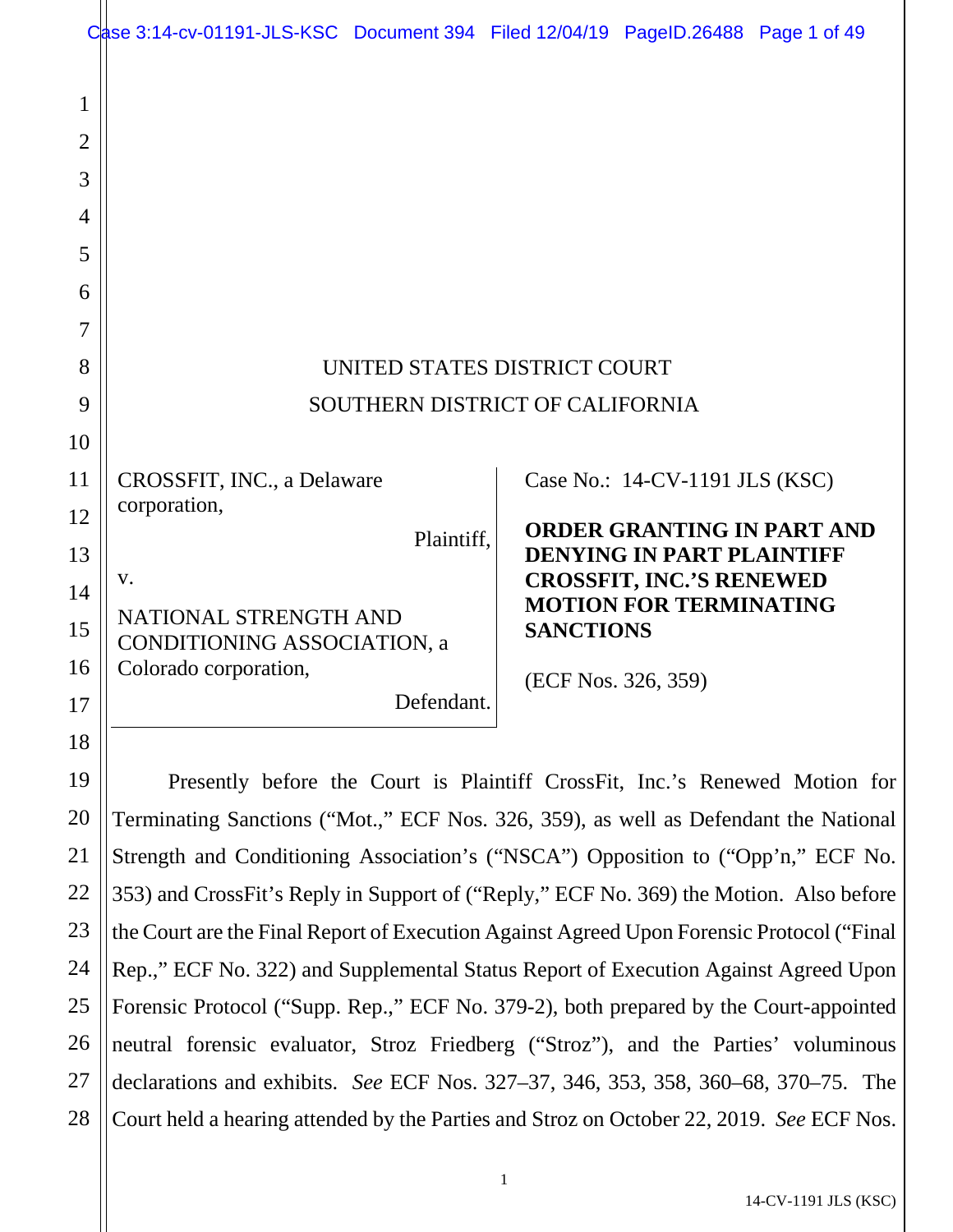|                     | Case 3:14-cv-01191-JLS-KSC Document 394 Filed 12/04/19 PageID.26488 Page 1 of 49          |                                                                                                             |                                  |                                   |  |
|---------------------|-------------------------------------------------------------------------------------------|-------------------------------------------------------------------------------------------------------------|----------------------------------|-----------------------------------|--|
| 1<br>$\overline{2}$ |                                                                                           |                                                                                                             |                                  |                                   |  |
| 3                   |                                                                                           |                                                                                                             |                                  |                                   |  |
| 4                   |                                                                                           |                                                                                                             |                                  |                                   |  |
| 5                   |                                                                                           |                                                                                                             |                                  |                                   |  |
| 6                   |                                                                                           |                                                                                                             |                                  |                                   |  |
| 7                   |                                                                                           |                                                                                                             |                                  |                                   |  |
| 8                   | UNITED STATES DISTRICT COURT                                                              |                                                                                                             |                                  |                                   |  |
| 9                   | SOUTHERN DISTRICT OF CALIFORNIA                                                           |                                                                                                             |                                  |                                   |  |
| 10                  |                                                                                           |                                                                                                             |                                  |                                   |  |
| 11                  | CROSSFIT, INC., a Delaware                                                                |                                                                                                             | Case No.: 14-CV-1191 JLS (KSC)   |                                   |  |
| 12                  | corporation,                                                                              |                                                                                                             |                                  | <b>ORDER GRANTING IN PART AND</b> |  |
| 13                  | Plaintiff,                                                                                |                                                                                                             | <b>DENYING IN PART PLAINTIFF</b> |                                   |  |
| 14                  | V.                                                                                        | <b>CROSSFIT, INC.'S RENEWED</b><br><b>MOTION FOR TERMINATING</b><br><b>SANCTIONS</b><br>(ECF Nos. 326, 359) |                                  |                                   |  |
| 15                  | NATIONAL STRENGTH AND<br>CONDITIONING ASSOCIATION, a                                      |                                                                                                             |                                  |                                   |  |
| 16                  | Colorado corporation,                                                                     |                                                                                                             |                                  |                                   |  |
| 17                  | Defendant.                                                                                |                                                                                                             |                                  |                                   |  |
| 18                  |                                                                                           |                                                                                                             |                                  |                                   |  |
| 19                  | Presently before the Court is Plaintiff CrossFit, Inc.'s Renewed Motion for               |                                                                                                             |                                  |                                   |  |
| 20                  | Terminating Sanctions ("Mot.," ECF Nos. 326, 359), as well as Defendant the National      |                                                                                                             |                                  |                                   |  |
| 21                  | Strength and Conditioning Association's ("NSCA") Opposition to ("Opp'n," ECF No.          |                                                                                                             |                                  |                                   |  |
| 22                  | 353) and CrossFit's Reply in Support of ("Reply," ECF No. 369) the Motion. Also before    |                                                                                                             |                                  |                                   |  |
| 23                  | the Court are the Final Report of Execution Against Agreed Upon Forensic Protocol ("Final |                                                                                                             |                                  |                                   |  |
| 24                  | Rep.," ECF No. 322) and Supplemental Status Report of Execution Against Agreed Upon       |                                                                                                             |                                  |                                   |  |
| 25                  | Forensic Protocol ("Supp. Rep.," ECF No. 379-2), both prepared by the Court-appointed     |                                                                                                             |                                  |                                   |  |
| 26                  | neutral forensic evaluator, Stroz Friedberg ("Stroz"), and the Parties' voluminous        |                                                                                                             |                                  |                                   |  |
| 27                  | declarations and exhibits. See ECF Nos. 327–37, 346, 353, 358, 360–68, 370–75. The        |                                                                                                             |                                  |                                   |  |
| 28                  | Court held a hearing attended by the Parties and Stroz on October 22, 2019. See ECF Nos.  |                                                                                                             |                                  |                                   |  |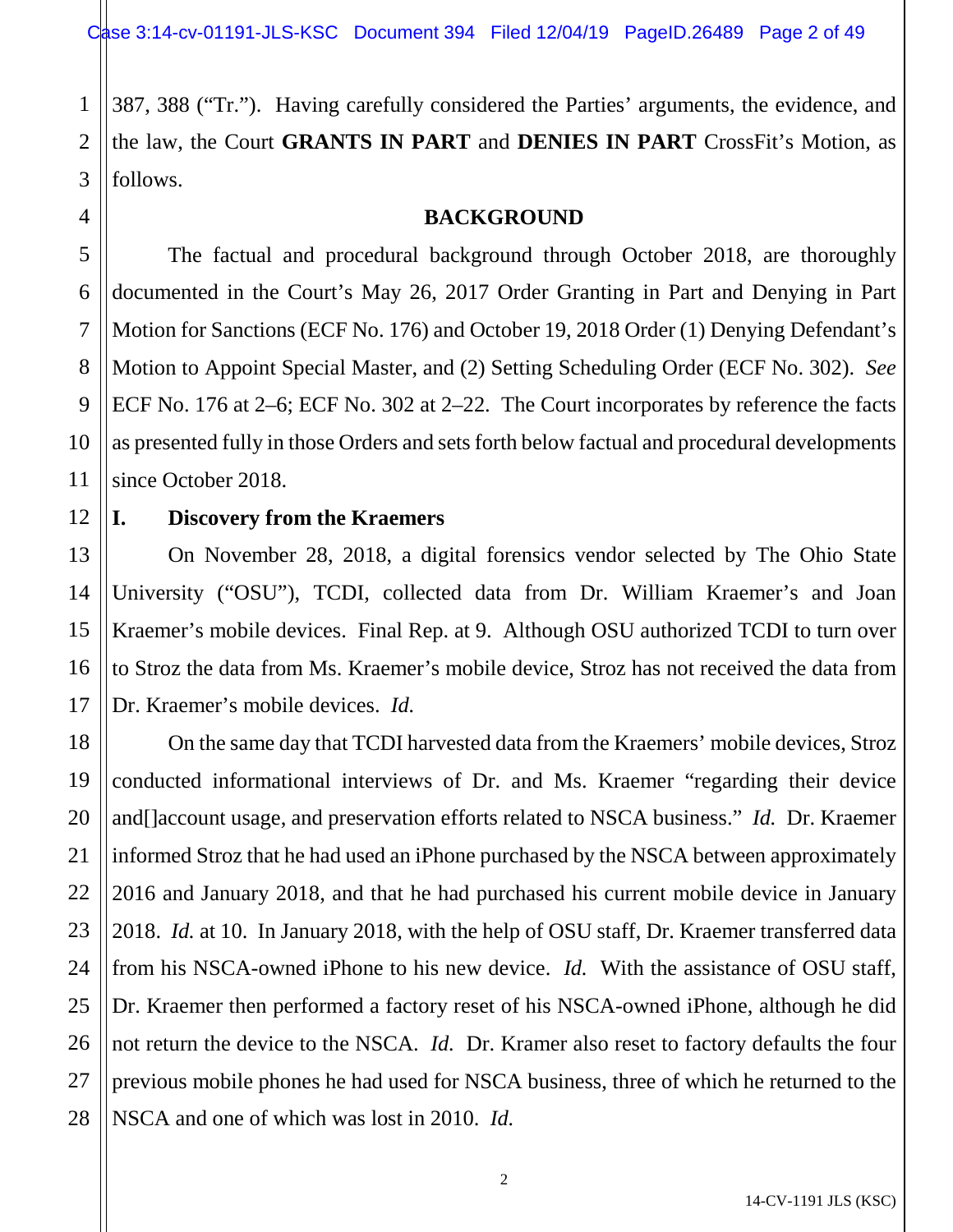1 2 3 387, 388 ("Tr."). Having carefully considered the Parties' arguments, the evidence, and the law, the Court **GRANTS IN PART** and **DENIES IN PART** CrossFit's Motion, as follows.

## **BACKGROUND**

5 6 8 9 10 The factual and procedural background through October 2018, are thoroughly documented in the Court's May 26, 2017 Order Granting in Part and Denying in Part Motion for Sanctions (ECF No. 176) and October 19, 2018 Order (1) Denying Defendant's Motion to Appoint Special Master, and (2) Setting Scheduling Order (ECF No. 302). *See*  ECF No. 176 at 2–6; ECF No. 302 at 2–22. The Court incorporates by reference the facts as presented fully in those Orders and sets forth below factual and procedural developments since October 2018.

### 12 **I. Discovery from the Kraemers**

4

7

11

13

15

16

17

14 On November 28, 2018, a digital forensics vendor selected by The Ohio State University ("OSU"), TCDI, collected data from Dr. William Kraemer's and Joan Kraemer's mobile devices. Final Rep. at 9. Although OSU authorized TCDI to turn over to Stroz the data from Ms. Kraemer's mobile device, Stroz has not received the data from Dr. Kraemer's mobile devices. *Id.*

18 19 20 21 22 23 24 25 26 27 28 On the same day that TCDI harvested data from the Kraemers' mobile devices, Stroz conducted informational interviews of Dr. and Ms. Kraemer "regarding their device and[]account usage, and preservation efforts related to NSCA business." *Id.* Dr. Kraemer informed Stroz that he had used an iPhone purchased by the NSCA between approximately 2016 and January 2018, and that he had purchased his current mobile device in January 2018. *Id.* at 10. In January 2018, with the help of OSU staff, Dr. Kraemer transferred data from his NSCA-owned iPhone to his new device. *Id.* With the assistance of OSU staff, Dr. Kraemer then performed a factory reset of his NSCA-owned iPhone, although he did not return the device to the NSCA. *Id.* Dr. Kramer also reset to factory defaults the four previous mobile phones he had used for NSCA business, three of which he returned to the NSCA and one of which was lost in 2010. *Id.*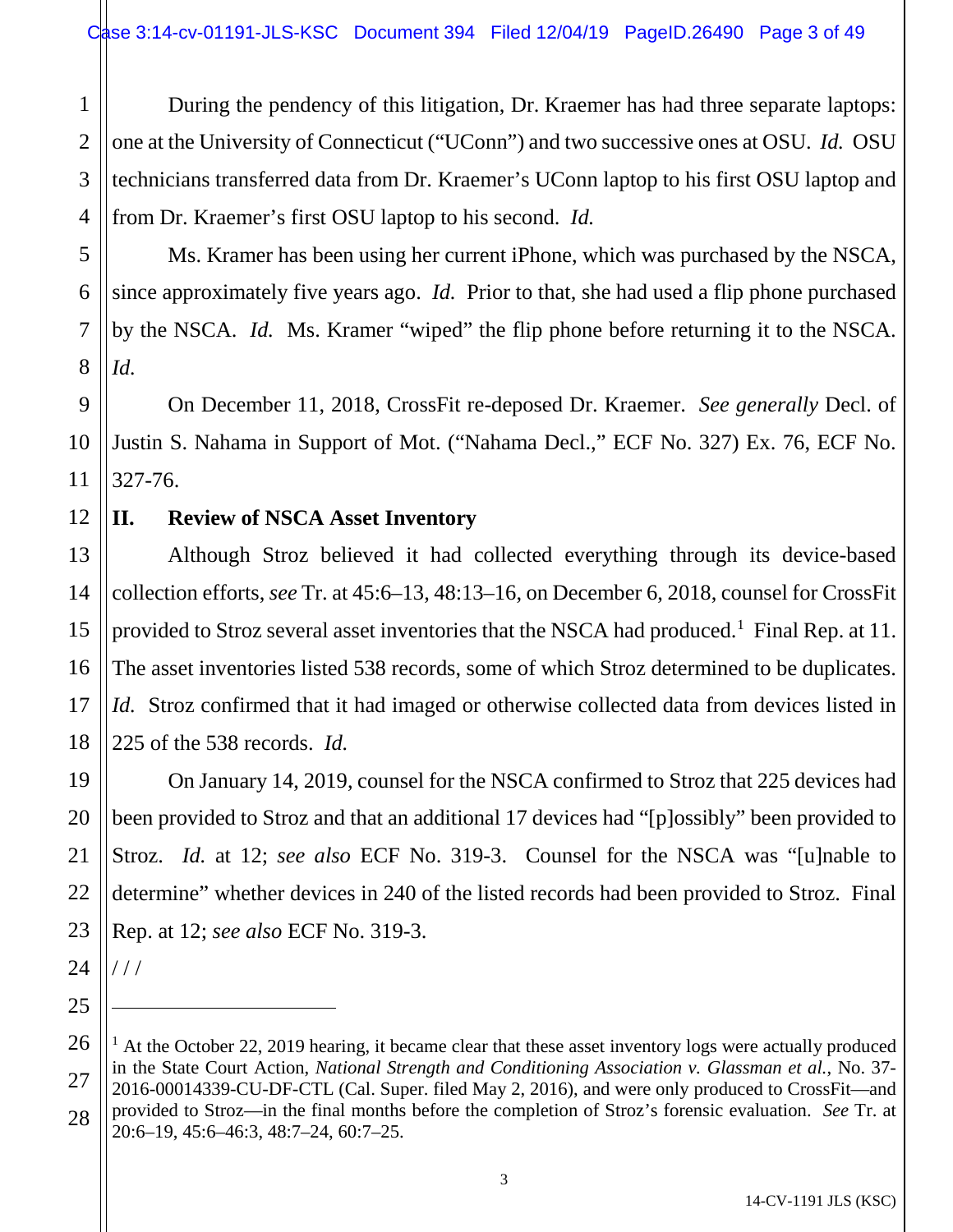1 2 3 4 During the pendency of this litigation, Dr. Kraemer has had three separate laptops: one at the University of Connecticut ("UConn") and two successive ones at OSU. *Id.* OSU technicians transferred data from Dr. Kraemer's UConn laptop to his first OSU laptop and from Dr. Kraemer's first OSU laptop to his second. *Id.*

6 Ms. Kramer has been using her current iPhone, which was purchased by the NSCA, since approximately five years ago. *Id.* Prior to that, she had used a flip phone purchased by the NSCA. *Id.* Ms. Kramer "wiped" the flip phone before returning it to the NSCA. *Id.*

On December 11, 2018, CrossFit re-deposed Dr. Kraemer. *See generally* Decl. of Justin S. Nahama in Support of Mot. ("Nahama Decl.," ECF No. 327) Ex. 76, ECF No. 327-76.

## 12 **II. Review of NSCA Asset Inventory**

13 14 15 16 17 18 Although Stroz believed it had collected everything through its device-based collection efforts, *see* Tr. at 45:6–13, 48:13–16, on December 6, 2018, counsel for CrossFit provided to Stroz several asset inventories that the NSCA had produced.<sup>[1](#page-2-0)</sup> Final Rep. at 11. The asset inventories listed 538 records, some of which Stroz determined to be duplicates. *Id.* Stroz confirmed that it had imaged or otherwise collected data from devices listed in 225 of the 538 records. *Id.*

On January 14, 2019, counsel for the NSCA confirmed to Stroz that 225 devices had been provided to Stroz and that an additional 17 devices had "[p]ossibly" been provided to Stroz. *Id.* at 12; *see also* ECF No. 319-3. Counsel for the NSCA was "[u]nable to determine" whether devices in 240 of the listed records had been provided to Stroz. Final Rep. at 12; *see also* ECF No. 319-3.

24 / / /

 $\overline{a}$ 

19

20

21

22

23

25

5

7

8

9

10

<span id="page-2-0"></span><sup>26</sup> 27 28  $1$  At the October 22, 2019 hearing, it became clear that these asset inventory logs were actually produced in the State Court Action, *National Strength and Conditioning Association v. Glassman et al.*, No. 37- 2016-00014339-CU-DF-CTL (Cal. Super. filed May 2, 2016), and were only produced to CrossFit—and provided to Stroz—in the final months before the completion of Stroz's forensic evaluation. *See* Tr. at 20:6–19, 45:6–46:3, 48:7–24, 60:7–25.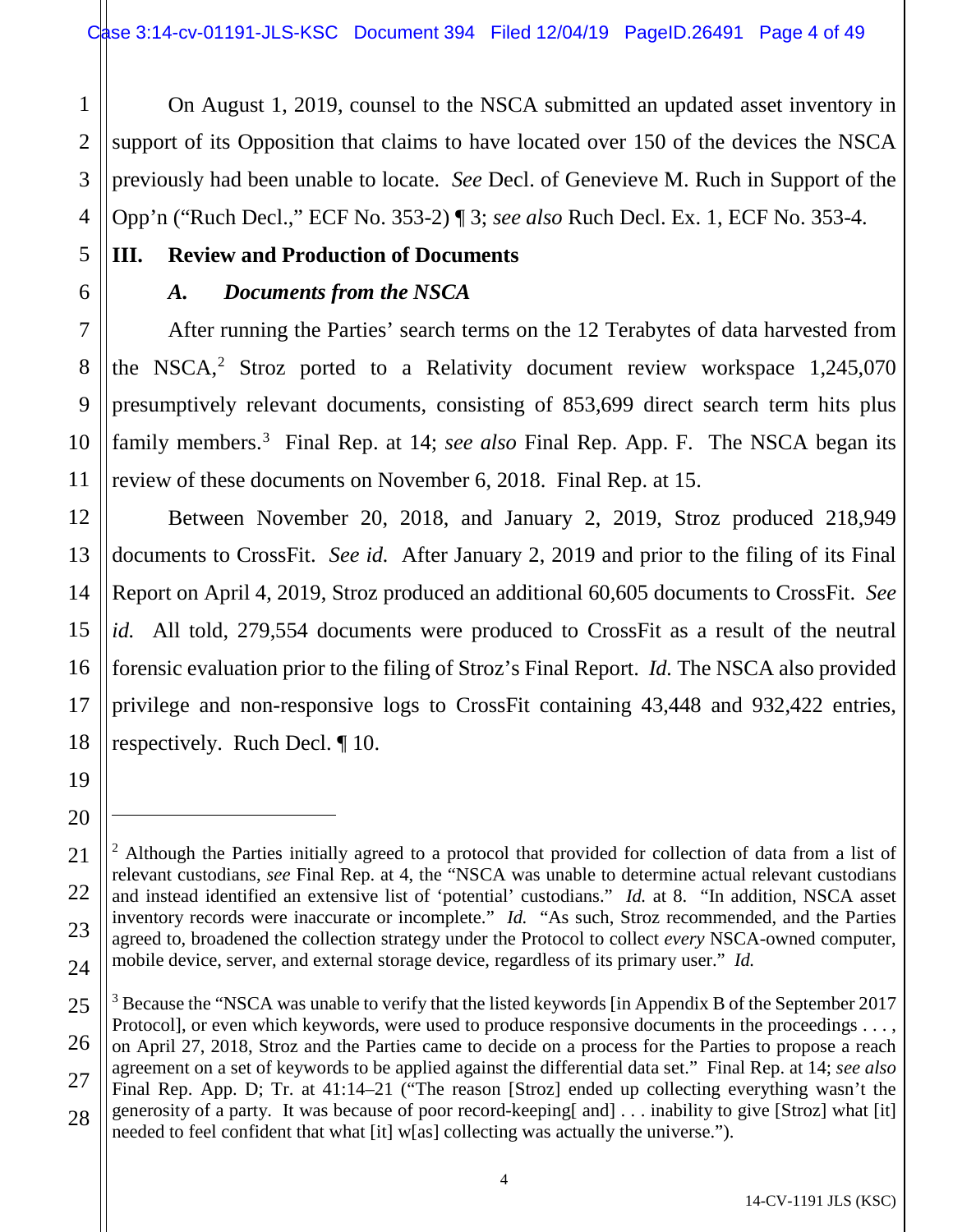1 2 On August 1, 2019, counsel to the NSCA submitted an updated asset inventory in support of its Opposition that claims to have located over 150 of the devices the NSCA previously had been unable to locate. *See* Decl. of Genevieve M. Ruch in Support of the Opp'n ("Ruch Decl.," ECF No. 353-2) ¶ 3; *see also* Ruch Decl. Ex. 1, ECF No. 353-4.

# **III. Review and Production of Documents**

# *A. Documents from the NSCA*

After running the Parties' search terms on the 12 Terabytes of data harvested from the NSCA, $2$  Stroz ported to a Relativity document review workspace 1,245,070 presumptively relevant documents, consisting of 853,699 direct search term hits plus family members.<sup>[3](#page-3-1)</sup> Final Rep. at 14; *see also* Final Rep. App. F. The NSCA began its review of these documents on November 6, 2018. Final Rep. at 15.

Between November 20, 2018, and January 2, 2019, Stroz produced 218,949 documents to CrossFit. *See id.* After January 2, 2019 and prior to the filing of its Final Report on April 4, 2019, Stroz produced an additional 60,605 documents to CrossFit. *See id.* All told, 279,554 documents were produced to CrossFit as a result of the neutral forensic evaluation prior to the filing of Stroz's Final Report. *Id.* The NSCA also provided privilege and non-responsive logs to CrossFit containing 43,448 and 932,422 entries, respectively. Ruch Decl. ¶ 10.

 $\overline{a}$ 

<span id="page-3-0"></span><sup>&</sup>lt;sup>2</sup> Although the Parties initially agreed to a protocol that provided for collection of data from a list of relevant custodians, *see* Final Rep. at 4, the "NSCA was unable to determine actual relevant custodians and instead identified an extensive list of 'potential' custodians." *Id.* at 8. "In addition, NSCA asset inventory records were inaccurate or incomplete." *Id.* "As such, Stroz recommended, and the Parties agreed to, broadened the collection strategy under the Protocol to collect *every* NSCA-owned computer, mobile device, server, and external storage device, regardless of its primary user." *Id.*

<span id="page-3-1"></span><sup>&</sup>lt;sup>3</sup> Because the "NSCA was unable to verify that the listed keywords [in Appendix B of the September 2017 Protocol], or even which keywords, were used to produce responsive documents in the proceedings . . . , on April 27, 2018, Stroz and the Parties came to decide on a process for the Parties to propose a reach agreement on a set of keywords to be applied against the differential data set." Final Rep. at 14; *see also*  Final Rep. App. D; Tr. at 41:14–21 ("The reason [Stroz] ended up collecting everything wasn't the generosity of a party. It was because of poor record-keeping[ and] . . . inability to give [Stroz] what [it] needed to feel confident that what [it] w[as] collecting was actually the universe.").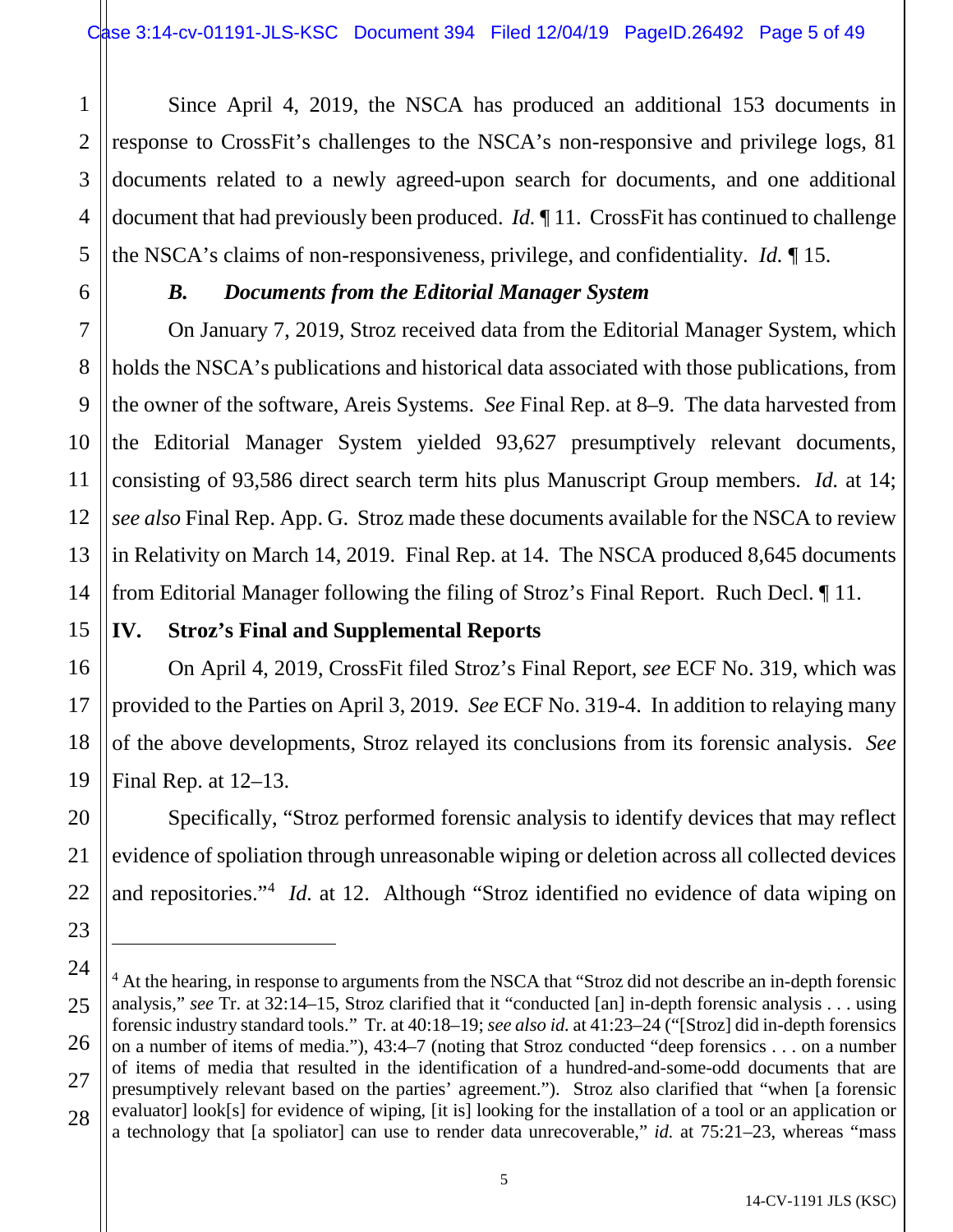1 2 3 4 5 Since April 4, 2019, the NSCA has produced an additional 153 documents in response to CrossFit's challenges to the NSCA's non-responsive and privilege logs, 81 documents related to a newly agreed-upon search for documents, and one additional document that had previously been produced. *Id.* ¶ 11. CrossFit has continued to challenge the NSCA's claims of non-responsiveness, privilege, and confidentiality. *Id.* ¶ 15.

6

7

8

9

10

11

12

13

14

15

16

17

18

19

20

21

22

23

 $\overline{a}$ 

24

27

28

# *B. Documents from the Editorial Manager System*

On January 7, 2019, Stroz received data from the Editorial Manager System, which holds the NSCA's publications and historical data associated with those publications, from the owner of the software, Areis Systems. *See* Final Rep. at 8–9. The data harvested from the Editorial Manager System yielded 93,627 presumptively relevant documents, consisting of 93,586 direct search term hits plus Manuscript Group members. *Id.* at 14; *see also* Final Rep. App. G. Stroz made these documents available for the NSCA to review in Relativity on March 14, 2019. Final Rep. at 14. The NSCA produced 8,645 documents from Editorial Manager following the filing of Stroz's Final Report. Ruch Decl. ¶ 11.

# **IV. Stroz's Final and Supplemental Reports**

On April 4, 2019, CrossFit filed Stroz's Final Report, *see* ECF No. 319, which was provided to the Parties on April 3, 2019. *See* ECF No. 319-4. In addition to relaying many of the above developments, Stroz relayed its conclusions from its forensic analysis. *See*  Final Rep. at 12–13.

Specifically, "Stroz performed forensic analysis to identify devices that may reflect evidence of spoliation through unreasonable wiping or deletion across all collected devices and repositories."<sup>[4](#page-4-0)</sup> *Id.* at 12. Although "Stroz identified no evidence of data wiping on

<span id="page-4-0"></span><sup>25</sup> 26 <sup>4</sup> At the hearing, in response to arguments from the NSCA that "Stroz did not describe an in-depth forensic analysis," *see* Tr. at 32:14–15, Stroz clarified that it "conducted [an] in-depth forensic analysis . . . using forensic industry standard tools." Tr. at 40:18–19; *see also id.* at 41:23–24 ("[Stroz] did in-depth forensics on a number of items of media."), 43:4–7 (noting that Stroz conducted "deep forensics . . . on a number of items of media that resulted in the identification of a hundred-and-some-odd documents that are presumptively relevant based on the parties' agreement."). Stroz also clarified that "when [a forensic evaluator] look[s] for evidence of wiping, [it is] looking for the installation of a tool or an application or a technology that [a spoliator] can use to render data unrecoverable," *id.* at 75:21–23, whereas "mass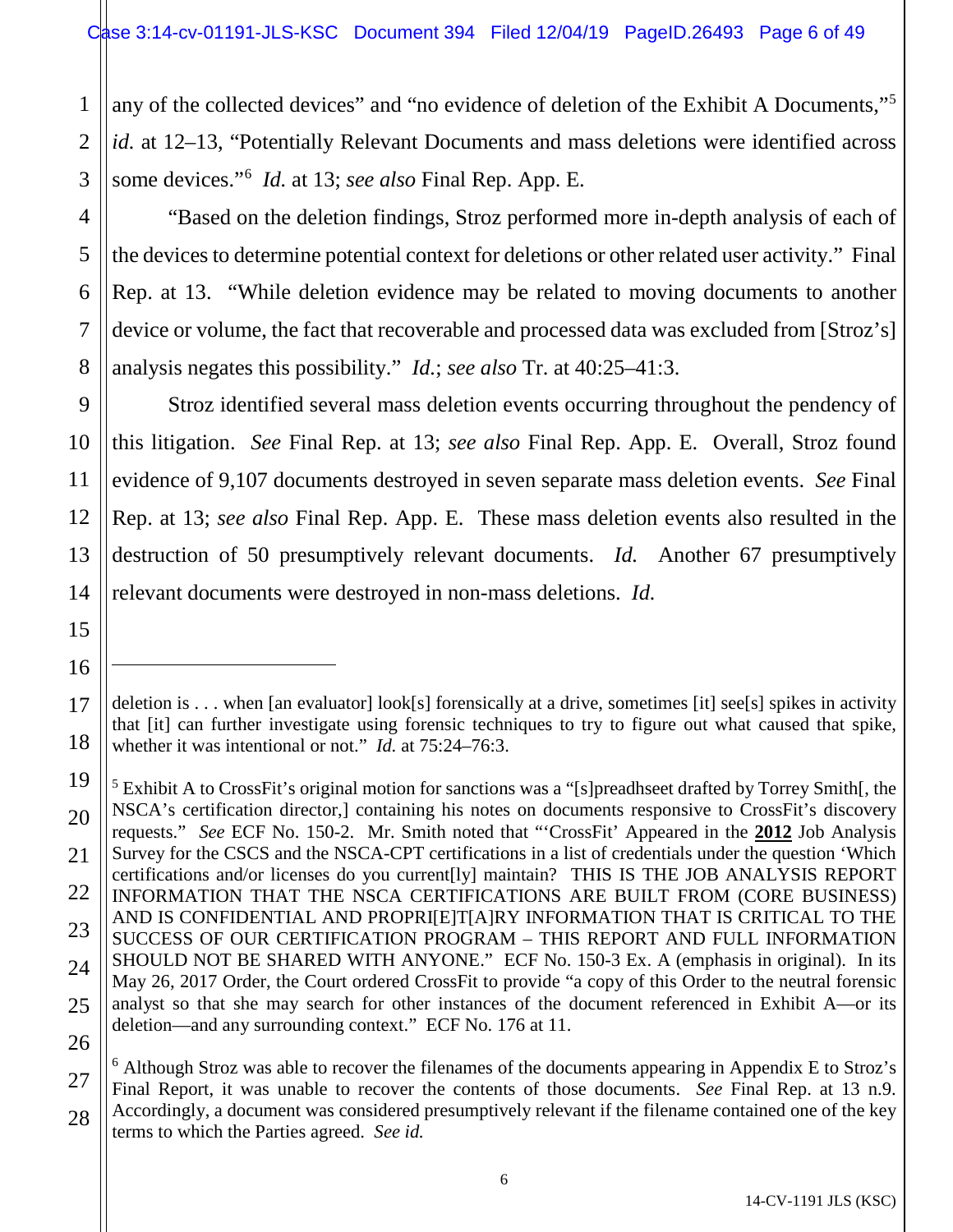1 2 3 any of the collected devices" and "no evidence of deletion of the Exhibit A Documents,["5](#page-5-0) *id.* at 12–13, "Potentially Relevant Documents and mass deletions were identified across some devices."[6](#page-5-1) *Id.* at 13; *see also* Final Rep. App. E.

4 "Based on the deletion findings, Stroz performed more in-depth analysis of each of the devices to determine potential context for deletions or other related user activity." Final Rep. at 13. "While deletion evidence may be related to moving documents to another device or volume, the fact that recoverable and processed data was excluded from [Stroz's] analysis negates this possibility." *Id.*; *see also* Tr. at 40:25–41:3.

5

6

7

8

9

10

11

12

13

14

15

16

 $\overline{a}$ 

17

Stroz identified several mass deletion events occurring throughout the pendency of this litigation. *See* Final Rep. at 13; *see also* Final Rep. App. E. Overall, Stroz found evidence of 9,107 documents destroyed in seven separate mass deletion events. *See* Final Rep. at 13; *see also* Final Rep. App. E. These mass deletion events also resulted in the destruction of 50 presumptively relevant documents. *Id.* Another 67 presumptively relevant documents were destroyed in non-mass deletions. *Id.*

<sup>18</sup> deletion is . . . when [an evaluator] look[s] forensically at a drive, sometimes [it] see[s] spikes in activity that [it] can further investigate using forensic techniques to try to figure out what caused that spike, whether it was intentional or not." *Id.* at 75:24–76:3.

<span id="page-5-0"></span><sup>19</sup> 20 21 22 23 24 25 26 <sup>5</sup> Exhibit A to CrossFit's original motion for sanctions was a "[s]preadhseet drafted by Torrey Smith[, the NSCA's certification director,] containing his notes on documents responsive to CrossFit's discovery requests." *See* ECF No. 150-2. Mr. Smith noted that "'CrossFit' Appeared in the **2012** Job Analysis Survey for the CSCS and the NSCA-CPT certifications in a list of credentials under the question 'Which certifications and/or licenses do you current[ly] maintain? THIS IS THE JOB ANALYSIS REPORT INFORMATION THAT THE NSCA CERTIFICATIONS ARE BUILT FROM (CORE BUSINESS) AND IS CONFIDENTIAL AND PROPRI[E]T[A]RY INFORMATION THAT IS CRITICAL TO THE SUCCESS OF OUR CERTIFICATION PROGRAM – THIS REPORT AND FULL INFORMATION SHOULD NOT BE SHARED WITH ANYONE." ECF No. 150-3 Ex. A (emphasis in original). In its May 26, 2017 Order, the Court ordered CrossFit to provide "a copy of this Order to the neutral forensic analyst so that she may search for other instances of the document referenced in Exhibit A—or its deletion—and any surrounding context." ECF No. 176 at 11.

<span id="page-5-1"></span><sup>27</sup> 28  $6$  Although Stroz was able to recover the filenames of the documents appearing in Appendix E to Stroz's Final Report, it was unable to recover the contents of those documents. *See* Final Rep. at 13 n.9. Accordingly, a document was considered presumptively relevant if the filename contained one of the key terms to which the Parties agreed. *See id.*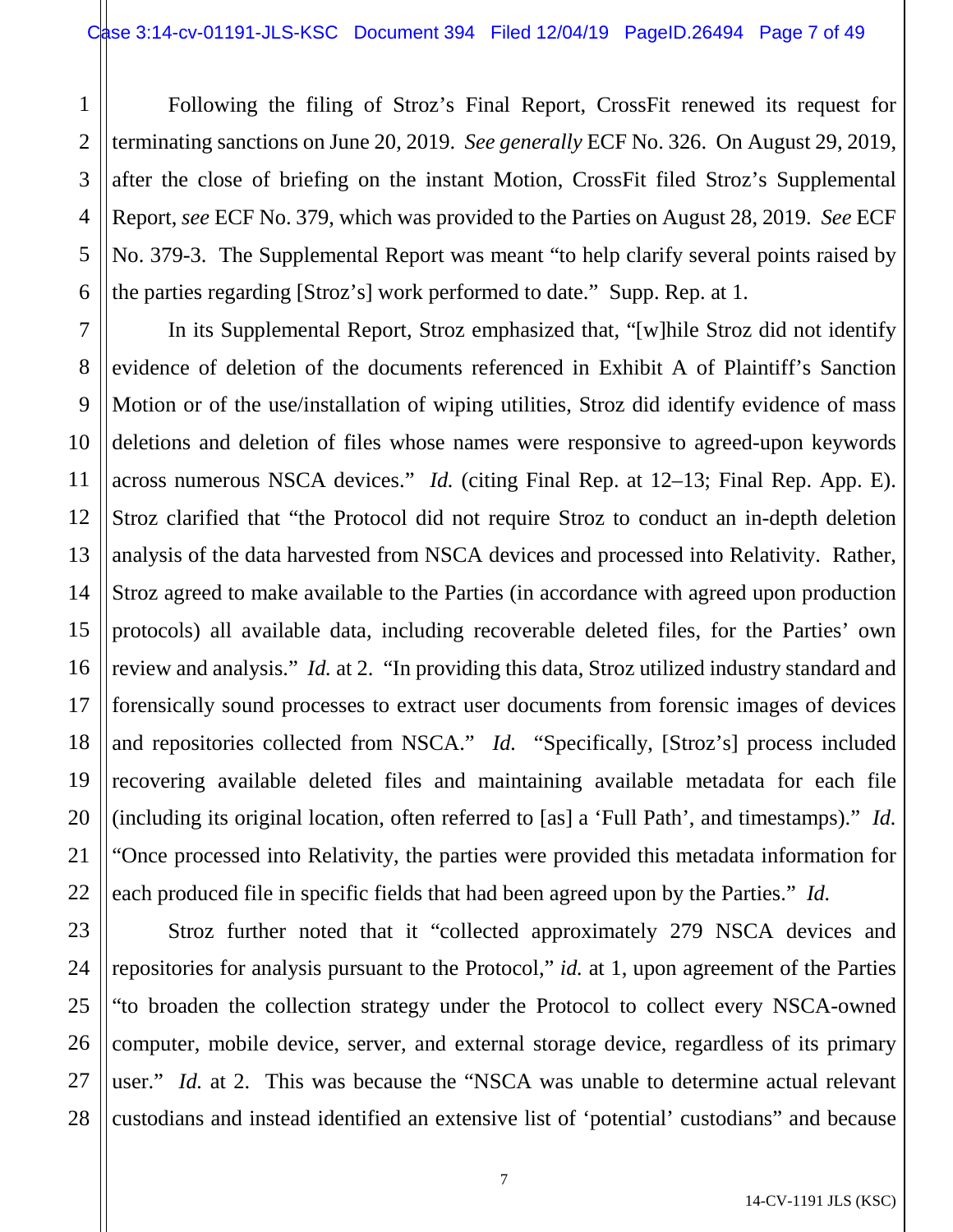1 2 3 4 5 6 Following the filing of Stroz's Final Report, CrossFit renewed its request for terminating sanctions on June 20, 2019. *See generally* ECF No. 326. On August 29, 2019, after the close of briefing on the instant Motion, CrossFit filed Stroz's Supplemental Report, *see* ECF No. 379, which was provided to the Parties on August 28, 2019. *See* ECF No. 379-3. The Supplemental Report was meant "to help clarify several points raised by the parties regarding [Stroz's] work performed to date." Supp. Rep. at 1.

7 8 9 10 12 13 14 15 16 17 18 19 20 22 In its Supplemental Report, Stroz emphasized that, "[w]hile Stroz did not identify evidence of deletion of the documents referenced in Exhibit A of Plaintiff's Sanction Motion or of the use/installation of wiping utilities, Stroz did identify evidence of mass deletions and deletion of files whose names were responsive to agreed-upon keywords across numerous NSCA devices." *Id.* (citing Final Rep. at 12–13; Final Rep. App. E). Stroz clarified that "the Protocol did not require Stroz to conduct an in-depth deletion analysis of the data harvested from NSCA devices and processed into Relativity. Rather, Stroz agreed to make available to the Parties (in accordance with agreed upon production protocols) all available data, including recoverable deleted files, for the Parties' own review and analysis." *Id.* at 2. "In providing this data, Stroz utilized industry standard and forensically sound processes to extract user documents from forensic images of devices and repositories collected from NSCA." *Id.* "Specifically, [Stroz's] process included recovering available deleted files and maintaining available metadata for each file (including its original location, often referred to [as] a 'Full Path', and timestamps)." *Id.* "Once processed into Relativity, the parties were provided this metadata information for each produced file in specific fields that had been agreed upon by the Parties." *Id.*

11

21

23

27

24 25 26 28 Stroz further noted that it "collected approximately 279 NSCA devices and repositories for analysis pursuant to the Protocol," *id.* at 1, upon agreement of the Parties "to broaden the collection strategy under the Protocol to collect every NSCA-owned computer, mobile device, server, and external storage device, regardless of its primary user." *Id.* at 2. This was because the "NSCA was unable to determine actual relevant custodians and instead identified an extensive list of 'potential' custodians" and because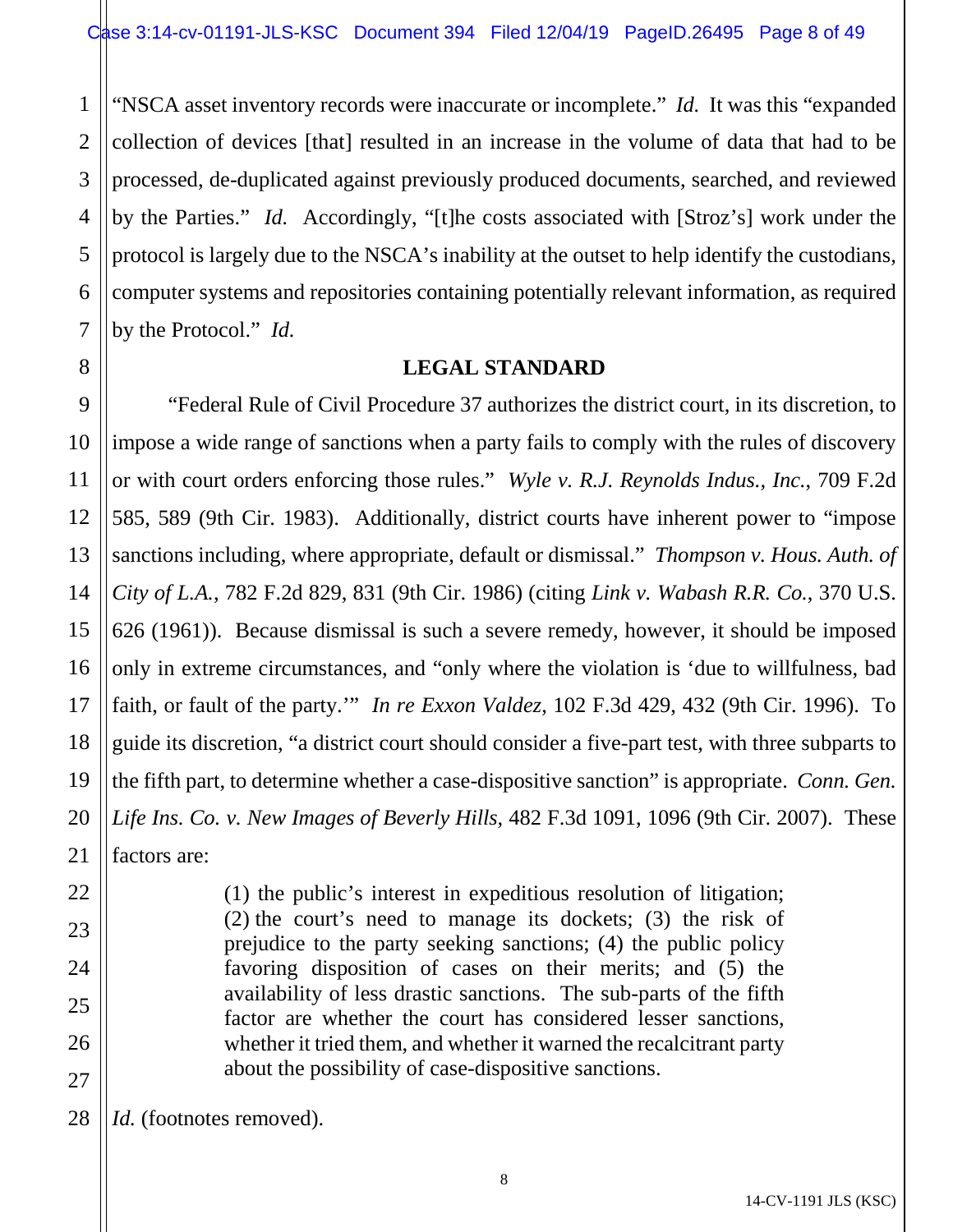1 2 3 4 5 6 7 "NSCA asset inventory records were inaccurate or incomplete." *Id.* It was this "expanded collection of devices [that] resulted in an increase in the volume of data that had to be processed, de-duplicated against previously produced documents, searched, and reviewed by the Parties." *Id.* Accordingly, "[t]he costs associated with [Stroz's] work under the protocol is largely due to the NSCA's inability at the outset to help identify the custodians, computer systems and repositories containing potentially relevant information, as required by the Protocol." *Id.*

# **LEGAL STANDARD**

9 10 11 12 13 14 15 16 17 18 19 20 21 "Federal Rule of Civil Procedure 37 authorizes the district court, in its discretion, to impose a wide range of sanctions when a party fails to comply with the rules of discovery or with court orders enforcing those rules." *Wyle v. R.J. Reynolds Indus., Inc.*, 709 F.2d 585, 589 (9th Cir. 1983). Additionally, district courts have inherent power to "impose sanctions including, where appropriate, default or dismissal." *Thompson v. Hous. Auth. of City of L.A.*, 782 F.2d 829, 831 (9th Cir. 1986) (citing *Link v. Wabash R.R. Co.*, 370 U.S. 626 (1961)). Because dismissal is such a severe remedy, however, it should be imposed only in extreme circumstances, and "only where the violation is 'due to willfulness, bad faith, or fault of the party.'" *In re Exxon Valdez*, 102 F.3d 429, 432 (9th Cir. 1996).To guide its discretion, "a district court should consider a five-part test, with three subparts to the fifth part, to determine whether a case-dispositive sanction" is appropriate. *Conn. Gen. Life Ins. Co. v. New Images of Beverly Hills*, 482 F.3d 1091, 1096 (9th Cir. 2007). These factors are:

> (1) the public's interest in expeditious resolution of litigation; (2) the court's need to manage its dockets; (3) the risk of prejudice to the party seeking sanctions; (4) the public policy favoring disposition of cases on their merits; and (5) the availability of less drastic sanctions. The sub-parts of the fifth factor are whether the court has considered lesser sanctions, whether it tried them, and whether it warned the recalcitrant party about the possibility of case-dispositive sanctions.

28 *Id.* (footnotes removed).

8

22

23

24

25

26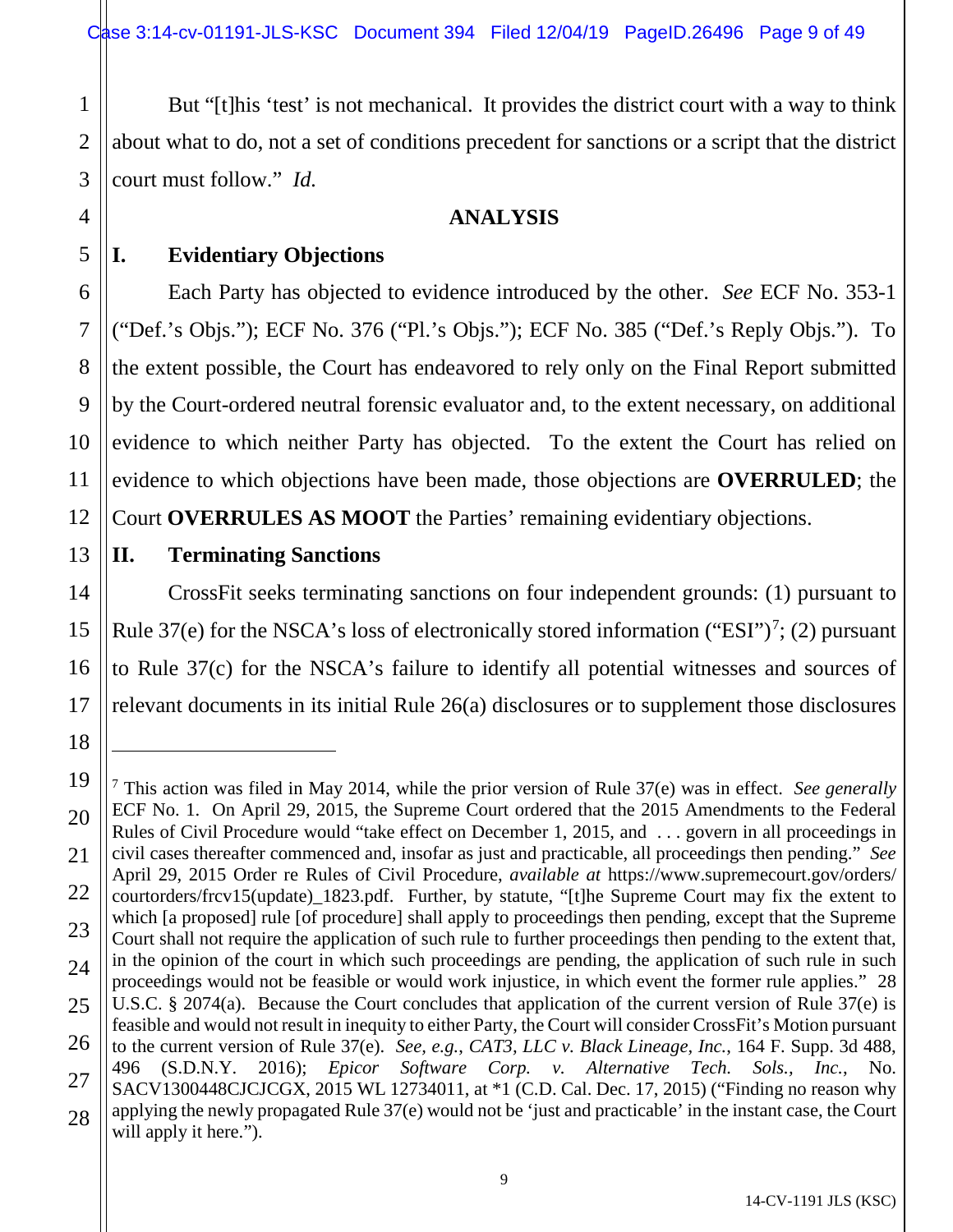But "[t]his 'test' is not mechanical. It provides the district court with a way to think about what to do, not a set of conditions precedent for sanctions or a script that the district court must follow." *Id.*

# **ANALYSIS**

1

2

**I. Evidentiary Objections**

Each Party has objected to evidence introduced by the other. *See* ECF No. 353-1 ("Def.'s Objs."); ECF No. 376 ("Pl.'s Objs."); ECF No. 385 ("Def.'s Reply Objs."). To the extent possible, the Court has endeavored to rely only on the Final Report submitted by the Court-ordered neutral forensic evaluator and, to the extent necessary, on additional evidence to which neither Party has objected. To the extent the Court has relied on evidence to which objections have been made, those objections are **OVERRULED**; the Court **OVERRULES AS MOOT** the Parties' remaining evidentiary objections.

# **II. Terminating Sanctions**

CrossFit seeks terminating sanctions on four independent grounds: (1) pursuant to Rule 3[7](#page-8-0)(e) for the NSCA's loss of electronically stored information ("ESI")<sup>7</sup>; (2) pursuant to Rule 37(c) for the NSCA's failure to identify all potential witnesses and sources of relevant documents in its initial Rule 26(a) disclosures or to supplement those disclosures

 $\overline{a}$ 

<span id="page-8-0"></span><sup>7</sup> This action was filed in May 2014, while the prior version of Rule 37(e) was in effect. *See generally*  ECF No. 1. On April 29, 2015, the Supreme Court ordered that the 2015 Amendments to the Federal Rules of Civil Procedure would "take effect on December 1, 2015, and . . . govern in all proceedings in civil cases thereafter commenced and, insofar as just and practicable, all proceedings then pending." *See*  April 29, 2015 Order re Rules of Civil Procedure, *available at* https://www.supremecourt.gov/orders/ courtorders/frcv15(update)\_1823.pdf. Further, by statute, "[t]he Supreme Court may fix the extent to which [a proposed] rule [of procedure] shall apply to proceedings then pending, except that the Supreme Court shall not require the application of such rule to further proceedings then pending to the extent that, in the opinion of the court in which such proceedings are pending, the application of such rule in such proceedings would not be feasible or would work injustice, in which event the former rule applies." 28 U.S.C. § 2074(a). Because the Court concludes that application of the current version of Rule 37(e) is feasible and would not result in inequity to either Party, the Court will consider CrossFit's Motion pursuant to the current version of Rule 37(e). *See, e.g.*, *CAT3, LLC v. Black Lineage, Inc.*, 164 F. Supp. 3d 488, 496 (S.D.N.Y. 2016); *Epicor Software Corp. v. Alternative Tech. Sols., Inc.*, No. SACV1300448CJCJCGX, 2015 WL 12734011, at \*1 (C.D. Cal. Dec. 17, 2015) ("Finding no reason why applying the newly propagated Rule 37(e) would not be 'just and practicable' in the instant case, the Court will apply it here.").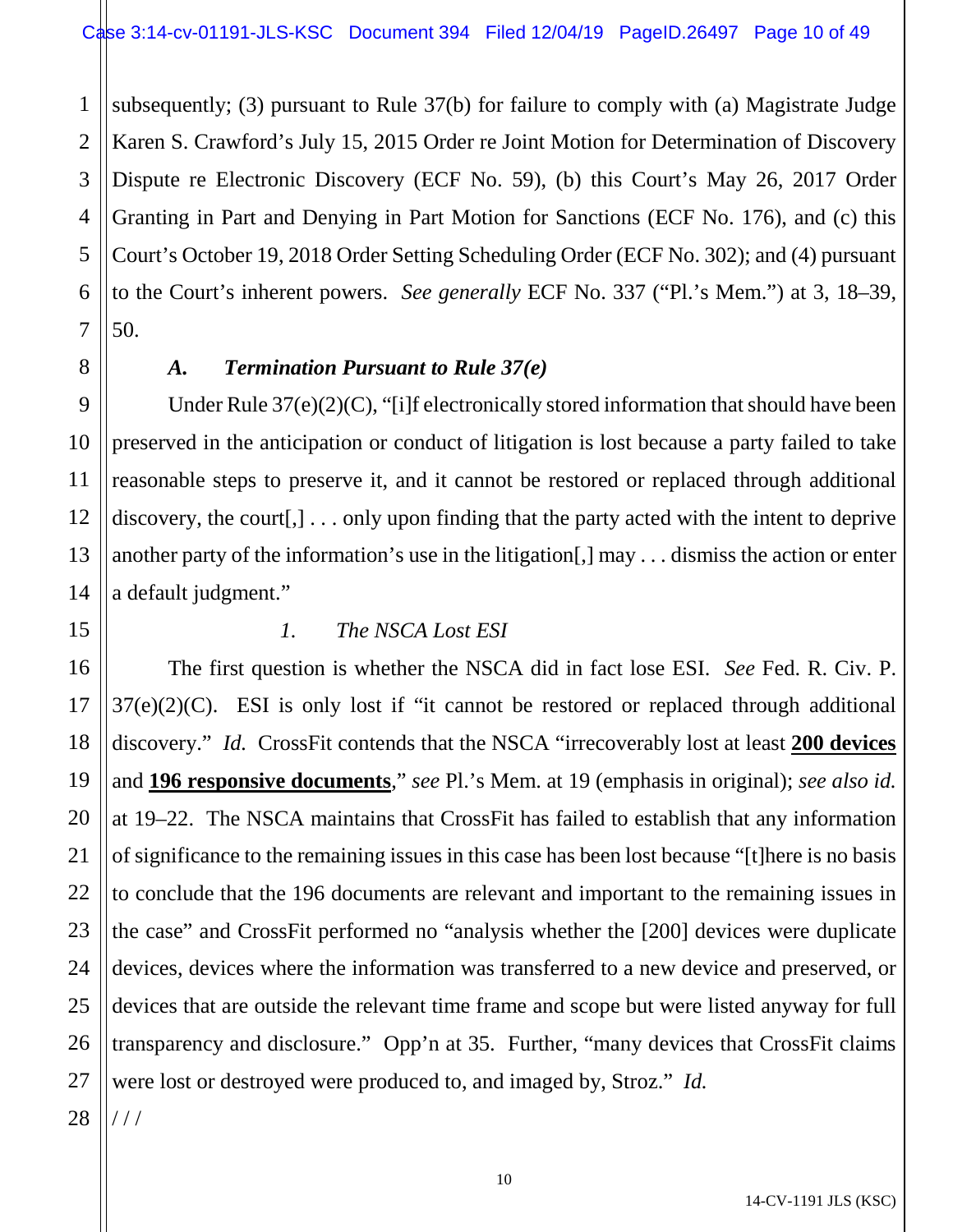1 2 3 4 5 6 7 subsequently; (3) pursuant to Rule 37(b) for failure to comply with (a) Magistrate Judge Karen S. Crawford's July 15, 2015 Order re Joint Motion for Determination of Discovery Dispute re Electronic Discovery (ECF No. 59), (b) this Court's May 26, 2017 Order Granting in Part and Denying in Part Motion for Sanctions (ECF No. 176), and (c) this Court's October 19, 2018 Order Setting Scheduling Order (ECF No. 302); and (4) pursuant to the Court's inherent powers. *See generally* ECF No. 337 ("Pl.'s Mem.") at 3, 18–39, 50.

8

9

10

11

12

13

14

15

16

17

18

19

20

21

22

23

24

25

26

27

# *A. Termination Pursuant to Rule 37(e)*

Under Rule  $37(e)(2)(C)$ , "[i]f electronically stored information that should have been preserved in the anticipation or conduct of litigation is lost because a party failed to take reasonable steps to preserve it, and it cannot be restored or replaced through additional discovery, the court[,] . . . only upon finding that the party acted with the intent to deprive another party of the information's use in the litigation[,] may . . . dismiss the action or enter a default judgment."

# *1. The NSCA Lost ESI*

The first question is whether the NSCA did in fact lose ESI. *See* Fed. R. Civ. P.  $37(e)(2)(C)$ . ESI is only lost if "it cannot be restored or replaced through additional discovery." *Id.* CrossFit contends that the NSCA "irrecoverably lost at least **200 devices** and **196 responsive documents**," *see* Pl.'s Mem. at 19 (emphasis in original); *see also id.* at 19–22. The NSCA maintains that CrossFit has failed to establish that any information of significance to the remaining issues in this case has been lost because "[t]here is no basis to conclude that the 196 documents are relevant and important to the remaining issues in the case" and CrossFit performed no "analysis whether the [200] devices were duplicate devices, devices where the information was transferred to a new device and preserved, or devices that are outside the relevant time frame and scope but were listed anyway for full transparency and disclosure." Opp'n at 35. Further, "many devices that CrossFit claims were lost or destroyed were produced to, and imaged by, Stroz." *Id.* 

28 / / /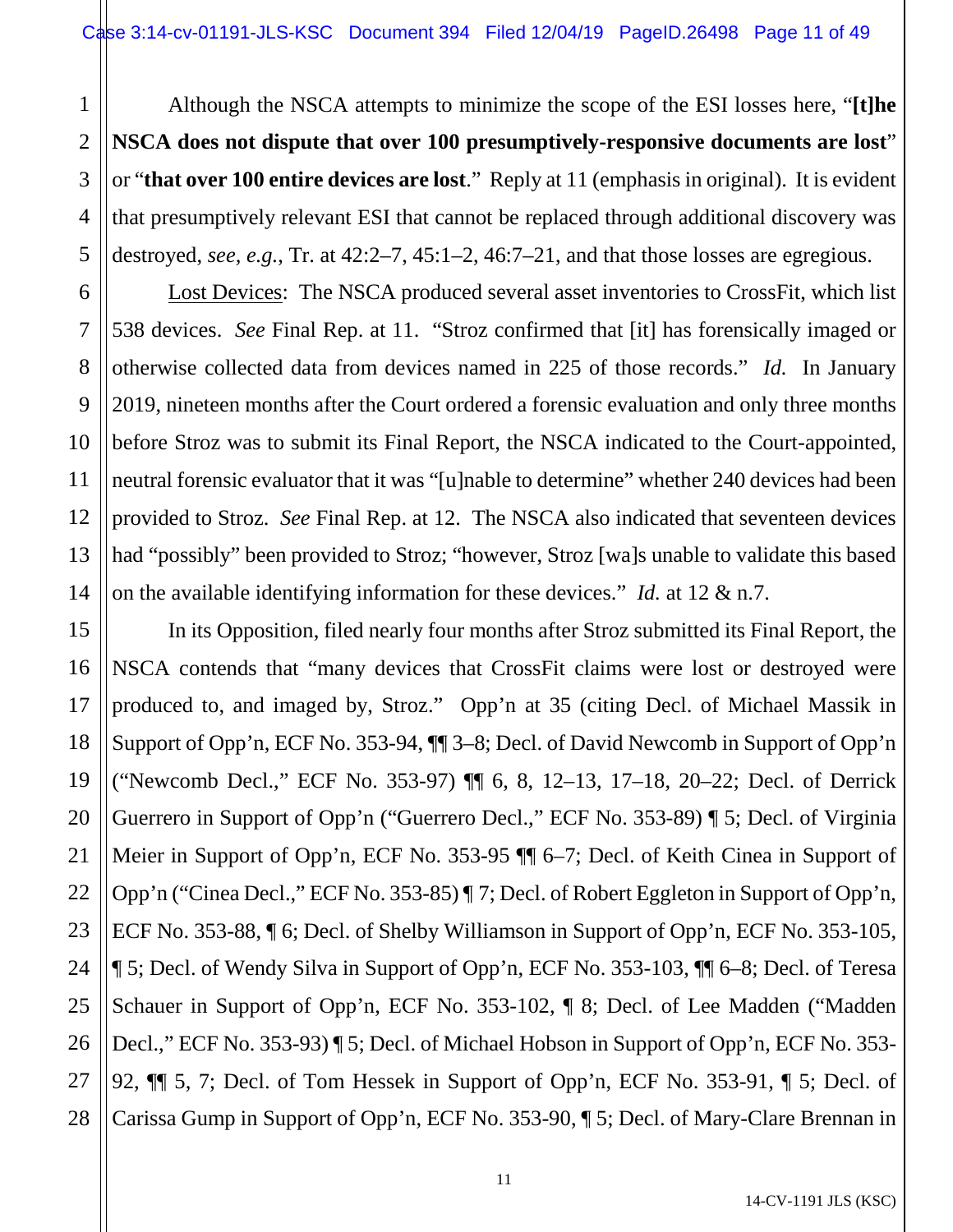Although the NSCA attempts to minimize the scope of the ESI losses here, "**[t]he NSCA does not dispute that over 100 presumptively-responsive documents are lost**" or "**that over 100 entire devices are lost**." Reply at 11 (emphasis in original). It is evident that presumptively relevant ESI that cannot be replaced through additional discovery was destroyed, *see, e.g.*, Tr. at 42:2–7, 45:1–2, 46:7–21, and that those losses are egregious.

Lost Devices: The NSCA produced several asset inventories to CrossFit, which list 538 devices. *See* Final Rep. at 11. "Stroz confirmed that [it] has forensically imaged or otherwise collected data from devices named in 225 of those records." *Id.* In January 2019, nineteen months after the Court ordered a forensic evaluation and only three months before Stroz was to submit its Final Report, the NSCA indicated to the Court-appointed, neutral forensic evaluator that it was "[u]nable to determine" whether 240 devices had been provided to Stroz. *See* Final Rep. at 12. The NSCA also indicated that seventeen devices had "possibly" been provided to Stroz; "however, Stroz [wa]s unable to validate this based on the available identifying information for these devices." *Id.* at 12 & n.7.

15 16 17 18 19 20 21 22 23 24 25 26 27 28 In its Opposition, filed nearly four months after Stroz submitted its Final Report, the NSCA contends that "many devices that CrossFit claims were lost or destroyed were produced to, and imaged by, Stroz." Opp'n at 35 (citing Decl. of Michael Massik in Support of Opp'n, ECF No. 353-94, ¶¶ 3–8; Decl. of David Newcomb in Support of Opp'n ("Newcomb Decl.," ECF No. 353-97) ¶¶ 6, 8, 12–13, 17–18, 20–22; Decl. of Derrick Guerrero in Support of Opp'n ("Guerrero Decl.," ECF No. 353-89) ¶ 5; Decl. of Virginia Meier in Support of Opp'n, ECF No. 353-95 ¶¶ 6–7; Decl. of Keith Cinea in Support of Opp'n ("Cinea Decl.," ECF No. 353-85) ¶ 7; Decl. of Robert Eggleton in Support of Opp'n, ECF No. 353-88, ¶ 6; Decl. of Shelby Williamson in Support of Opp'n, ECF No. 353-105, ¶ 5; Decl. of Wendy Silva in Support of Opp'n, ECF No. 353-103, ¶¶ 6–8; Decl. of Teresa Schauer in Support of Opp'n, ECF No. 353-102, ¶ 8; Decl. of Lee Madden ("Madden Decl.," ECF No. 353-93) ¶ 5; Decl. of Michael Hobson in Support of Opp'n, ECF No. 353- 92, ¶¶ 5, 7; Decl. of Tom Hessek in Support of Opp'n, ECF No. 353-91, ¶ 5; Decl. of Carissa Gump in Support of Opp'n, ECF No. 353-90, ¶ 5; Decl. of Mary-Clare Brennan in

1

2

3

4

5

6

7

8

9

10

11

12

13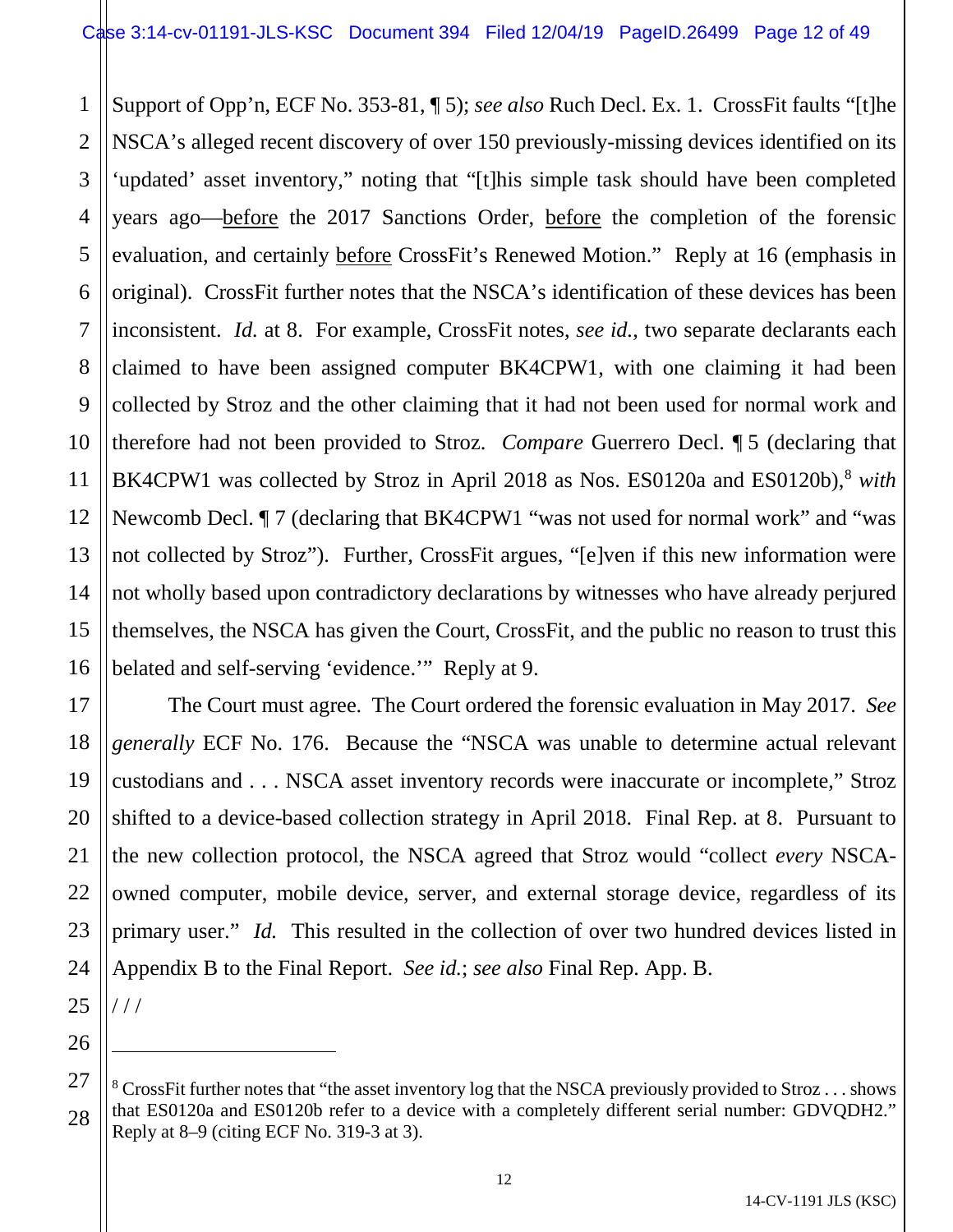1 2 3 4 5 6 7 8 9 10 11 12 13 14 15 16 Support of Opp'n, ECF No. 353-81, ¶ 5); *see also* Ruch Decl. Ex. 1. CrossFit faults "[t]he NSCA's alleged recent discovery of over 150 previously-missing devices identified on its 'updated' asset inventory," noting that "[t]his simple task should have been completed years ago—before the 2017 Sanctions Order, before the completion of the forensic evaluation, and certainly before CrossFit's Renewed Motion." Reply at 16 (emphasis in original). CrossFit further notes that the NSCA's identification of these devices has been inconsistent. *Id.* at 8. For example, CrossFit notes, *see id.*, two separate declarants each claimed to have been assigned computer BK4CPW1, with one claiming it had been collected by Stroz and the other claiming that it had not been used for normal work and therefore had not been provided to Stroz. *Compare* Guerrero Decl. ¶ 5 (declaring that BK4CPW1 was collected by Stroz in April 201[8](#page-11-0) as Nos. ES0120a and ES0120b),<sup>8</sup> *with* Newcomb Decl.  $\P$  7 (declaring that BK4CPW1 "was not used for normal work" and "was not collected by Stroz"). Further, CrossFit argues, "[e]ven if this new information were not wholly based upon contradictory declarations by witnesses who have already perjured themselves, the NSCA has given the Court, CrossFit, and the public no reason to trust this belated and self-serving 'evidence.'" Reply at 9.

17 18 19 20 21 22 23 24 The Court must agree. The Court ordered the forensic evaluation in May 2017. *See generally* ECF No. 176. Because the "NSCA was unable to determine actual relevant custodians and . . . NSCA asset inventory records were inaccurate or incomplete," Stroz shifted to a device-based collection strategy in April 2018. Final Rep. at 8. Pursuant to the new collection protocol, the NSCA agreed that Stroz would "collect *every* NSCAowned computer, mobile device, server, and external storage device, regardless of its primary user." *Id.* This resulted in the collection of over two hundred devices listed in Appendix B to the Final Report. *See id.*; *see also* Final Rep. App. B.

25 / / /

 $\overline{a}$ 

<span id="page-11-0"></span><sup>27</sup> 28 <sup>8</sup> CrossFit further notes that "the asset inventory log that the NSCA previously provided to Stroz  $\dots$  shows that ES0120a and ES0120b refer to a device with a completely different serial number: GDVQDH2." Reply at 8–9 (citing ECF No. 319-3 at 3).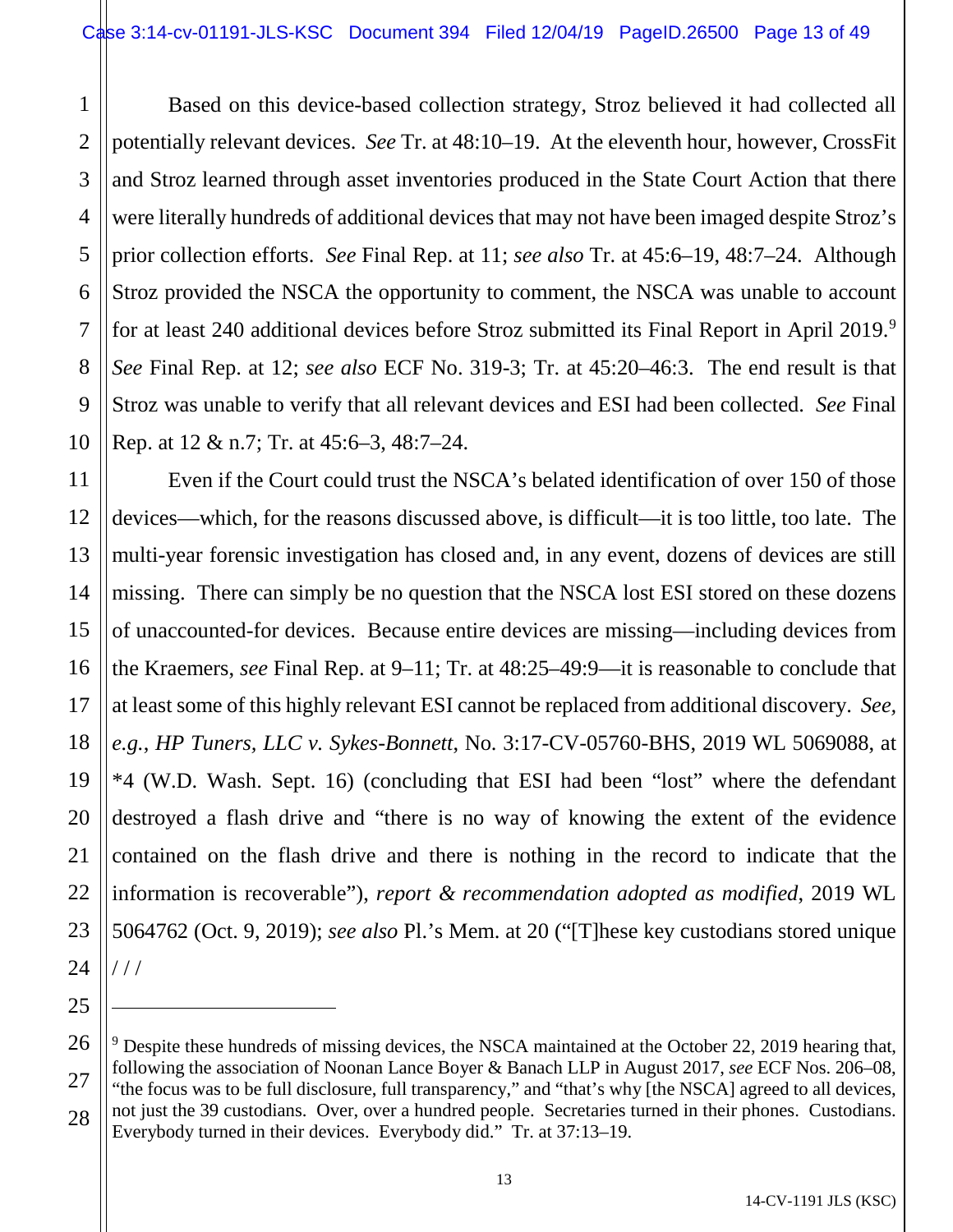1

2

5

7

11

12

13

14

15

16

17

18

19

20

21

22

23

24

25

 $\overline{a}$ 

3 4 6 8 9 10 Based on this device-based collection strategy, Stroz believed it had collected all potentially relevant devices. *See* Tr. at 48:10–19. At the eleventh hour, however, CrossFit and Stroz learned through asset inventories produced in the State Court Action that there were literally hundreds of additional devices that may not have been imaged despite Stroz's prior collection efforts. *See* Final Rep. at 11; *see also* Tr. at 45:6–19, 48:7–24. Although Stroz provided the NSCA the opportunity to comment, the NSCA was unable to account for at least 240 additional devices before Stroz submitted its Final Report in April 201[9](#page-12-0).<sup>9</sup> *See* Final Rep. at 12; *see also* ECF No. 319-3; Tr. at 45:20–46:3. The end result is that Stroz was unable to verify that all relevant devices and ESI had been collected. *See* Final Rep. at 12 & n.7; Tr. at 45:6–3, 48:7–24.

Even if the Court could trust the NSCA's belated identification of over 150 of those devices—which, for the reasons discussed above, is difficult—it is too little, too late. The multi-year forensic investigation has closed and, in any event, dozens of devices are still missing. There can simply be no question that the NSCA lost ESI stored on these dozens of unaccounted-for devices. Because entire devices are missing—including devices from the Kraemers, *see* Final Rep. at 9–11; Tr. at 48:25–49:9—it is reasonable to conclude that at least some of this highly relevant ESI cannot be replaced from additional discovery. *See, e.g.*, *HP Tuners, LLC v. Sykes-Bonnett*, No. 3:17-CV-05760-BHS, 2019 WL 5069088, at \*4 (W.D. Wash. Sept. 16) (concluding that ESI had been "lost" where the defendant destroyed a flash drive and "there is no way of knowing the extent of the evidence contained on the flash drive and there is nothing in the record to indicate that the information is recoverable"), *report & recommendation adopted as modified*, 2019 WL 5064762 (Oct. 9, 2019); *see also* Pl.'s Mem. at 20 ("[T]hese key custodians stored unique / / /

<span id="page-12-0"></span><sup>26</sup> 27 28  $9$  Despite these hundreds of missing devices, the NSCA maintained at the October 22, 2019 hearing that, following the association of Noonan Lance Boyer & Banach LLP in August 2017, *see* ECF Nos. 206–08, "the focus was to be full disclosure, full transparency," and "that's why [the NSCA] agreed to all devices, not just the 39 custodians. Over, over a hundred people. Secretaries turned in their phones. Custodians. Everybody turned in their devices. Everybody did." Tr. at 37:13–19.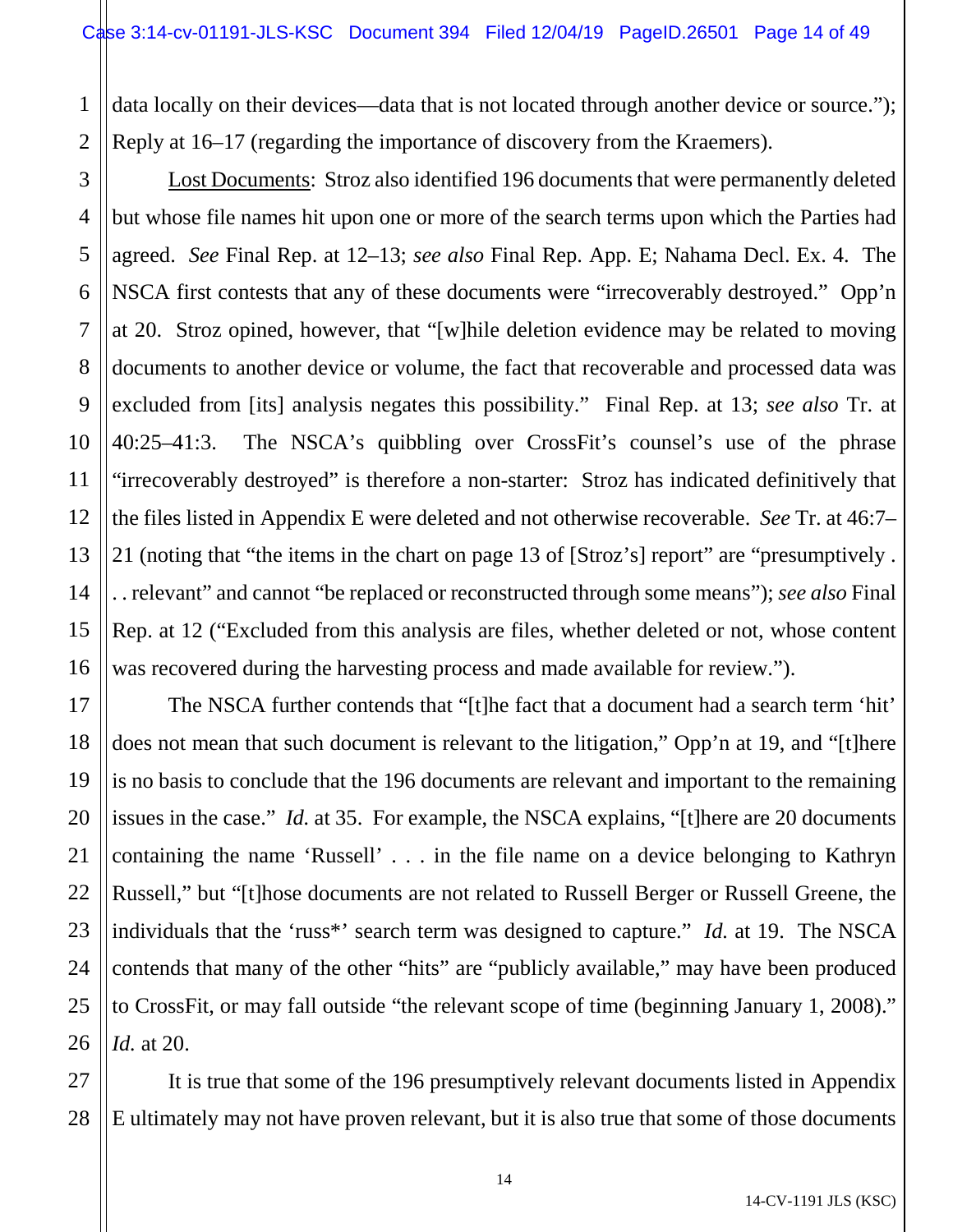1 2 data locally on their devices—data that is not located through another device or source."); Reply at 16–17 (regarding the importance of discovery from the Kraemers).

3

4

5

6

7

8

9

10

11

12

13

14

15

16

21

Lost Documents: Stroz also identified 196 documents that were permanently deleted but whose file names hit upon one or more of the search terms upon which the Parties had agreed. *See* Final Rep. at 12–13; *see also* Final Rep. App. E; Nahama Decl. Ex. 4. The NSCA first contests that any of these documents were "irrecoverably destroyed." Opp'n at 20. Stroz opined, however, that "[w]hile deletion evidence may be related to moving documents to another device or volume, the fact that recoverable and processed data was excluded from [its] analysis negates this possibility." Final Rep. at 13; *see also* Tr. at 40:25–41:3. The NSCA's quibbling over CrossFit's counsel's use of the phrase "irrecoverably destroyed" is therefore a non-starter: Stroz has indicated definitively that the files listed in Appendix E were deleted and not otherwise recoverable. *See* Tr. at 46:7– 21 (noting that "the items in the chart on page 13 of [Stroz's] report" are "presumptively . . . relevant" and cannot "be replaced or reconstructed through some means"); *see also* Final Rep. at 12 ("Excluded from this analysis are files, whether deleted or not, whose content was recovered during the harvesting process and made available for review.").

17 18 19 20 22 23 24 25 26 The NSCA further contends that "[t]he fact that a document had a search term 'hit' does not mean that such document is relevant to the litigation," Opp'n at 19, and "[t]here is no basis to conclude that the 196 documents are relevant and important to the remaining issues in the case." *Id.* at 35. For example, the NSCA explains, "[t]here are 20 documents containing the name 'Russell' . . . in the file name on a device belonging to Kathryn Russell," but "[t]hose documents are not related to Russell Berger or Russell Greene, the individuals that the 'russ\*' search term was designed to capture." *Id.* at 19. The NSCA contends that many of the other "hits" are "publicly available," may have been produced to CrossFit, or may fall outside "the relevant scope of time (beginning January 1, 2008)." *Id.* at 20.

27 28 It is true that some of the 196 presumptively relevant documents listed in Appendix E ultimately may not have proven relevant, but it is also true that some of those documents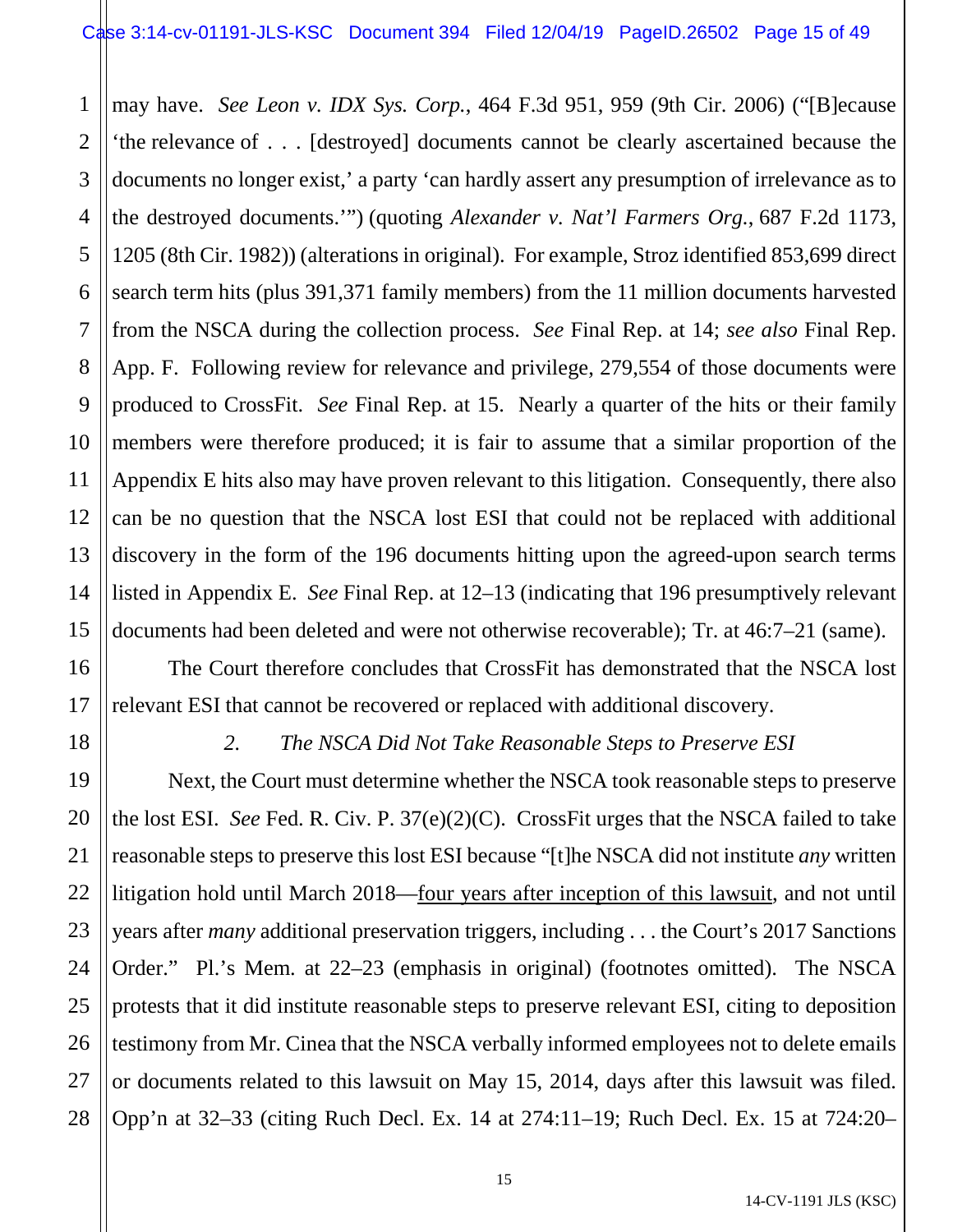1 2 3 4 5 6 7 8 9 10 11 12 13 14 15 may have. *See Leon v. IDX Sys. Corp.*, 464 F.3d 951, 959 (9th Cir. 2006) ("[B]ecause 'the relevance of . . . [destroyed] documents cannot be clearly ascertained because the documents no longer exist,' a party 'can hardly assert any presumption of irrelevance as to the destroyed documents.'") (quoting *Alexander v. Nat'l Farmers Org.*, 687 F.2d 1173, 1205 (8th Cir. 1982)) (alterations in original). For example, Stroz identified 853,699 direct search term hits (plus 391,371 family members) from the 11 million documents harvested from the NSCA during the collection process. *See* Final Rep. at 14; *see also* Final Rep. App. F. Following review for relevance and privilege, 279,554 of those documents were produced to CrossFit. *See* Final Rep. at 15. Nearly a quarter of the hits or their family members were therefore produced; it is fair to assume that a similar proportion of the Appendix E hits also may have proven relevant to this litigation. Consequently, there also can be no question that the NSCA lost ESI that could not be replaced with additional discovery in the form of the 196 documents hitting upon the agreed-upon search terms listed in Appendix E. *See* Final Rep. at 12–13 (indicating that 196 presumptively relevant documents had been deleted and were not otherwise recoverable); Tr. at 46:7–21 (same).

The Court therefore concludes that CrossFit has demonstrated that the NSCA lost relevant ESI that cannot be recovered or replaced with additional discovery.

18

16

17

19

20

21

22

23

24

25

26

27

28

# *2. The NSCA Did Not Take Reasonable Steps to Preserve ESI*

Next, the Court must determine whether the NSCA took reasonable steps to preserve the lost ESI. *See* Fed. R. Civ. P. 37(e)(2)(C). CrossFit urges that the NSCA failed to take reasonable steps to preserve this lost ESI because "[t]he NSCA did not institute *any* written litigation hold until March 2018—four years after inception of this lawsuit, and not until years after *many* additional preservation triggers, including . . . the Court's 2017 Sanctions Order." Pl.'s Mem. at 22–23 (emphasis in original) (footnotes omitted). The NSCA protests that it did institute reasonable steps to preserve relevant ESI, citing to deposition testimony from Mr. Cinea that the NSCA verbally informed employees not to delete emails or documents related to this lawsuit on May 15, 2014, days after this lawsuit was filed. Opp'n at 32–33 (citing Ruch Decl. Ex. 14 at 274:11–19; Ruch Decl. Ex. 15 at 724:20–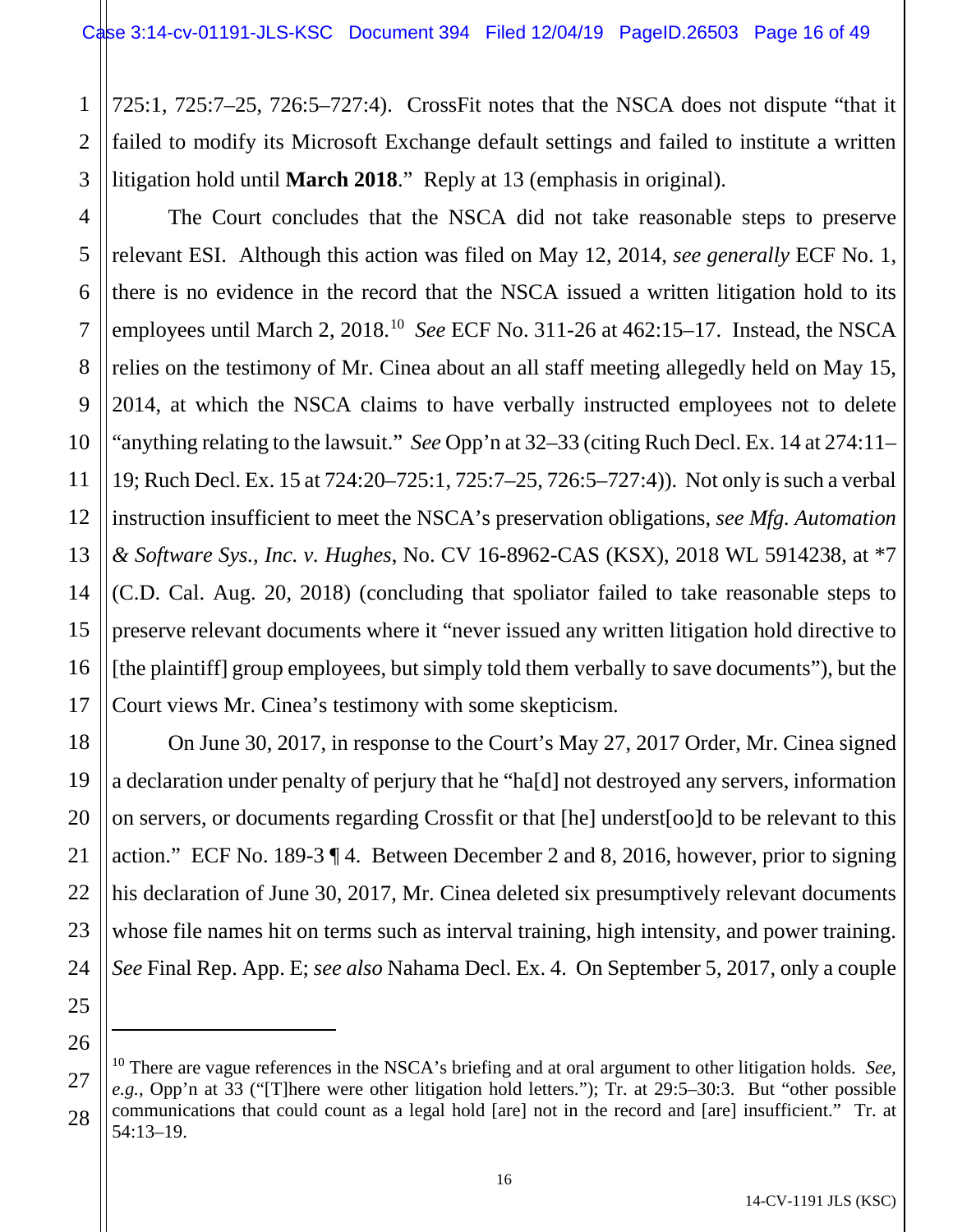1 2 3 725:1, 725:7–25, 726:5–727:4). CrossFit notes that the NSCA does not dispute "that it failed to modify its Microsoft Exchange default settings and failed to institute a written litigation hold until **March 2018**." Reply at 13 (emphasis in original).

4 13 14 The Court concludes that the NSCA did not take reasonable steps to preserve relevant ESI. Although this action was filed on May 12, 2014, *see generally* ECF No. 1, there is no evidence in the record that the NSCA issued a written litigation hold to its employees until March 2, 2018.[10](#page-15-0) *See* ECF No. 311-26 at 462:15–17. Instead, the NSCA relies on the testimony of Mr. Cinea about an all staff meeting allegedly held on May 15, 2014, at which the NSCA claims to have verbally instructed employees not to delete "anything relating to the lawsuit." *See* Opp'n at 32–33 (citing Ruch Decl. Ex. 14 at 274:11– 19; Ruch Decl. Ex. 15 at 724:20–725:1, 725:7–25, 726:5–727:4)). Not only is such a verbal instruction insufficient to meet the NSCA's preservation obligations, *see Mfg. Automation & Software Sys., Inc. v. Hughes*, No. CV 16-8962-CAS (KSX), 2018 WL 5914238, at \*7 (C.D. Cal. Aug. 20, 2018) (concluding that spoliator failed to take reasonable steps to preserve relevant documents where it "never issued any written litigation hold directive to [the plaintiff] group employees, but simply told them verbally to save documents"), but the Court views Mr. Cinea's testimony with some skepticism.

On June 30, 2017, in response to the Court's May 27, 2017 Order, Mr. Cinea signed a declaration under penalty of perjury that he "ha[d] not destroyed any servers, information on servers, or documents regarding Crossfit or that [he] underst[oo]d to be relevant to this action." ECF No. 189-3 ¶ 4. Between December 2 and 8, 2016, however, prior to signing his declaration of June 30, 2017, Mr. Cinea deleted six presumptively relevant documents whose file names hit on terms such as interval training, high intensity, and power training. *See* Final Rep. App. E; *see also* Nahama Decl. Ex. 4. On September 5, 2017, only a couple

 $\overline{a}$ 

5

6

7

8

9

10

11

12

15

16

17

<sup>19</sup> 20 21 22 23 24 25 26 27 28

<span id="page-15-0"></span><sup>10</sup> There are vague references in the NSCA's briefing and at oral argument to other litigation holds. *See, e.g.*, Opp'n at 33 ("[T]here were other litigation hold letters."); Tr. at 29:5–30:3. But "other possible communications that could count as a legal hold [are] not in the record and [are] insufficient." Tr. at 54:13–19.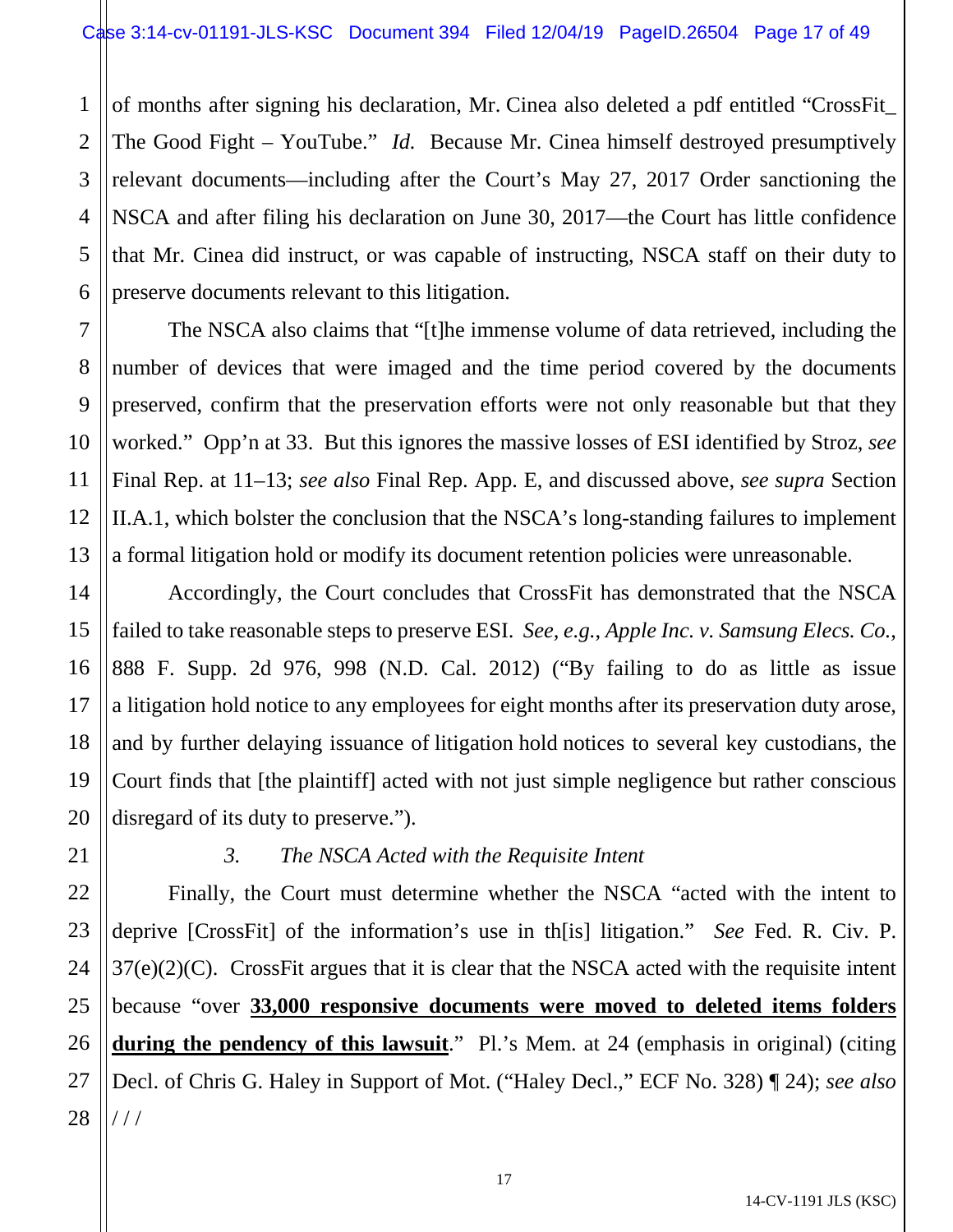1 2 3 of months after signing his declaration, Mr. Cinea also deleted a pdf entitled "CrossFit\_ The Good Fight – YouTube." *Id.* Because Mr. Cinea himself destroyed presumptively relevant documents—including after the Court's May 27, 2017 Order sanctioning the NSCA and after filing his declaration on June 30, 2017—the Court has little confidence that Mr. Cinea did instruct, or was capable of instructing, NSCA staff on their duty to preserve documents relevant to this litigation.

The NSCA also claims that "[t]he immense volume of data retrieved, including the number of devices that were imaged and the time period covered by the documents preserved, confirm that the preservation efforts were not only reasonable but that they worked." Opp'n at 33. But this ignores the massive losses of ESI identified by Stroz, *see*  Final Rep. at 11–13; *see also* Final Rep. App. E, and discussed above, *see supra* Section II.A.1, which bolster the conclusion that the NSCA's long-standing failures to implement a formal litigation hold or modify its document retention policies were unreasonable.

Accordingly, the Court concludes that CrossFit has demonstrated that the NSCA failed to take reasonable steps to preserve ESI. *See, e.g.*, *Apple Inc. v. Samsung Elecs. Co.*, 888 F. Supp. 2d 976, 998 (N.D. Cal. 2012) ("By failing to do as little as issue a litigation hold notice to any employees for eight months after its preservation duty arose, and by further delaying issuance of litigation hold notices to several key custodians, the Court finds that [the plaintiff] acted with not just simple negligence but rather conscious disregard of its duty to preserve.").

# *3. The NSCA Acted with the Requisite Intent*

Finally, the Court must determine whether the NSCA "acted with the intent to deprive [CrossFit] of the information's use in th[is] litigation." *See* Fed. R. Civ. P. 37(e)(2)(C). CrossFit argues that it is clear that the NSCA acted with the requisite intent because "over **33,000 responsive documents were moved to deleted items folders during the pendency of this lawsuit**." Pl.'s Mem. at 24 (emphasis in original) (citing Decl. of Chris G. Haley in Support of Mot. ("Haley Decl.," ECF No. 328) ¶ 24); *see also*  / / /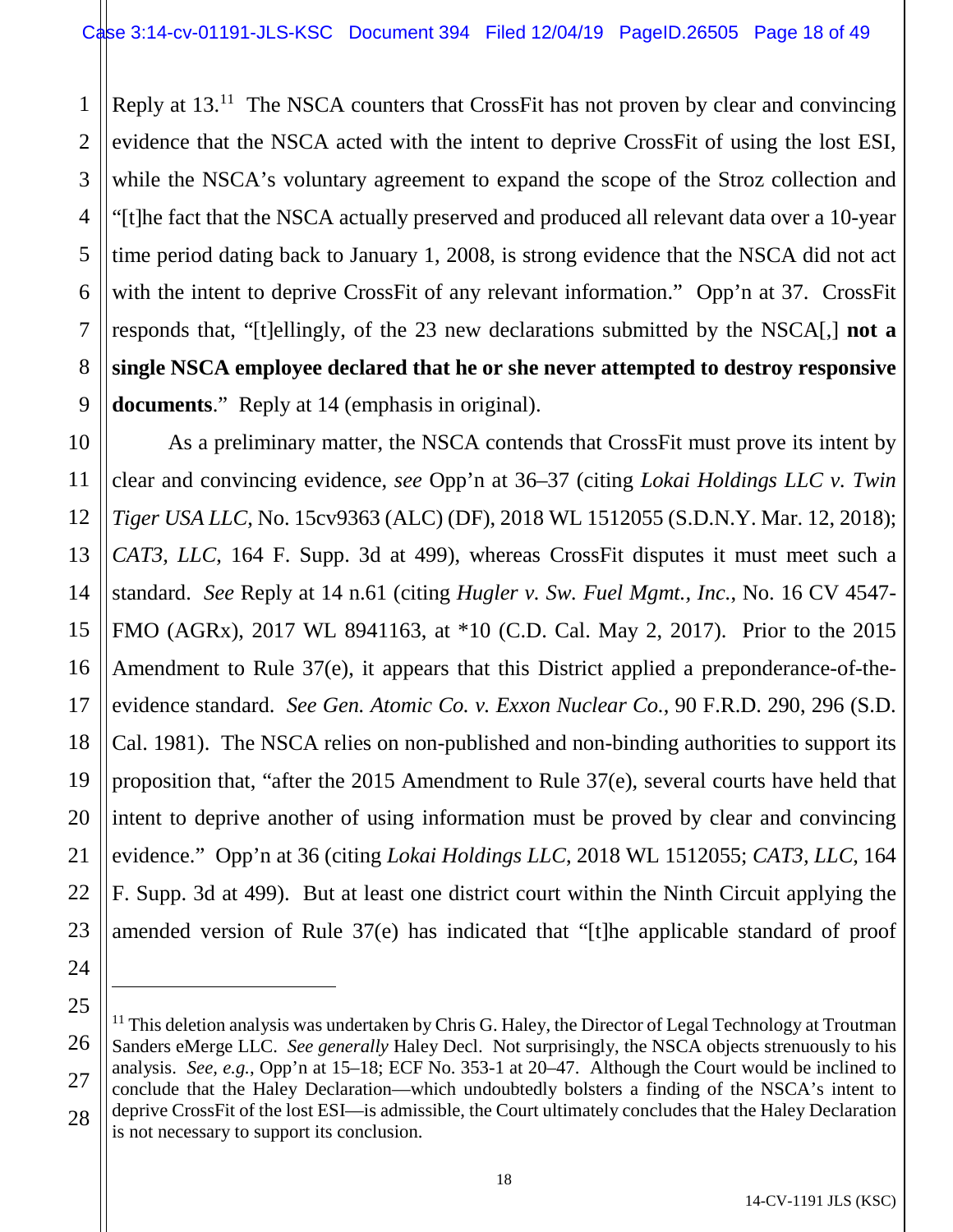1 2 3 4 5 6 7 8 9 Reply at 13.<sup>11</sup> The NSCA counters that CrossFit has not proven by clear and convincing evidence that the NSCA acted with the intent to deprive CrossFit of using the lost ESI, while the NSCA's voluntary agreement to expand the scope of the Stroz collection and "[t]he fact that the NSCA actually preserved and produced all relevant data over a 10-year time period dating back to January 1, 2008, is strong evidence that the NSCA did not act with the intent to deprive CrossFit of any relevant information." Opp'n at 37. CrossFit responds that, "[t]ellingly, of the 23 new declarations submitted by the NSCA[,] **not a single NSCA employee declared that he or she never attempted to destroy responsive documents**." Reply at 14 (emphasis in original).

10 11 12 13 14 15 16 17 18 19 20 21 22 23 As a preliminary matter, the NSCA contends that CrossFit must prove its intent by clear and convincing evidence, *see* Opp'n at 36–37 (citing *Lokai Holdings LLC v. Twin Tiger USA LLC*, No. 15cv9363 (ALC) (DF), 2018 WL 1512055 (S.D.N.Y. Mar. 12, 2018); *CAT3, LLC*, 164 F. Supp. 3d at 499), whereas CrossFit disputes it must meet such a standard. *See* Reply at 14 n.61 (citing *Hugler v. Sw. Fuel Mgmt., Inc.*, No. 16 CV 4547- FMO (AGRx), 2017 WL 8941163, at \*10 (C.D. Cal. May 2, 2017). Prior to the 2015 Amendment to Rule 37(e), it appears that this District applied a preponderance-of-theevidence standard. *See Gen. Atomic Co. v. Exxon Nuclear Co.*, 90 F.R.D. 290, 296 (S.D. Cal. 1981). The NSCA relies on non-published and non-binding authorities to support its proposition that, "after the 2015 Amendment to Rule 37(e), several courts have held that intent to deprive another of using information must be proved by clear and convincing evidence." Opp'n at 36 (citing *Lokai Holdings LLC*, 2018 WL 1512055; *CAT3, LLC*, 164 F. Supp. 3d at 499). But at least one district court within the Ninth Circuit applying the amended version of Rule 37(e) has indicated that "[t]he applicable standard of proof

24

 $\overline{a}$ 

<span id="page-17-0"></span><sup>26</sup> 27 28  $11$  This deletion analysis was undertaken by Chris G. Haley, the Director of Legal Technology at Troutman Sanders eMerge LLC. *See generally* Haley Decl. Not surprisingly, the NSCA objects strenuously to his analysis. *See, e.g.*, Opp'n at 15–18; ECF No. 353-1 at 20–47. Although the Court would be inclined to conclude that the Haley Declaration—which undoubtedly bolsters a finding of the NSCA's intent to deprive CrossFit of the lost ESI—is admissible, the Court ultimately concludes that the Haley Declaration is not necessary to support its conclusion.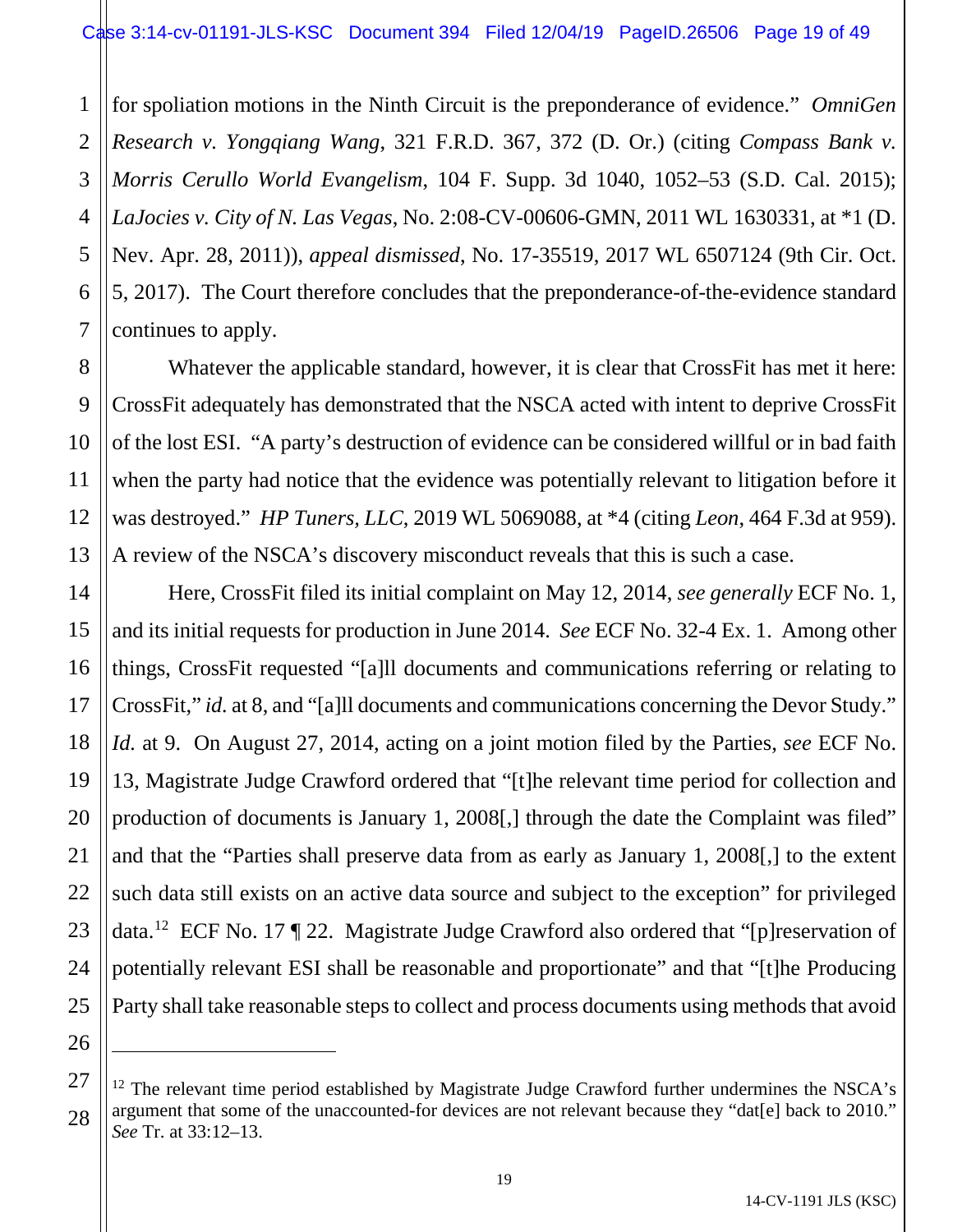1 2 3 4 5 6 7 for spoliation motions in the Ninth Circuit is the preponderance of evidence." *OmniGen Research v. Yongqiang Wang*, 321 F.R.D. 367, 372 (D. Or.) (citing *Compass Bank v. Morris Cerullo World Evangelism*, 104 F. Supp. 3d 1040, 1052–53 (S.D. Cal. 2015); *LaJocies v. City of N. Las Vegas*, No. 2:08-CV-00606-GMN, 2011 WL 1630331, at \*1 (D. Nev. Apr. 28, 2011)), *appeal dismissed*, No. 17-35519, 2017 WL 6507124 (9th Cir. Oct. 5, 2017). The Court therefore concludes that the preponderance-of-the-evidence standard continues to apply.

Whatever the applicable standard, however, it is clear that CrossFit has met it here: CrossFit adequately has demonstrated that the NSCA acted with intent to deprive CrossFit of the lost ESI. "A party's destruction of evidence can be considered willful or in bad faith when the party had notice that the evidence was potentially relevant to litigation before it was destroyed." *HP Tuners, LLC*, 2019 WL 5069088, at \*4 (citing *Leon*, 464 F.3d at 959). A review of the NSCA's discovery misconduct reveals that this is such a case.

8

9

10

11

12

13

14

15

16

17

18

19

20

21

22

23

24

25

26

 $\overline{a}$ 

Here, CrossFit filed its initial complaint on May 12, 2014, *see generally* ECF No. 1, and its initial requests for production in June 2014. *See* ECF No. 32-4 Ex. 1. Among other things, CrossFit requested "[a]ll documents and communications referring or relating to CrossFit," *id.* at 8, and "[a]ll documents and communications concerning the Devor Study." *Id.* at 9. On August 27, 2014, acting on a joint motion filed by the Parties, *see* ECF No. 13, Magistrate Judge Crawford ordered that "[t]he relevant time period for collection and production of documents is January 1, 2008[,] through the date the Complaint was filed" and that the "Parties shall preserve data from as early as January 1, 2008[,] to the extent such data still exists on an active data source and subject to the exception" for privileged data.[12](#page-18-0) ECF No. 17 ¶ 22. Magistrate Judge Crawford also ordered that "[p]reservation of potentially relevant ESI shall be reasonable and proportionate" and that "[t]he Producing Party shall take reasonable steps to collect and process documents using methods that avoid

<span id="page-18-0"></span><sup>27</sup> 28  $12$  The relevant time period established by Magistrate Judge Crawford further undermines the NSCA's argument that some of the unaccounted-for devices are not relevant because they "dat[e] back to 2010." *See* Tr. at 33:12–13.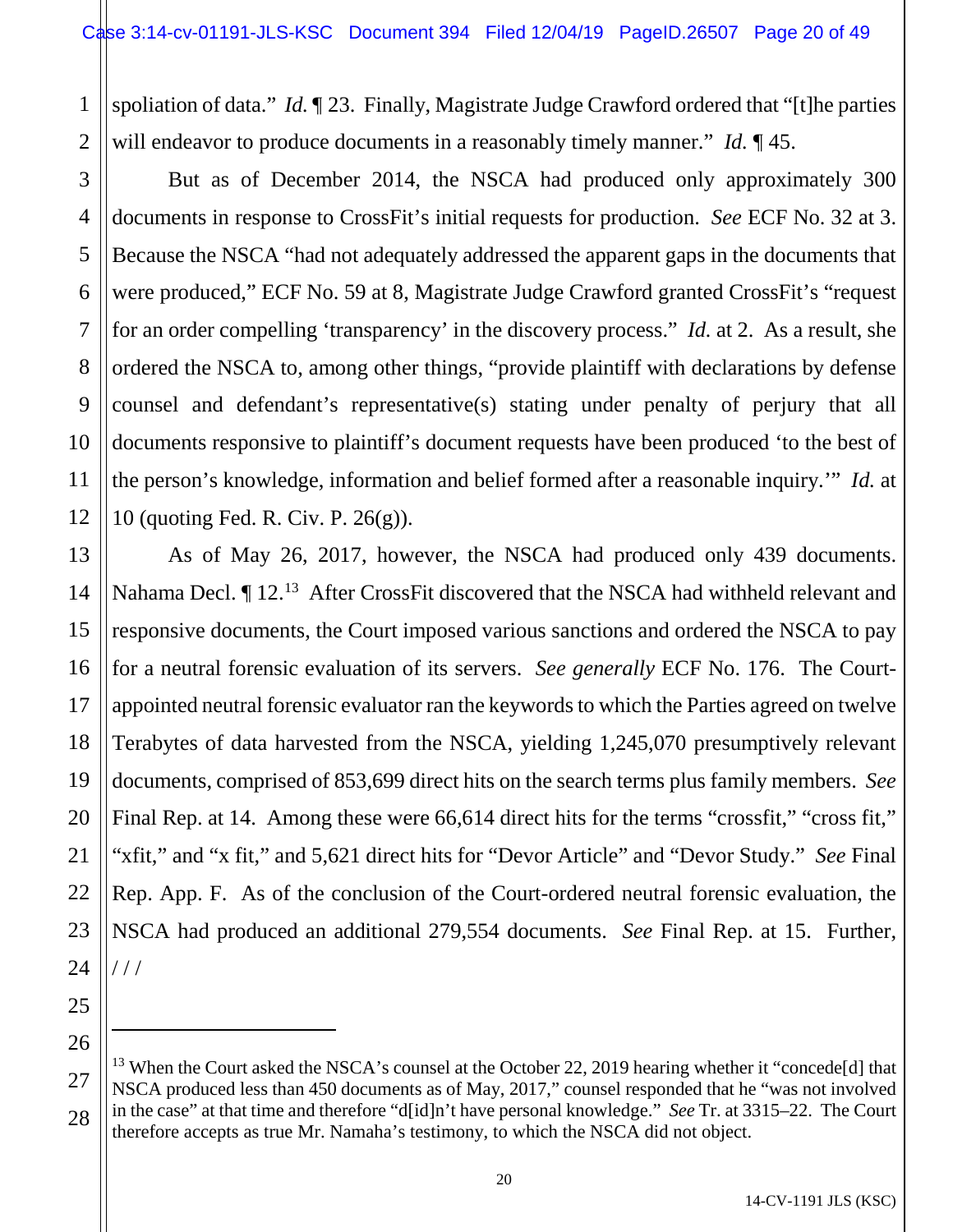1 2 spoliation of data." *Id.* ¶ 23. Finally, Magistrate Judge Crawford ordered that "[t]he parties will endeavor to produce documents in a reasonably timely manner." *Id.* ¶ 45.

4 6 But as of December 2014, the NSCA had produced only approximately 300 documents in response to CrossFit's initial requests for production. *See* ECF No. 32 at 3. Because the NSCA "had not adequately addressed the apparent gaps in the documents that were produced," ECF No. 59 at 8, Magistrate Judge Crawford granted CrossFit's "request for an order compelling 'transparency' in the discovery process." *Id.* at 2. As a result, she ordered the NSCA to, among other things, "provide plaintiff with declarations by defense counsel and defendant's representative(s) stating under penalty of perjury that all documents responsive to plaintiff's document requests have been produced 'to the best of the person's knowledge, information and belief formed after a reasonable inquiry.'" *Id.* at 10 (quoting Fed. R. Civ. P. 26(g)).

13 14 15 16 17 18 19 20 21 22 As of May 26, 2017, however, the NSCA had produced only 439 documents. Nahama Decl.  $\P$  12.<sup>[13](#page-19-0)</sup> After CrossFit discovered that the NSCA had withheld relevant and responsive documents, the Court imposed various sanctions and ordered the NSCA to pay for a neutral forensic evaluation of its servers. *See generally* ECF No. 176. The Courtappointed neutral forensic evaluator ran the keywords to which the Parties agreed on twelve Terabytes of data harvested from the NSCA, yielding 1,245,070 presumptively relevant documents, comprised of 853,699 direct hits on the search terms plus family members. *See*  Final Rep. at 14. Among these were 66,614 direct hits for the terms "crossfit," "cross fit," "xfit," and "x fit," and 5,621 direct hits for "Devor Article" and "Devor Study." *See* Final Rep. App. F. As of the conclusion of the Court-ordered neutral forensic evaluation, the NSCA had produced an additional 279,554 documents. *See* Final Rep. at 15. Further, / / /

 $\overline{a}$ 

3

5

7

8

9

10

11

<span id="page-19-0"></span><sup>&</sup>lt;sup>13</sup> When the Court asked the NSCA's counsel at the October 22, 2019 hearing whether it "concede<sup>[d]</sup> that NSCA produced less than 450 documents as of May, 2017," counsel responded that he "was not involved in the case" at that time and therefore "d[id]n't have personal knowledge." *See* Tr. at 3315–22. The Court therefore accepts as true Mr. Namaha's testimony, to which the NSCA did not object.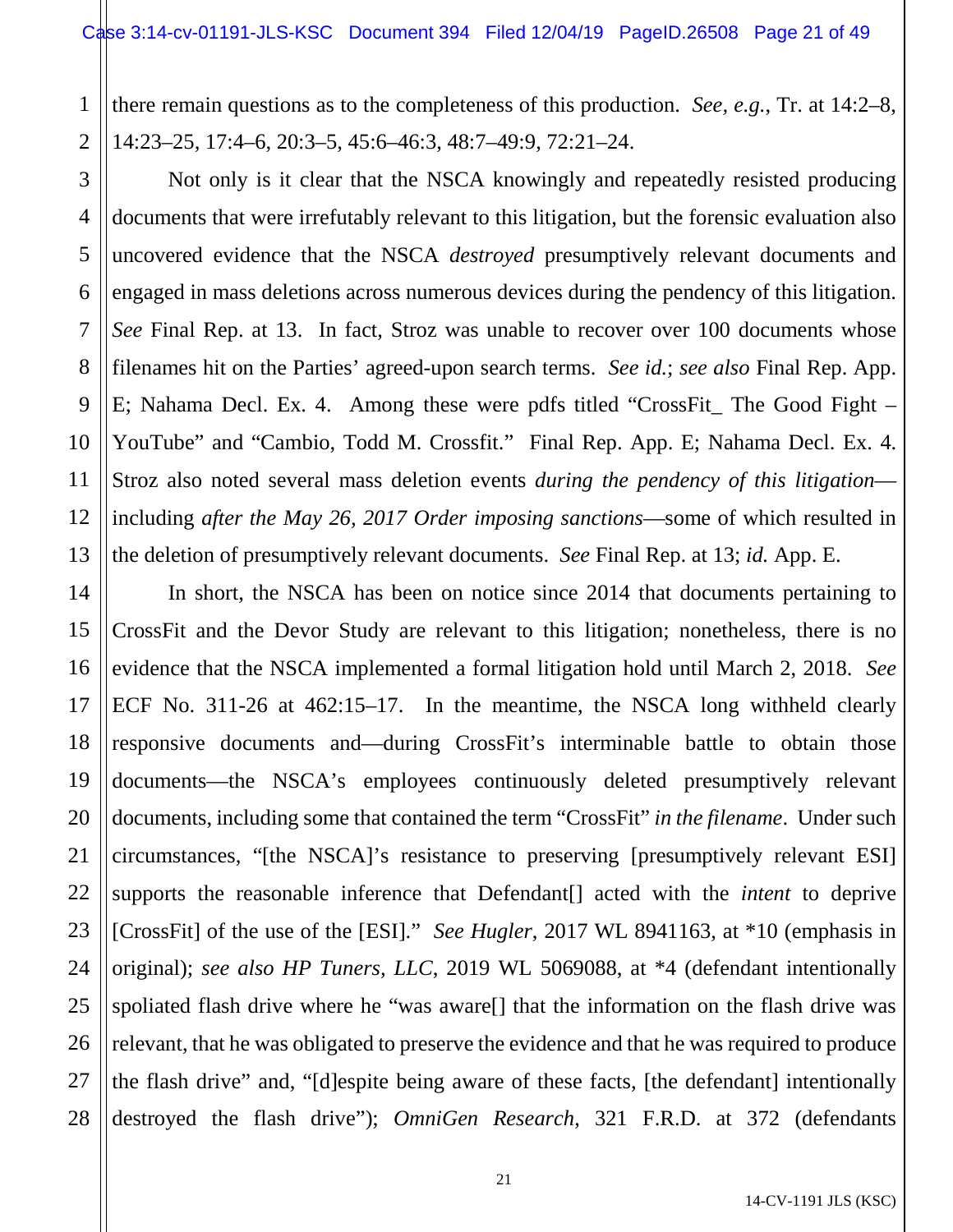1 2 there remain questions as to the completeness of this production. *See, e.g.*, Tr. at 14:2–8, 14:23–25, 17:4–6, 20:3–5, 45:6–46:3, 48:7–49:9, 72:21–24.

3 4 5 6 7 8 9 10 12 13 Not only is it clear that the NSCA knowingly and repeatedly resisted producing documents that were irrefutably relevant to this litigation, but the forensic evaluation also uncovered evidence that the NSCA *destroyed* presumptively relevant documents and engaged in mass deletions across numerous devices during the pendency of this litigation. *See* Final Rep. at 13. In fact, Stroz was unable to recover over 100 documents whose filenames hit on the Parties' agreed-upon search terms. *See id.*; *see also* Final Rep. App. E; Nahama Decl. Ex. 4. Among these were pdfs titled "CrossFit\_ The Good Fight – YouTube" and "Cambio, Todd M. Crossfit." Final Rep. App. E; Nahama Decl. Ex. 4. Stroz also noted several mass deletion events *during the pendency of this litigation* including *after the May 26, 2017 Order imposing sanctions*—some of which resulted in the deletion of presumptively relevant documents. *See* Final Rep. at 13; *id.* App. E.

11

14 15 16 17 18 19 20 21 22 23 24 25 26 27 28 In short, the NSCA has been on notice since 2014 that documents pertaining to CrossFit and the Devor Study are relevant to this litigation; nonetheless, there is no evidence that the NSCA implemented a formal litigation hold until March 2, 2018. *See*  ECF No. 311-26 at 462:15–17. In the meantime, the NSCA long withheld clearly responsive documents and—during CrossFit's interminable battle to obtain those documents—the NSCA's employees continuously deleted presumptively relevant documents, including some that contained the term "CrossFit" *in the filename*. Under such circumstances, "[the NSCA]'s resistance to preserving [presumptively relevant ESI] supports the reasonable inference that Defendant[] acted with the *intent* to deprive [CrossFit] of the use of the [ESI]." *See Hugler*, 2017 WL 8941163, at \*10 (emphasis in original); *see also HP Tuners, LLC*, 2019 WL 5069088, at \*4 (defendant intentionally spoliated flash drive where he "was aware[] that the information on the flash drive was relevant, that he was obligated to preserve the evidence and that he was required to produce the flash drive" and, "[d]espite being aware of these facts, [the defendant] intentionally destroyed the flash drive"); *OmniGen Research*, 321 F.R.D. at 372 (defendants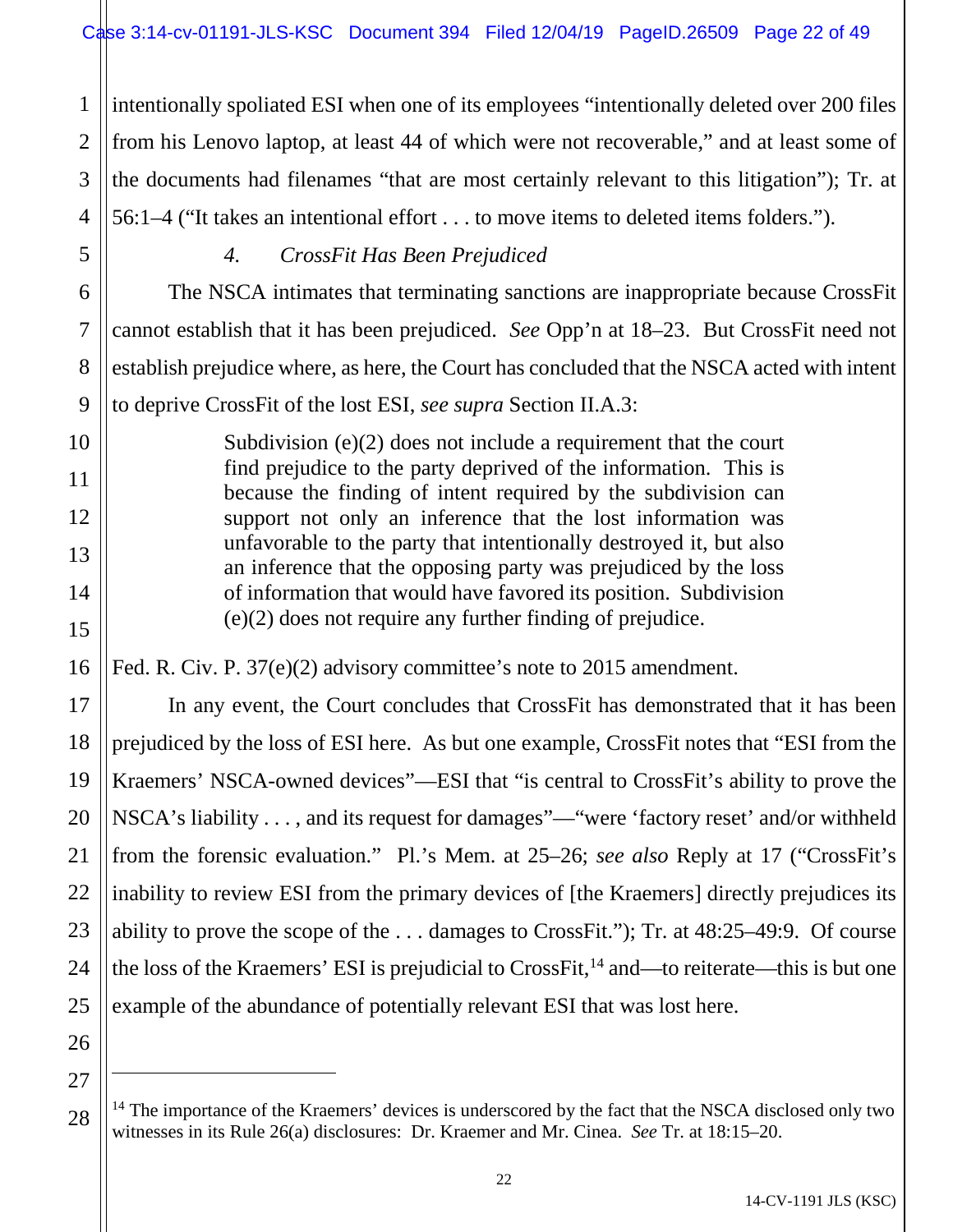1 2 3 4 intentionally spoliated ESI when one of its employees "intentionally deleted over 200 files from his Lenovo laptop, at least 44 of which were not recoverable," and at least some of the documents had filenames "that are most certainly relevant to this litigation"); Tr. at 56:1–4 ("It takes an intentional effort . . . to move items to deleted items folders.").

5 6

7

8

9

10

11

12

13

14

15

16

17

18

19

20

21

22

23

24

25

26

27

 $\overline{a}$ 

# *4. CrossFit Has Been Prejudiced*

The NSCA intimates that terminating sanctions are inappropriate because CrossFit cannot establish that it has been prejudiced. *See* Opp'n at 18–23. But CrossFit need not establish prejudice where, as here, the Court has concluded that the NSCA acted with intent to deprive CrossFit of the lost ESI, *see supra* Section II.A.3:

Subdivision (e)(2) does not include a requirement that the court find prejudice to the party deprived of the information. This is because the finding of intent required by the subdivision can support not only an inference that the lost information was unfavorable to the party that intentionally destroyed it, but also an inference that the opposing party was prejudiced by the loss of information that would have favored its position. Subdivision (e)(2) does not require any further finding of prejudice.

Fed. R. Civ. P. 37(e)(2) advisory committee's note to 2015 amendment.

In any event, the Court concludes that CrossFit has demonstrated that it has been prejudiced by the loss of ESI here. As but one example, CrossFit notes that "ESI from the Kraemers' NSCA-owned devices"—ESI that "is central to CrossFit's ability to prove the NSCA's liability . . . , and its request for damages"—"were 'factory reset' and/or withheld from the forensic evaluation." Pl.'s Mem. at 25–26; *see also* Reply at 17 ("CrossFit's inability to review ESI from the primary devices of [the Kraemers] directly prejudices its ability to prove the scope of the . . . damages to CrossFit."); Tr. at 48:25–49:9. Of course the loss of the Kraemers' ESI is prejudicial to CrossFit,  $^{14}$  $^{14}$  $^{14}$  and—to reiterate—this is but one example of the abundance of potentially relevant ESI that was lost here.

<span id="page-21-0"></span><sup>28</sup>  $14$  The importance of the Kraemers' devices is underscored by the fact that the NSCA disclosed only two witnesses in its Rule 26(a) disclosures: Dr. Kraemer and Mr. Cinea. *See* Tr. at 18:15–20.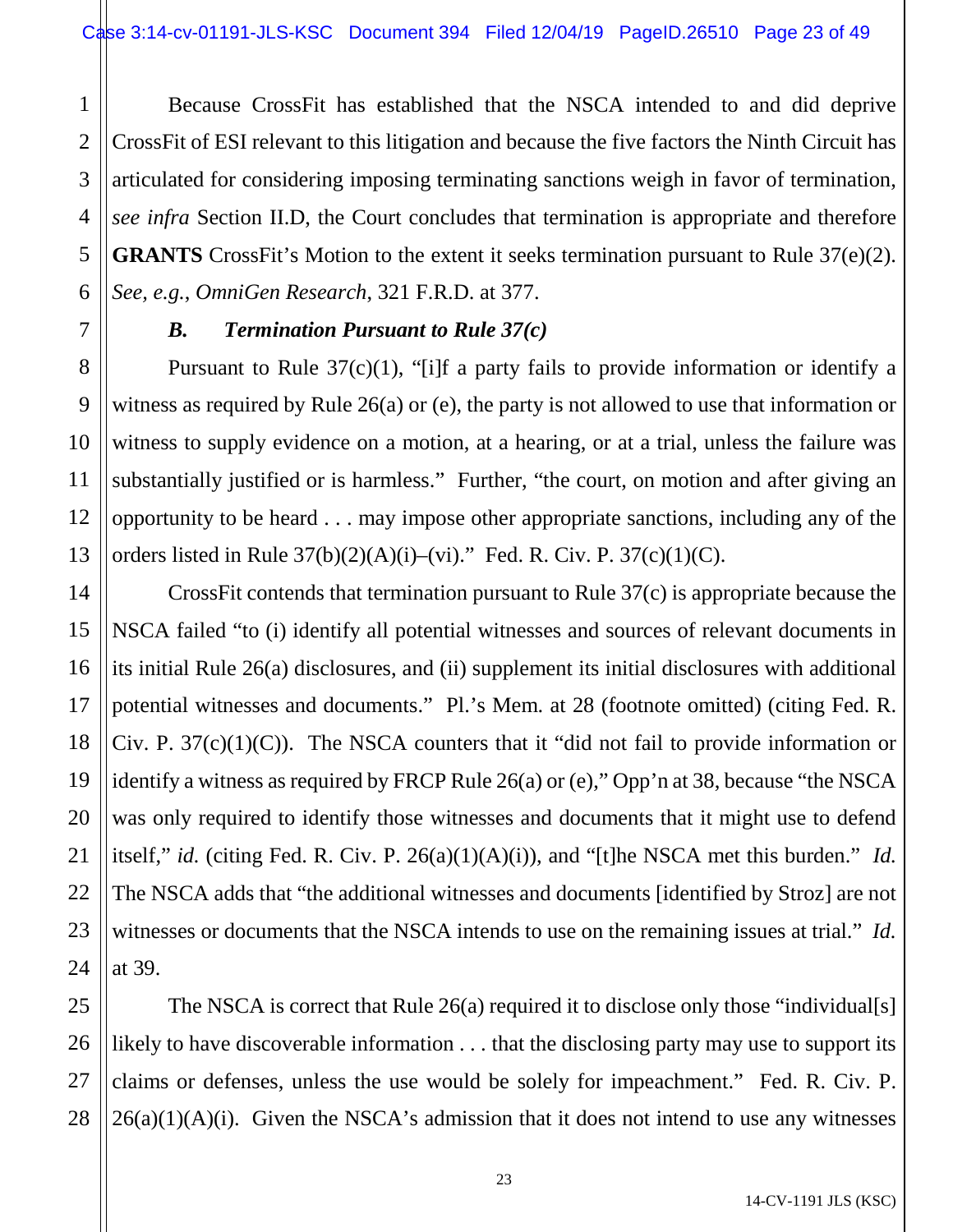1 2 Because CrossFit has established that the NSCA intended to and did deprive CrossFit of ESI relevant to this litigation and because the five factors the Ninth Circuit has articulated for considering imposing terminating sanctions weigh in favor of termination, *see infra* Section II.D, the Court concludes that termination is appropriate and therefore **GRANTS** CrossFit's Motion to the extent it seeks termination pursuant to Rule 37(e)(2). *See, e.g.*, *OmniGen Research*, 321 F.R.D. at 377.

# *B. Termination Pursuant to Rule 37(c)*

Pursuant to Rule 37(c)(1), "[i]f a party fails to provide information or identify a witness as required by Rule 26(a) or (e), the party is not allowed to use that information or witness to supply evidence on a motion, at a hearing, or at a trial, unless the failure was substantially justified or is harmless." Further, "the court, on motion and after giving an opportunity to be heard . . . may impose other appropriate sanctions, including any of the orders listed in Rule  $37(b)(2)(A)(i)$ –(vi)." Fed. R. Civ. P.  $37(c)(1)(C)$ .

CrossFit contends that termination pursuant to Rule 37(c) is appropriate because the NSCA failed "to (i) identify all potential witnesses and sources of relevant documents in its initial Rule 26(a) disclosures, and (ii) supplement its initial disclosures with additional potential witnesses and documents." Pl.'s Mem. at 28 (footnote omitted) (citing Fed. R. Civ. P.  $37(c)(1)(C)$ . The NSCA counters that it "did not fail to provide information or identify a witness as required by FRCP Rule 26(a) or (e)," Opp'n at 38, because "the NSCA was only required to identify those witnesses and documents that it might use to defend itself," *id.* (citing Fed. R. Civ. P. 26(a)(1)(A)(i)), and "[t]he NSCA met this burden." *Id.* The NSCA adds that "the additional witnesses and documents [identified by Stroz] are not witnesses or documents that the NSCA intends to use on the remaining issues at trial." *Id.* at 39.

The NSCA is correct that Rule 26(a) required it to disclose only those "individual[s] likely to have discoverable information . . . that the disclosing party may use to support its claims or defenses, unless the use would be solely for impeachment." Fed. R. Civ. P.  $26(a)(1)(A)(i)$ . Given the NSCA's admission that it does not intend to use any witnesses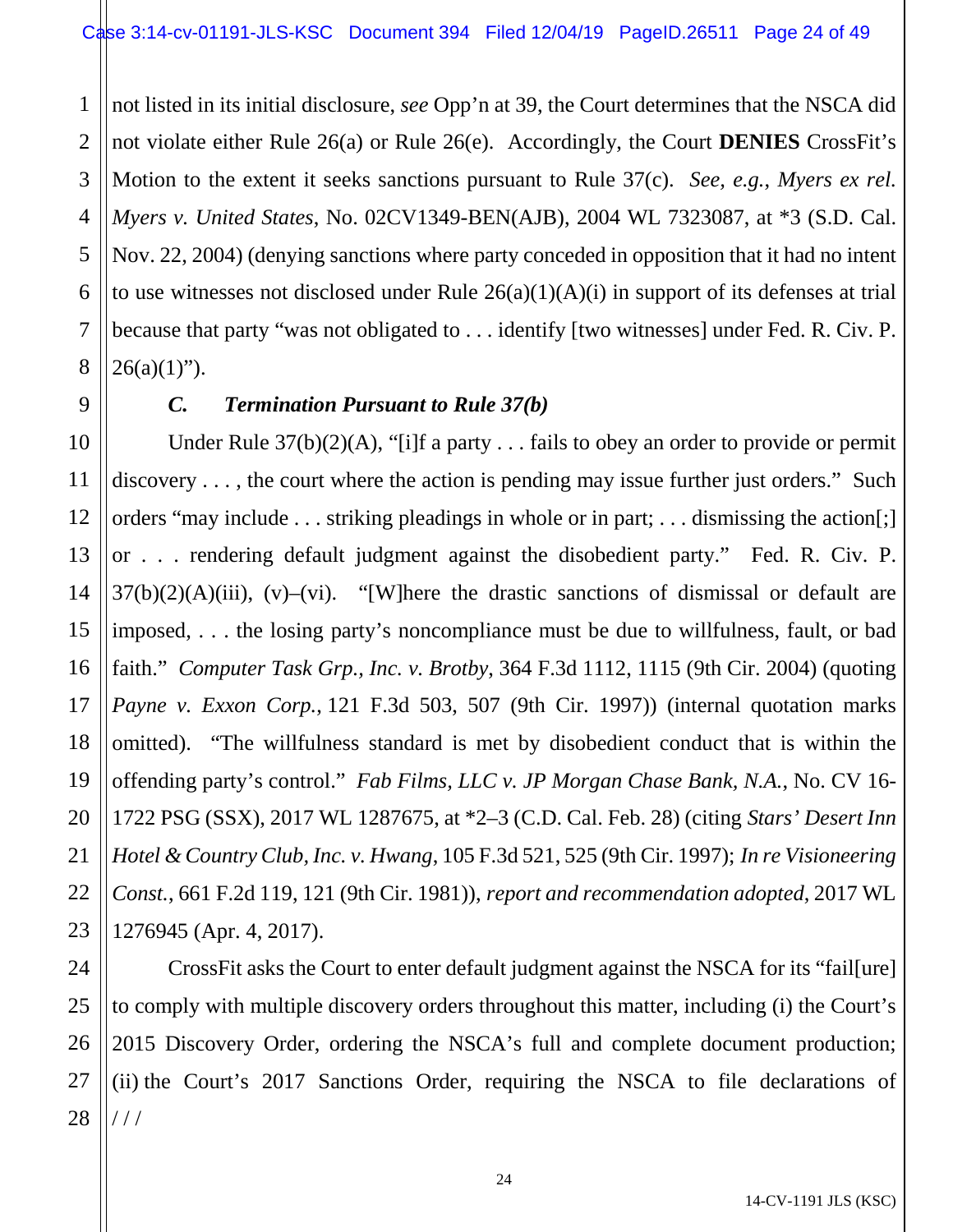1 2 3 4 5 6 7 8 not listed in its initial disclosure, *see* Opp'n at 39, the Court determines that the NSCA did not violate either Rule 26(a) or Rule 26(e). Accordingly, the Court **DENIES** CrossFit's Motion to the extent it seeks sanctions pursuant to Rule 37(c). *See, e.g.*, *Myers ex rel. Myers v. United States*, No. 02CV1349-BEN(AJB), 2004 WL 7323087, at \*3 (S.D. Cal. Nov. 22, 2004) (denying sanctions where party conceded in opposition that it had no intent to use witnesses not disclosed under Rule 26(a)(1)(A)(i) in support of its defenses at trial because that party "was not obligated to . . . identify [two witnesses] under Fed. R. Civ. P.  $26(a)(1)$ ").

9

11

21

# *C. Termination Pursuant to Rule 37(b)*

10 12 13 14 15 16 17 18 19 20 22 23 Under Rule  $37(b)(2)(A)$ , "[i]f a party . . . fails to obey an order to provide or permit discovery . . . , the court where the action is pending may issue further just orders." Such orders "may include . . . striking pleadings in whole or in part; . . . dismissing the action[;] or . . . rendering default judgment against the disobedient party." Fed. R. Civ. P.  $37(b)(2)(A)(iii)$ ,  $(v)$ – $(vi)$ . "[W]here the drastic sanctions of dismissal or default are imposed, . . . the losing party's noncompliance must be due to willfulness, fault, or bad faith." *Computer Task Grp., Inc. v. Brotby*, 364 F.3d 1112, 1115 (9th Cir. 2004) (quoting *Payne v. Exxon Corp.*, 121 F.3d 503, 507 (9th Cir. 1997)) (internal quotation marks omitted). "The willfulness standard is met by disobedient conduct that is within the offending party's control." *Fab Films, LLC v. JP Morgan Chase Bank, N.A.*, No. CV 16- 1722 PSG (SSX), 2017 WL 1287675, at \*2–3 (C.D. Cal. Feb. 28) (citing *Stars' Desert Inn Hotel & Country Club, Inc. v. Hwang*, 105 F.3d 521, 525 (9th Cir. 1997); *In re Visioneering Const.*, 661 F.2d 119, 121 (9th Cir. 1981)), *report and recommendation adopted*, 2017 WL 1276945 (Apr. 4, 2017).

24 25 26 27 28 CrossFit asks the Court to enter default judgment against the NSCA for its "fail[ure] to comply with multiple discovery orders throughout this matter, including (i) the Court's 2015 Discovery Order, ordering the NSCA's full and complete document production; (ii) the Court's 2017 Sanctions Order, requiring the NSCA to file declarations of / / /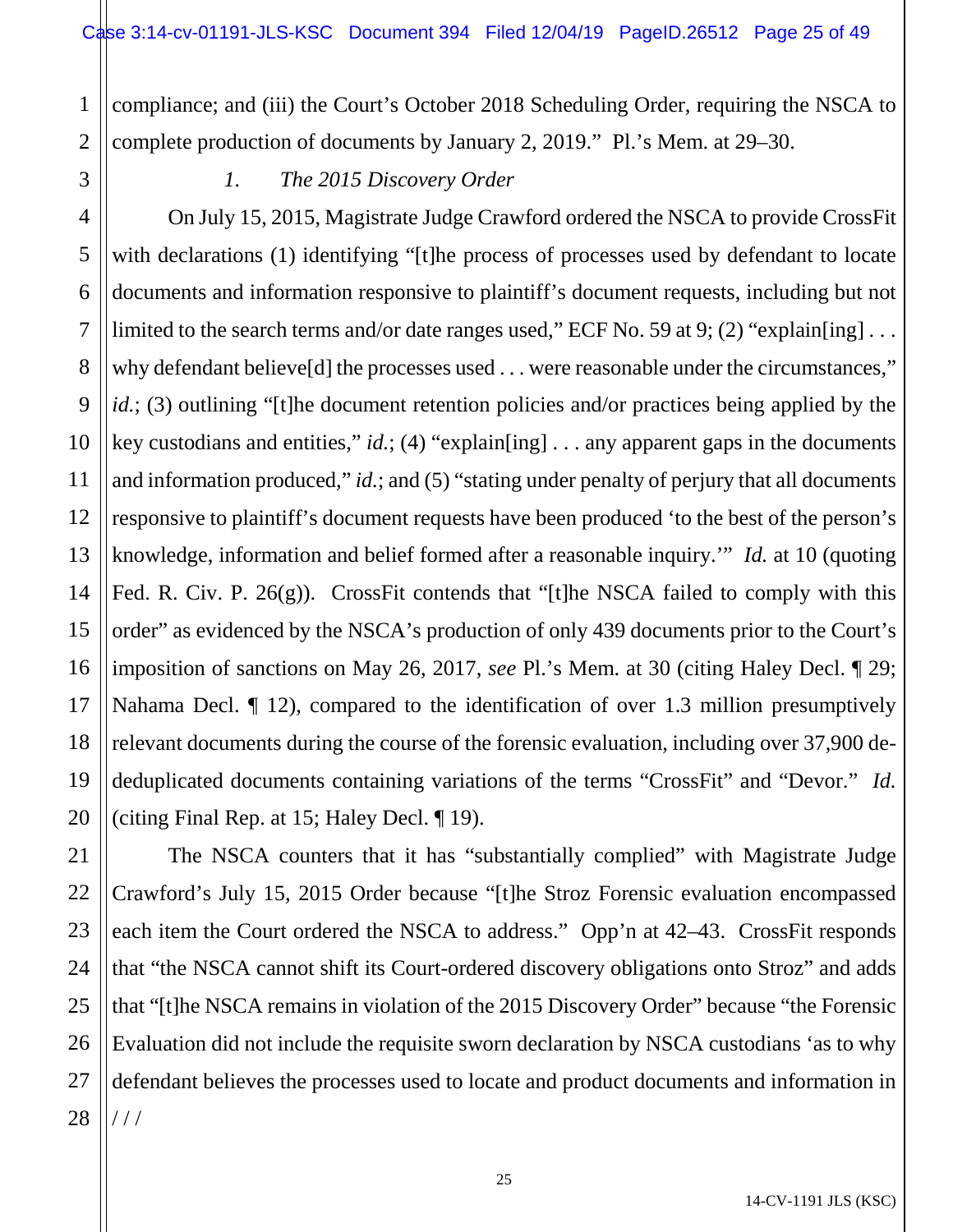1 2 compliance; and (iii) the Court's October 2018 Scheduling Order, requiring the NSCA to complete production of documents by January 2, 2019." Pl.'s Mem. at 29–30.

3

# *1. The 2015 Discovery Order*

4 5 6 7 8 9 10 11 12 13 14 15 16 17 18 19 20 On July 15, 2015, Magistrate Judge Crawford ordered the NSCA to provide CrossFit with declarations (1) identifying "[t]he process of processes used by defendant to locate documents and information responsive to plaintiff's document requests, including but not limited to the search terms and/or date ranges used," ECF No. 59 at 9; (2) "explain[ing]... why defendant believe [d] the processes used . . . were reasonable under the circumstances," *id.*; (3) outlining "[t]he document retention policies and/or practices being applied by the key custodians and entities," *id.*; (4) "explain[ing] . . . any apparent gaps in the documents and information produced," *id.*; and (5) "stating under penalty of perjury that all documents responsive to plaintiff's document requests have been produced 'to the best of the person's knowledge, information and belief formed after a reasonable inquiry.'" *Id.* at 10 (quoting Fed. R. Civ. P. 26(g)). CrossFit contends that "[t]he NSCA failed to comply with this order" as evidenced by the NSCA's production of only 439 documents prior to the Court's imposition of sanctions on May 26, 2017, *see* Pl.'s Mem. at 30 (citing Haley Decl. ¶ 29; Nahama Decl. ¶ 12), compared to the identification of over 1.3 million presumptively relevant documents during the course of the forensic evaluation, including over 37,900 dededuplicated documents containing variations of the terms "CrossFit" and "Devor." *Id.* (citing Final Rep. at 15; Haley Decl. ¶ 19).

21 22 23 24 25 26 27 28 The NSCA counters that it has "substantially complied" with Magistrate Judge Crawford's July 15, 2015 Order because "[t]he Stroz Forensic evaluation encompassed each item the Court ordered the NSCA to address." Opp'n at 42–43. CrossFit responds that "the NSCA cannot shift its Court-ordered discovery obligations onto Stroz" and adds that "[t]he NSCA remains in violation of the 2015 Discovery Order" because "the Forensic Evaluation did not include the requisite sworn declaration by NSCA custodians 'as to why defendant believes the processes used to locate and product documents and information in / / /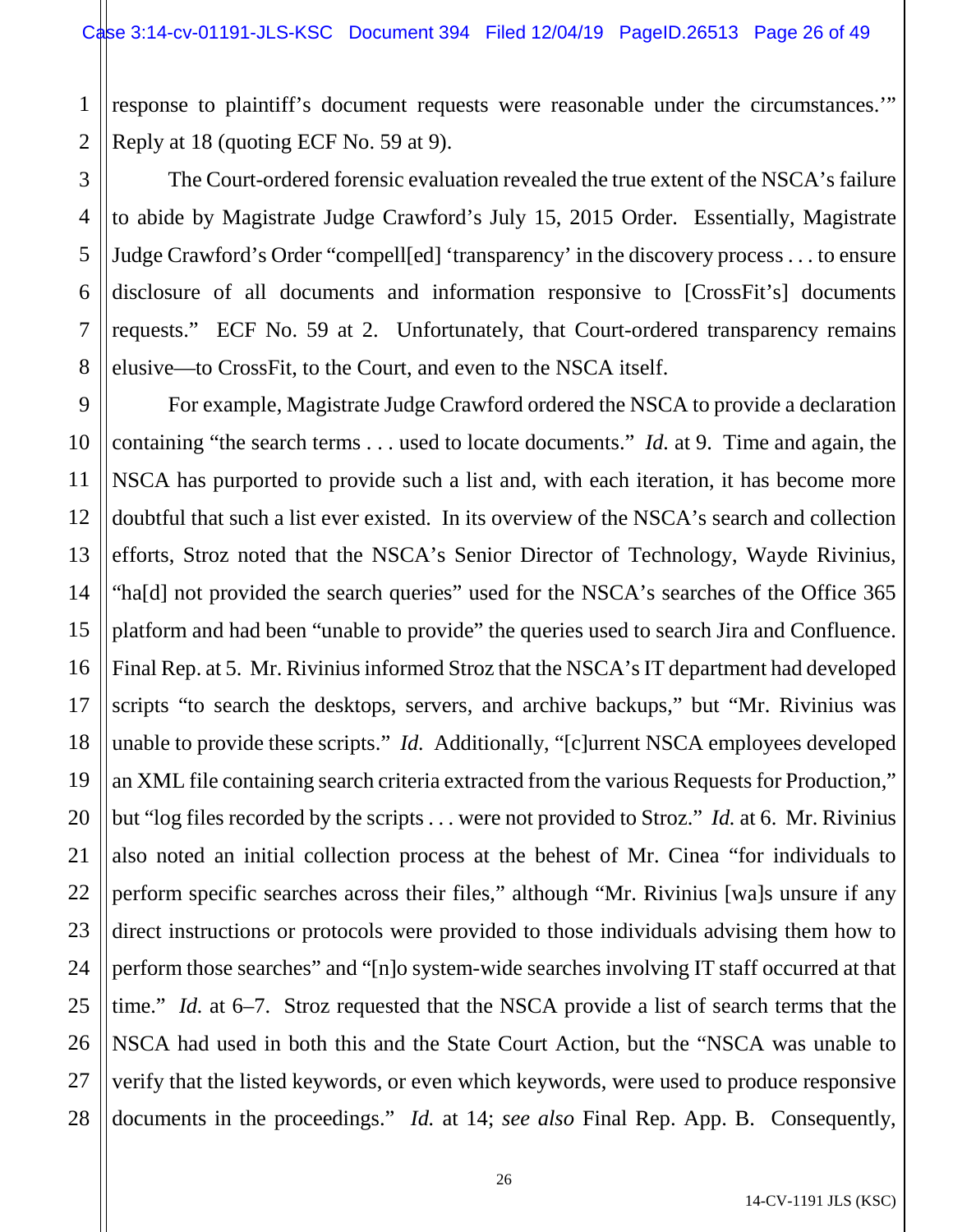1 2 response to plaintiff's document requests were reasonable under the circumstances.'" Reply at 18 (quoting ECF No. 59 at 9).

3

5

7

8

4 6 The Court-ordered forensic evaluation revealed the true extent of the NSCA's failure to abide by Magistrate Judge Crawford's July 15, 2015 Order. Essentially, Magistrate Judge Crawford's Order "compell[ed] 'transparency' in the discovery process . . . to ensure disclosure of all documents and information responsive to [CrossFit's] documents requests." ECF No. 59 at 2. Unfortunately, that Court-ordered transparency remains elusive—to CrossFit, to the Court, and even to the NSCA itself.

9 10 11 12 13 14 15 16 17 18 19 20 21 22 23 24 25 26 27 28 For example, Magistrate Judge Crawford ordered the NSCA to provide a declaration containing "the search terms . . . used to locate documents." *Id.* at 9. Time and again, the NSCA has purported to provide such a list and, with each iteration, it has become more doubtful that such a list ever existed. In its overview of the NSCA's search and collection efforts, Stroz noted that the NSCA's Senior Director of Technology, Wayde Rivinius, "ha[d] not provided the search queries" used for the NSCA's searches of the Office 365 platform and had been "unable to provide" the queries used to search Jira and Confluence. Final Rep. at 5. Mr. Rivinius informed Stroz that the NSCA's IT department had developed scripts "to search the desktops, servers, and archive backups," but "Mr. Rivinius was unable to provide these scripts." *Id.* Additionally, "[c]urrent NSCA employees developed an XML file containing search criteria extracted from the various Requests for Production," but "log files recorded by the scripts . . . were not provided to Stroz." *Id.* at 6. Mr. Rivinius also noted an initial collection process at the behest of Mr. Cinea "for individuals to perform specific searches across their files," although "Mr. Rivinius [wa]s unsure if any direct instructions or protocols were provided to those individuals advising them how to perform those searches" and "[n]o system-wide searches involving IT staff occurred at that time." *Id.* at 6–7. Stroz requested that the NSCA provide a list of search terms that the NSCA had used in both this and the State Court Action, but the "NSCA was unable to verify that the listed keywords, or even which keywords, were used to produce responsive documents in the proceedings." *Id.* at 14; *see also* Final Rep. App. B. Consequently,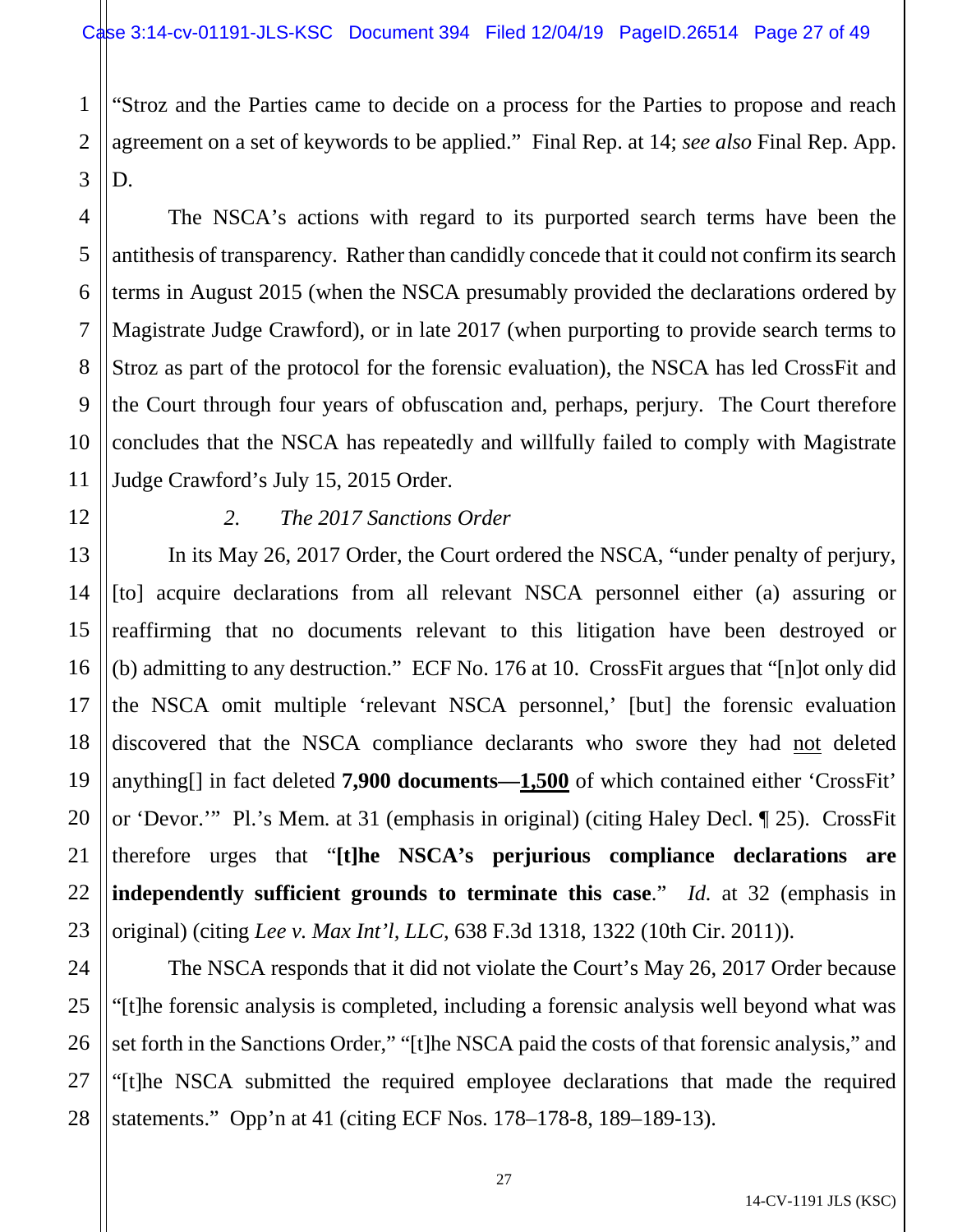1 "Stroz and the Parties came to decide on a process for the Parties to propose and reach agreement on a set of keywords to be applied." Final Rep. at 14; *see also* Final Rep. App. D.

The NSCA's actions with regard to its purported search terms have been the antithesis of transparency. Rather than candidly concede that it could not confirm its search terms in August 2015 (when the NSCA presumably provided the declarations ordered by Magistrate Judge Crawford), or in late 2017 (when purporting to provide search terms to Stroz as part of the protocol for the forensic evaluation), the NSCA has led CrossFit and the Court through four years of obfuscation and, perhaps, perjury. The Court therefore concludes that the NSCA has repeatedly and willfully failed to comply with Magistrate Judge Crawford's July 15, 2015 Order.

# *2. The 2017 Sanctions Order*

In its May 26, 2017 Order, the Court ordered the NSCA, "under penalty of perjury, [to] acquire declarations from all relevant NSCA personnel either (a) assuring or reaffirming that no documents relevant to this litigation have been destroyed or (b) admitting to any destruction." ECF No. 176 at 10. CrossFit argues that "[n]ot only did the NSCA omit multiple 'relevant NSCA personnel,' [but] the forensic evaluation discovered that the NSCA compliance declarants who swore they had not deleted anything[] in fact deleted **7,900 documents—1,500** of which contained either 'CrossFit' or 'Devor.'" Pl.'s Mem. at 31 (emphasis in original) (citing Haley Decl. ¶ 25). CrossFit therefore urges that "**[t]he NSCA's perjurious compliance declarations are independently sufficient grounds to terminate this case**." *Id.* at 32 (emphasis in original) (citing *Lee v. Max Int'l, LLC*, 638 F.3d 1318, 1322 (10th Cir. 2011)).

The NSCA responds that it did not violate the Court's May 26, 2017 Order because "[t]he forensic analysis is completed, including a forensic analysis well beyond what was set forth in the Sanctions Order," "[t]he NSCA paid the costs of that forensic analysis," and "[t]he NSCA submitted the required employee declarations that made the required statements." Opp'n at 41 (citing ECF Nos. 178–178-8, 189–189-13).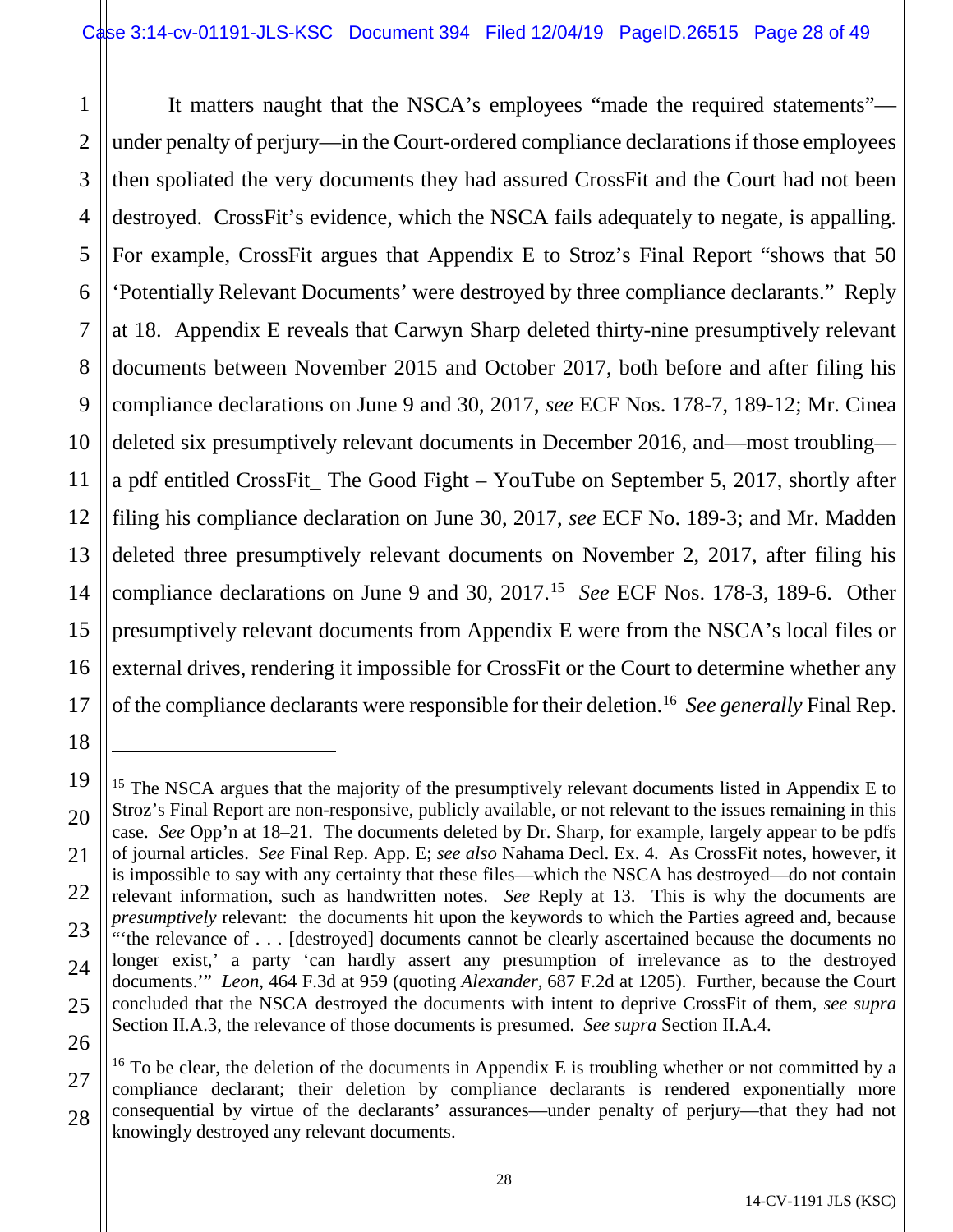1 2 3 4 5 6 7 8 9 10 11 12 13 14 15 16 17 It matters naught that the NSCA's employees "made the required statements" under penalty of perjury—in the Court-ordered compliance declarations if those employees then spoliated the very documents they had assured CrossFit and the Court had not been destroyed. CrossFit's evidence, which the NSCA fails adequately to negate, is appalling. For example, CrossFit argues that Appendix E to Stroz's Final Report "shows that 50 'Potentially Relevant Documents' were destroyed by three compliance declarants." Reply at 18. Appendix E reveals that Carwyn Sharp deleted thirty-nine presumptively relevant documents between November 2015 and October 2017, both before and after filing his compliance declarations on June 9 and 30, 2017, *see* ECF Nos. 178-7, 189-12; Mr. Cinea deleted six presumptively relevant documents in December 2016, and—most troubling a pdf entitled CrossFit\_ The Good Fight – YouTube on September 5, 2017, shortly after filing his compliance declaration on June 30, 2017, *see* ECF No. 189-3; and Mr. Madden deleted three presumptively relevant documents on November 2, 2017, after filing his compliance declarations on June 9 and 30, 2017.[15](#page-27-0) *See* ECF Nos. 178-3, 189-6. Other presumptively relevant documents from Appendix E were from the NSCA's local files or external drives, rendering it impossible for CrossFit or the Court to determine whether any of the compliance declarants were responsible for their deletion.[16](#page-27-1) *See generally* Final Rep.

18

 $\overline{a}$ 

<span id="page-27-0"></span><sup>19</sup> 20 21 22 23 24 25 26 <sup>15</sup> The NSCA argues that the majority of the presumptively relevant documents listed in Appendix E to Stroz's Final Report are non-responsive, publicly available, or not relevant to the issues remaining in this case. *See* Opp'n at 18–21. The documents deleted by Dr. Sharp, for example, largely appear to be pdfs of journal articles. *See* Final Rep. App. E; *see also* Nahama Decl. Ex. 4. As CrossFit notes, however, it is impossible to say with any certainty that these files—which the NSCA has destroyed—do not contain relevant information, such as handwritten notes. *See* Reply at 13. This is why the documents are *presumptively* relevant: the documents hit upon the keywords to which the Parties agreed and, because "'the relevance of . . . [destroyed] documents cannot be clearly ascertained because the documents no longer exist,' a party 'can hardly assert any presumption of irrelevance as to the destroyed documents.'" *Leon*, 464 F.3d at 959 (quoting *Alexander*, 687 F.2d at 1205). Further, because the Court concluded that the NSCA destroyed the documents with intent to deprive CrossFit of them, *see supra*  Section II.A.3, the relevance of those documents is presumed. *See supra* Section II.A.4.

<span id="page-27-1"></span><sup>27</sup> 28  $16$  To be clear, the deletion of the documents in Appendix E is troubling whether or not committed by a compliance declarant; their deletion by compliance declarants is rendered exponentially more consequential by virtue of the declarants' assurances—under penalty of perjury—that they had not knowingly destroyed any relevant documents.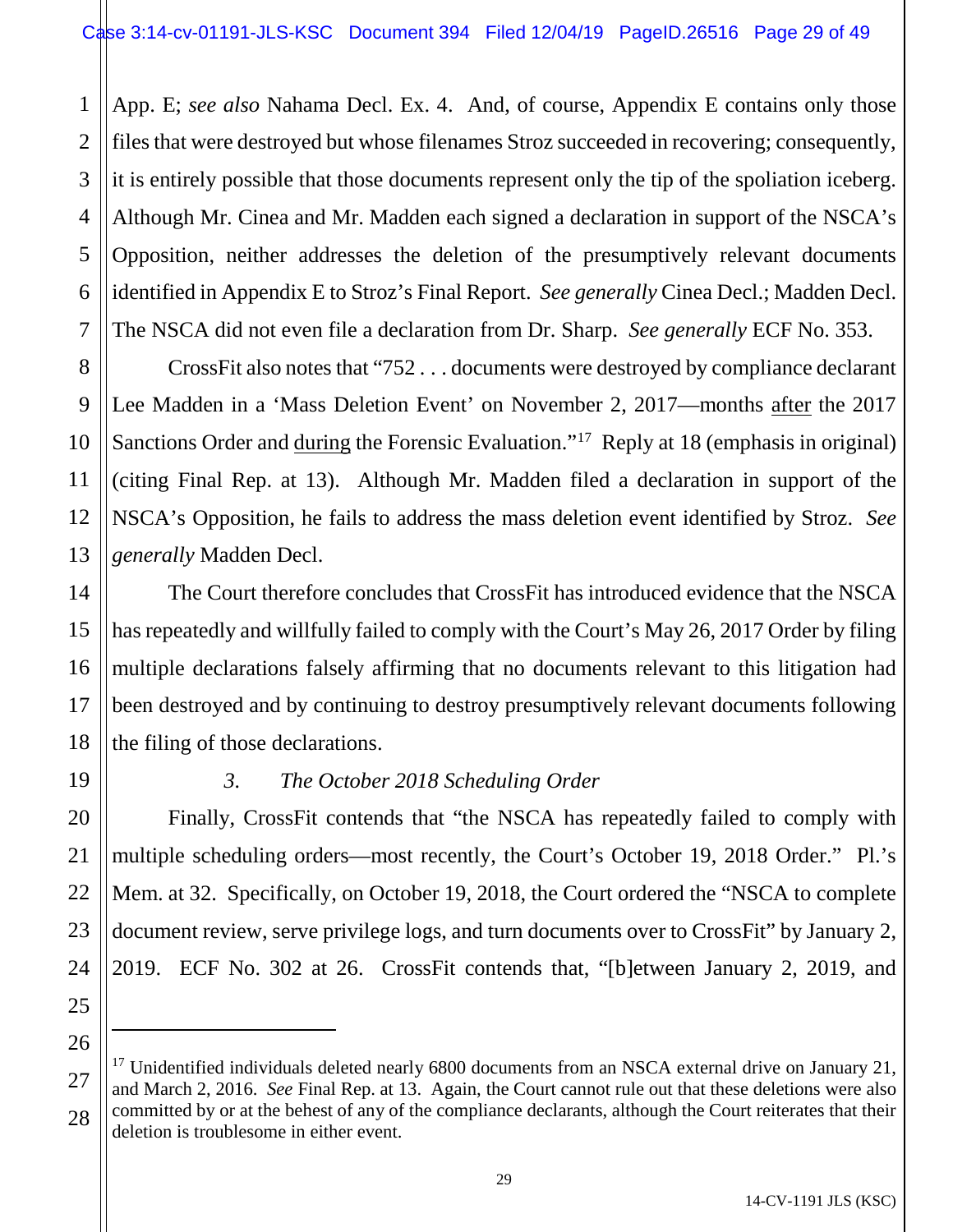1 2 3 4 5 6 7 App. E; *see also* Nahama Decl. Ex. 4. And, of course, Appendix E contains only those files that were destroyed but whose filenames Stroz succeeded in recovering; consequently, it is entirely possible that those documents represent only the tip of the spoliation iceberg. Although Mr. Cinea and Mr. Madden each signed a declaration in support of the NSCA's Opposition, neither addresses the deletion of the presumptively relevant documents identified in Appendix E to Stroz's Final Report. *See generally* Cinea Decl.; Madden Decl. The NSCA did not even file a declaration from Dr. Sharp. *See generally* ECF No. 353.

8 9 10 11 12 13 CrossFit also notes that "752 . . . documents were destroyed by compliance declarant Lee Madden in a 'Mass Deletion Event' on November 2, 2017—months after the 2017 Sanctions Order and during the Forensic Evaluation."<sup>[17](#page-28-0)</sup> Reply at 18 (emphasis in original) (citing Final Rep. at 13). Although Mr. Madden filed a declaration in support of the NSCA's Opposition, he fails to address the mass deletion event identified by Stroz. *See generally* Madden Decl.

The Court therefore concludes that CrossFit has introduced evidence that the NSCA has repeatedly and willfully failed to comply with the Court's May 26, 2017 Order by filing multiple declarations falsely affirming that no documents relevant to this litigation had been destroyed and by continuing to destroy presumptively relevant documents following the filing of those declarations.

14

15

16

17

18

19

20

# *3. The October 2018 Scheduling Order*

Finally, CrossFit contends that "the NSCA has repeatedly failed to comply with multiple scheduling orders—most recently, the Court's October 19, 2018 Order." Pl.'s Mem. at 32. Specifically, on October 19, 2018, the Court ordered the "NSCA to complete document review, serve privilege logs, and turn documents over to CrossFit" by January 2, 2019. ECF No. 302 at 26. CrossFit contends that, "[b]etween January 2, 2019, and

 $\overline{a}$ 

<sup>21</sup> 22 23 24 25 26 27 28

<span id="page-28-0"></span><sup>&</sup>lt;sup>17</sup> Unidentified individuals deleted nearly 6800 documents from an NSCA external drive on January 21, and March 2, 2016. *See* Final Rep. at 13. Again, the Court cannot rule out that these deletions were also committed by or at the behest of any of the compliance declarants, although the Court reiterates that their deletion is troublesome in either event.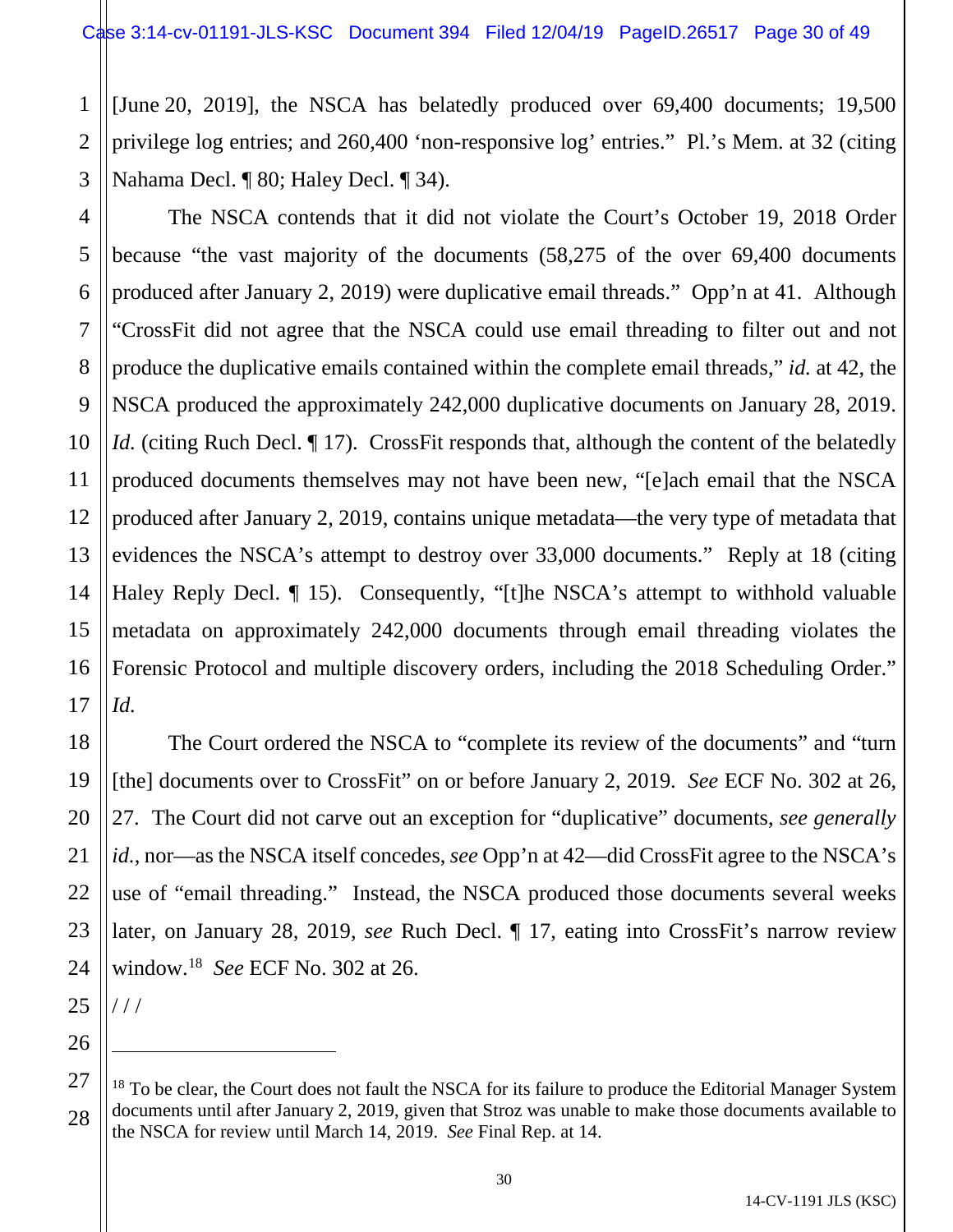1 2 3 [June 20, 2019], the NSCA has belatedly produced over 69,400 documents; 19,500 privilege log entries; and 260,400 'non-responsive log' entries." Pl.'s Mem. at 32 (citing Nahama Decl. ¶ 80; Haley Decl. ¶ 34).

4 5 6 7 8 9 10 11 12 13 14 15 16 17 The NSCA contends that it did not violate the Court's October 19, 2018 Order because "the vast majority of the documents (58,275 of the over 69,400 documents produced after January 2, 2019) were duplicative email threads." Opp'n at 41. Although "CrossFit did not agree that the NSCA could use email threading to filter out and not produce the duplicative emails contained within the complete email threads," *id.* at 42, the NSCA produced the approximately 242,000 duplicative documents on January 28, 2019. *Id.* (citing Ruch Decl. ¶ 17). CrossFit responds that, although the content of the belatedly produced documents themselves may not have been new, "[e]ach email that the NSCA produced after January 2, 2019, contains unique metadata—the very type of metadata that evidences the NSCA's attempt to destroy over 33,000 documents." Reply at 18 (citing Haley Reply Decl. *[15]*. Consequently, "[t]he NSCA's attempt to withhold valuable metadata on approximately 242,000 documents through email threading violates the Forensic Protocol and multiple discovery orders, including the 2018 Scheduling Order." *Id.*

18 19 20 21 22 23 24 The Court ordered the NSCA to "complete its review of the documents" and "turn [the] documents over to CrossFit" on or before January 2, 2019. *See* ECF No. 302 at 26, 27. The Court did not carve out an exception for "duplicative" documents, *see generally id.*, nor—as the NSCA itself concedes, *see* Opp'n at 42—did CrossFit agree to the NSCA's use of "email threading." Instead, the NSCA produced those documents several weeks later, on January 28, 2019, *see* Ruch Decl. ¶ 17, eating into CrossFit's narrow review window.[18](#page-29-0) *See* ECF No. 302 at 26.

25 / / /

 $\overline{a}$ 

<span id="page-29-0"></span><sup>27</sup> 28  $18$  To be clear, the Court does not fault the NSCA for its failure to produce the Editorial Manager System documents until after January 2, 2019, given that Stroz was unable to make those documents available to the NSCA for review until March 14, 2019. *See* Final Rep. at 14.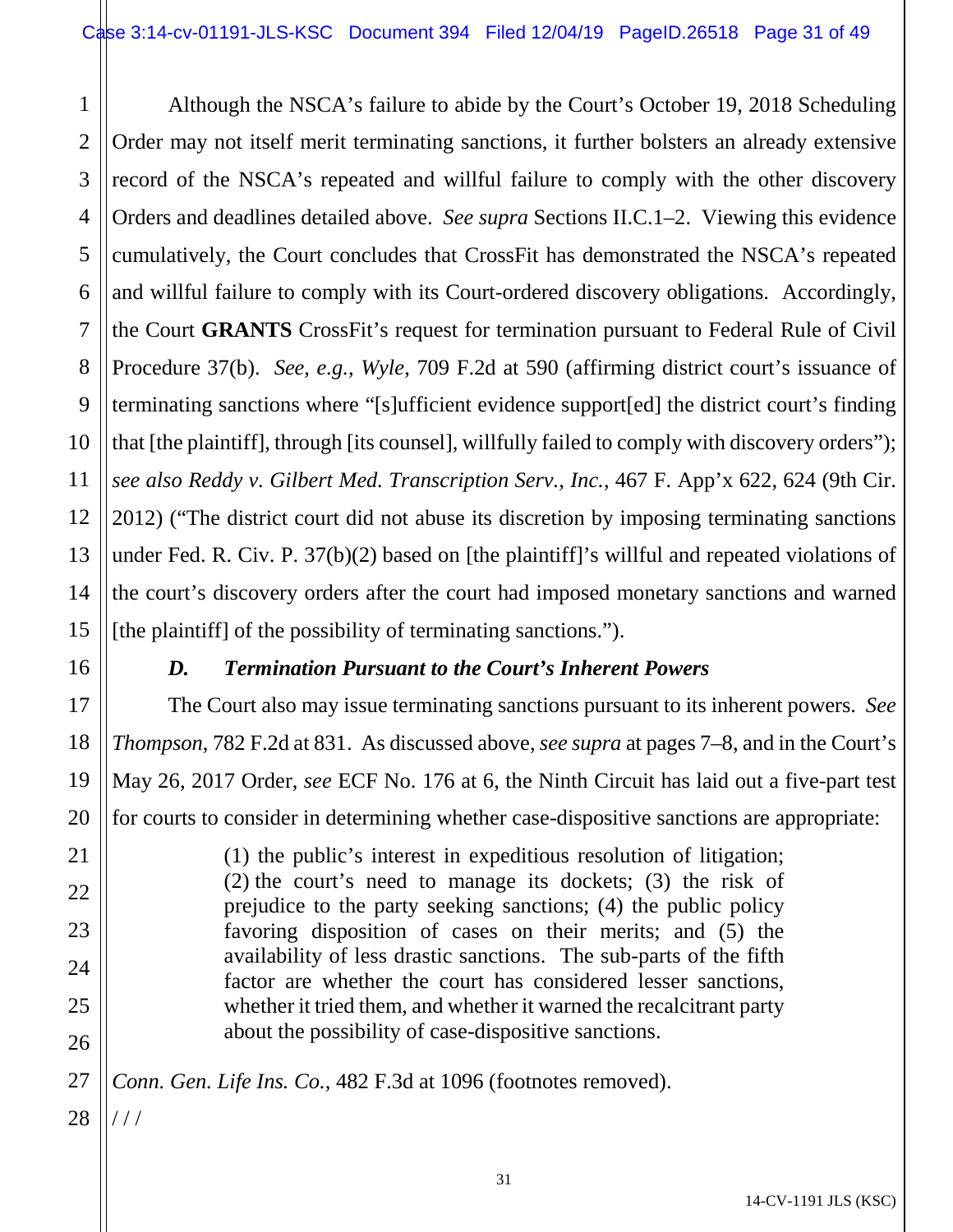3 4 5 6 8 9 10 12 13 14 15 Although the NSCA's failure to abide by the Court's October 19, 2018 Scheduling Order may not itself merit terminating sanctions, it further bolsters an already extensive record of the NSCA's repeated and willful failure to comply with the other discovery Orders and deadlines detailed above. *See supra* Sections II.C.1–2. Viewing this evidence cumulatively, the Court concludes that CrossFit has demonstrated the NSCA's repeated and willful failure to comply with its Court-ordered discovery obligations. Accordingly, the Court **GRANTS** CrossFit's request for termination pursuant to Federal Rule of Civil Procedure 37(b). *See, e.g.*, *Wyle*, 709 F.2d at 590 (affirming district court's issuance of terminating sanctions where "[s]ufficient evidence support[ed] the district court's finding that [the plaintiff], through [its counsel], willfully failed to comply with discovery orders"); *see also Reddy v. Gilbert Med. Transcription Serv., Inc.*, 467 F. App'x 622, 624 (9th Cir. 2012) ("The district court did not abuse its discretion by imposing terminating sanctions under Fed. R. Civ. P. 37(b)(2) based on [the plaintiff]'s willful and repeated violations of the court's discovery orders after the court had imposed monetary sanctions and warned [the plaintiff] of the possibility of terminating sanctions.").

1

2

7

11

16

17

18

19

20

21

22

23

24

25

26

27

# *D. Termination Pursuant to the Court's Inherent Powers*

The Court also may issue terminating sanctions pursuant to its inherent powers. *See Thompson*, 782 F.2d at 831. As discussed above, *see supra* at pages 7–8, and in the Court's May 26, 2017 Order, *see* ECF No. 176 at 6, the Ninth Circuit has laid out a five-part test for courts to consider in determining whether case-dispositive sanctions are appropriate:

> (1) the public's interest in expeditious resolution of litigation; (2) the court's need to manage its dockets; (3) the risk of prejudice to the party seeking sanctions; (4) the public policy favoring disposition of cases on their merits; and (5) the availability of less drastic sanctions. The sub-parts of the fifth factor are whether the court has considered lesser sanctions, whether it tried them, and whether it warned the recalcitrant party about the possibility of case-dispositive sanctions.

*Conn. Gen. Life Ins. Co.*, 482 F.3d at 1096 (footnotes removed).

28 / / /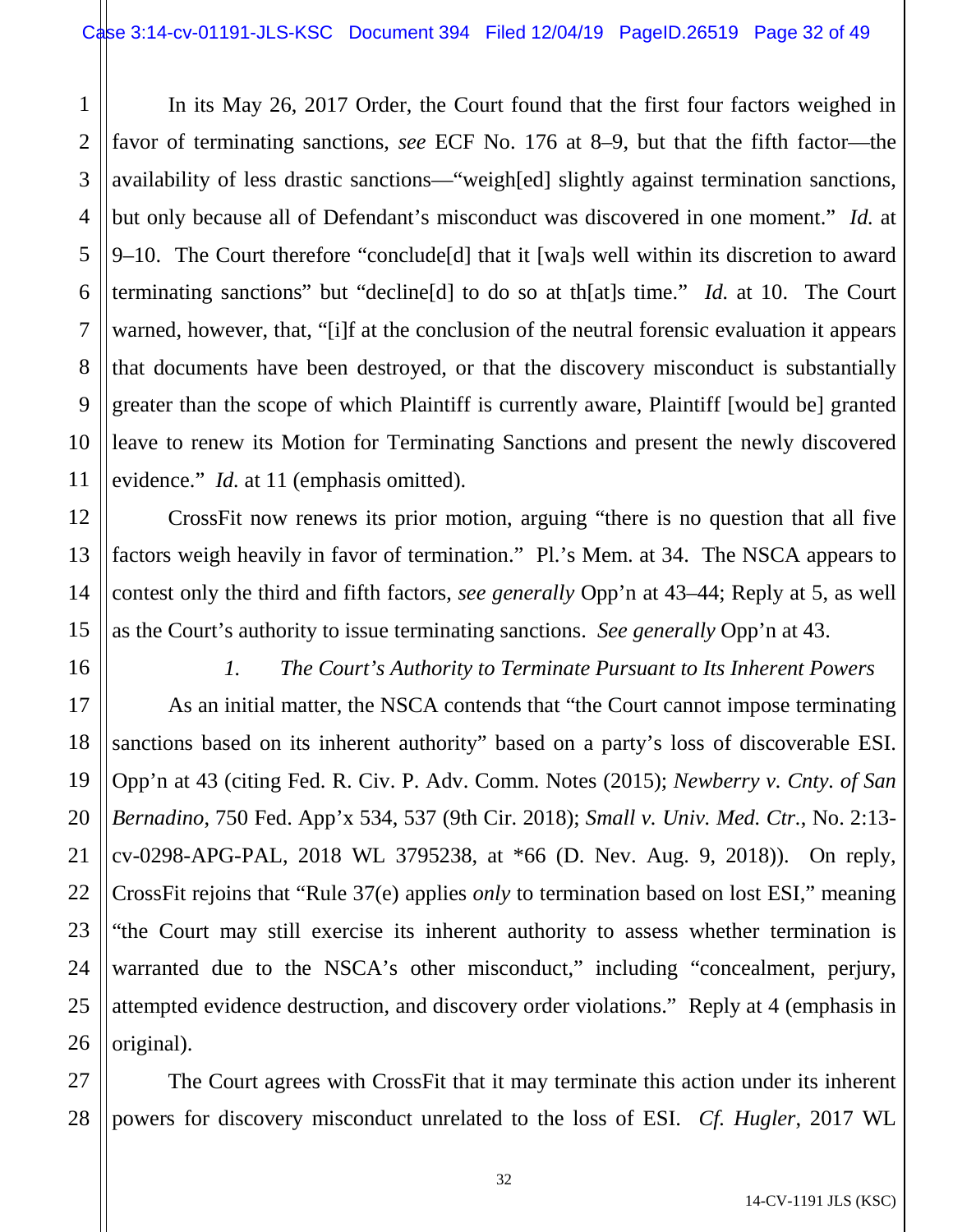1 2 3 4 5 6 7 8 9 10 11 In its May 26, 2017 Order, the Court found that the first four factors weighed in favor of terminating sanctions, *see* ECF No. 176 at 8–9, but that the fifth factor—the availability of less drastic sanctions—"weigh[ed] slightly against termination sanctions, but only because all of Defendant's misconduct was discovered in one moment." *Id.* at 9–10. The Court therefore "conclude[d] that it [wa]s well within its discretion to award terminating sanctions" but "decline[d] to do so at th[at]s time." *Id.* at 10. The Court warned, however, that, "[i]f at the conclusion of the neutral forensic evaluation it appears that documents have been destroyed, or that the discovery misconduct is substantially greater than the scope of which Plaintiff is currently aware, Plaintiff [would be] granted leave to renew its Motion for Terminating Sanctions and present the newly discovered evidence." *Id.* at 11 (emphasis omitted).

CrossFit now renews its prior motion, arguing "there is no question that all five factors weigh heavily in favor of termination." Pl.'s Mem. at 34. The NSCA appears to contest only the third and fifth factors, *see generally* Opp'n at 43–44; Reply at 5, as well as the Court's authority to issue terminating sanctions. *See generally* Opp'n at 43.

16 17 18

19

20

21

22

23

24

25

26

12

13

14

15

*1. The Court's Authority to Terminate Pursuant to Its Inherent Powers*

As an initial matter, the NSCA contends that "the Court cannot impose terminating sanctions based on its inherent authority" based on a party's loss of discoverable ESI. Opp'n at 43 (citing Fed. R. Civ. P. Adv. Comm. Notes (2015); *Newberry v. Cnty. of San Bernadino*, 750 Fed. App'x 534, 537 (9th Cir. 2018); *Small v. Univ. Med. Ctr.*, No. 2:13 cv-0298-APG-PAL, 2018 WL 3795238, at \*66 (D. Nev. Aug. 9, 2018)). On reply, CrossFit rejoins that "Rule 37(e) applies *only* to termination based on lost ESI," meaning "the Court may still exercise its inherent authority to assess whether termination is warranted due to the NSCA's other misconduct," including "concealment, perjury, attempted evidence destruction, and discovery order violations." Reply at 4 (emphasis in original).

27 28 The Court agrees with CrossFit that it may terminate this action under its inherent powers for discovery misconduct unrelated to the loss of ESI. *Cf. Hugler*, 2017 WL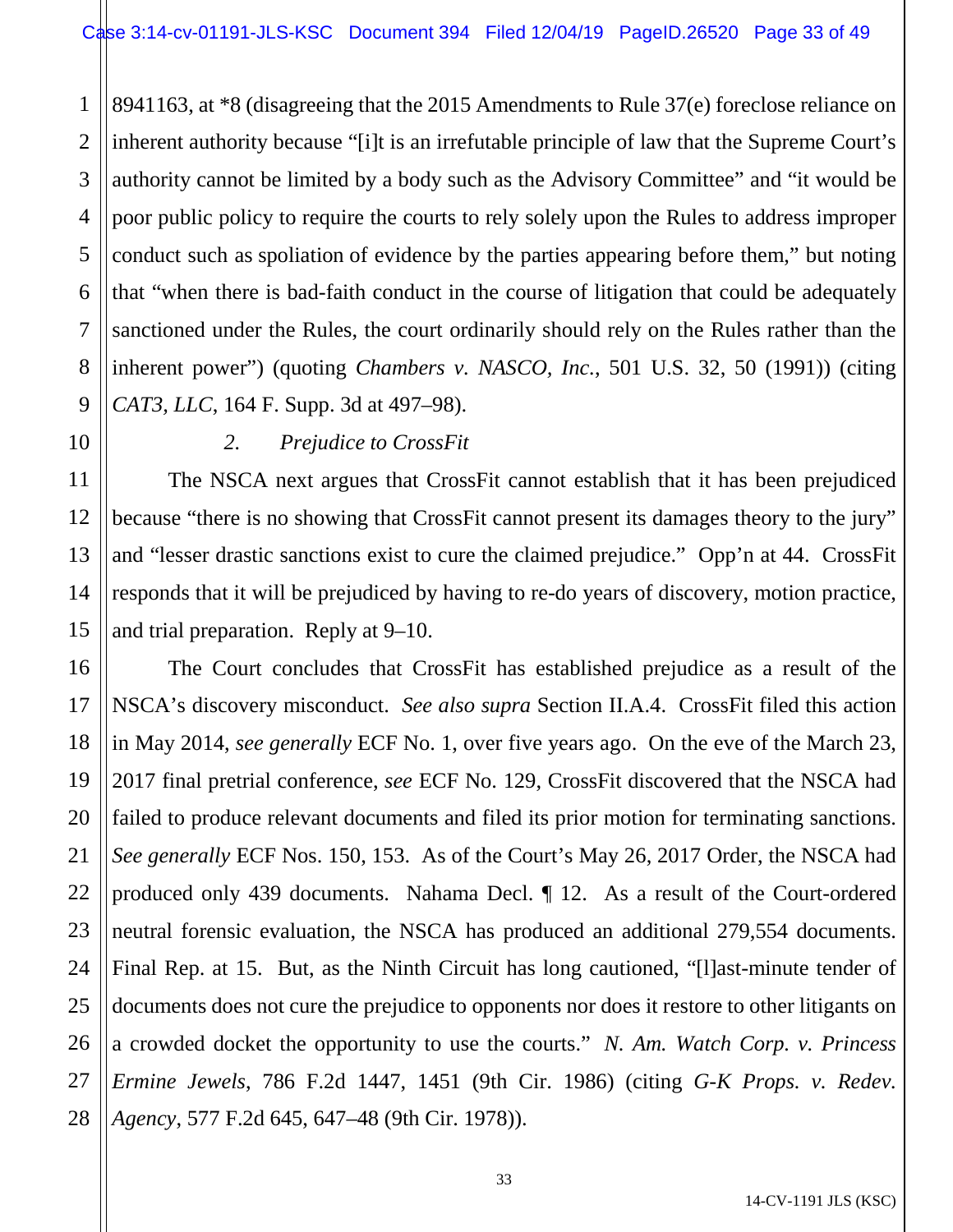1 2 3 4 8941163, at \*8 (disagreeing that the 2015 Amendments to Rule 37(e) foreclose reliance on inherent authority because "[i]t is an irrefutable principle of law that the Supreme Court's authority cannot be limited by a body such as the Advisory Committee" and "it would be poor public policy to require the courts to rely solely upon the Rules to address improper conduct such as spoliation of evidence by the parties appearing before them," but noting that "when there is bad-faith conduct in the course of litigation that could be adequately sanctioned under the Rules, the court ordinarily should rely on the Rules rather than the inherent power") (quoting *Chambers v. NASCO, Inc.*, 501 U.S. 32, 50 (1991)) (citing *CAT3, LLC*, 164 F. Supp. 3d at 497–98).

# *2. Prejudice to CrossFit*

The NSCA next argues that CrossFit cannot establish that it has been prejudiced because "there is no showing that CrossFit cannot present its damages theory to the jury" and "lesser drastic sanctions exist to cure the claimed prejudice." Opp'n at 44. CrossFit responds that it will be prejudiced by having to re-do years of discovery, motion practice, and trial preparation. Reply at 9–10.

The Court concludes that CrossFit has established prejudice as a result of the NSCA's discovery misconduct. *See also supra* Section II.A.4. CrossFit filed this action in May 2014, *see generally* ECF No. 1, over five years ago. On the eve of the March 23, 2017 final pretrial conference, *see* ECF No. 129, CrossFit discovered that the NSCA had failed to produce relevant documents and filed its prior motion for terminating sanctions. *See generally* ECF Nos. 150, 153. As of the Court's May 26, 2017 Order, the NSCA had produced only 439 documents. Nahama Decl. ¶ 12. As a result of the Court-ordered neutral forensic evaluation, the NSCA has produced an additional 279,554 documents. Final Rep. at 15. But, as the Ninth Circuit has long cautioned, "[l]ast-minute tender of documents does not cure the prejudice to opponents nor does it restore to other litigants on a crowded docket the opportunity to use the courts." *N. Am. Watch Corp. v. Princess Ermine Jewels*, 786 F.2d 1447, 1451 (9th Cir. 1986) (citing *G-K Props. v. Redev. Agency*, 577 F.2d 645, 647–48 (9th Cir. 1978)).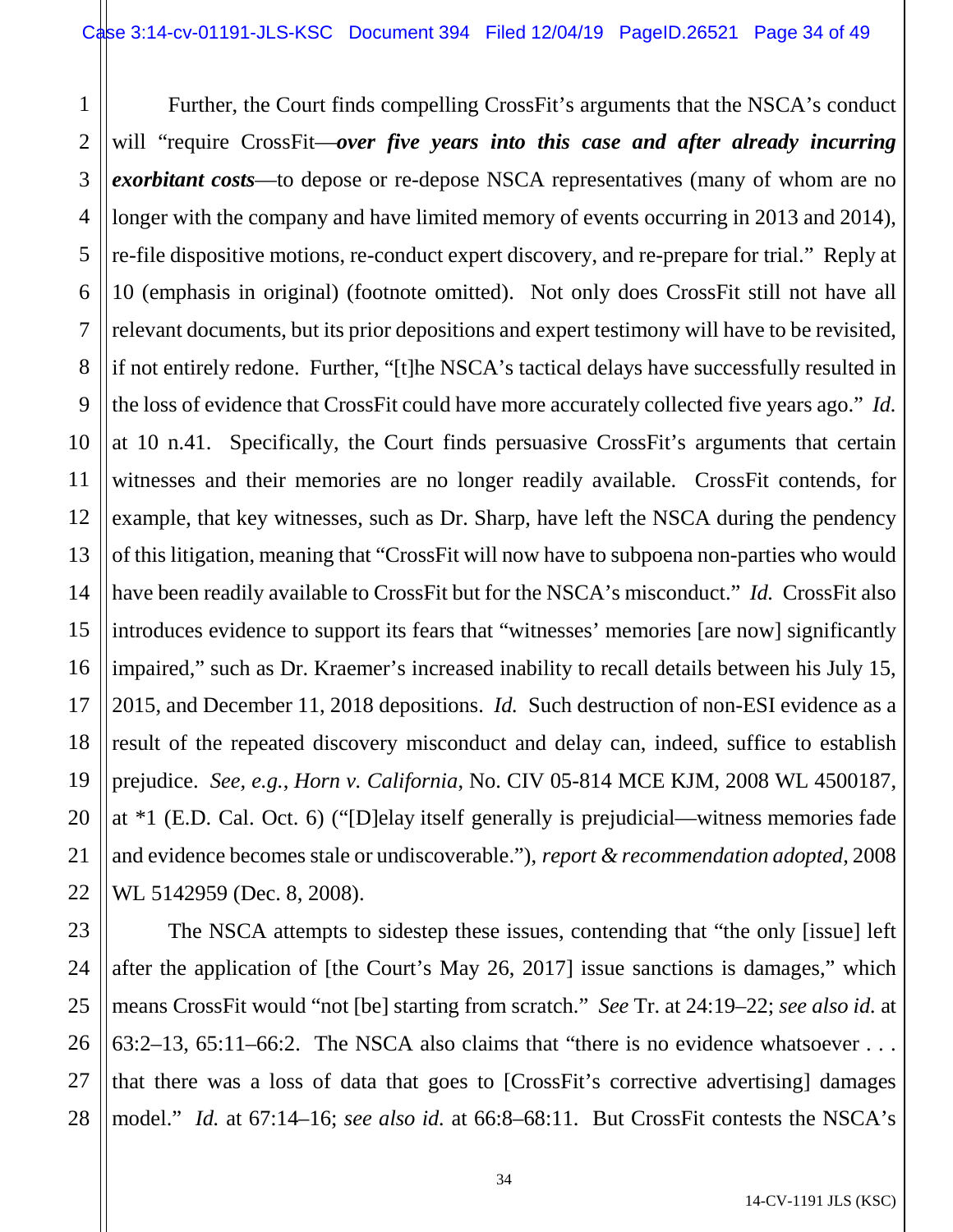1 2 3 4 5 6 7 8 9 10 11 12 13 14 15 16 17 18 19 20 21 22 Further, the Court finds compelling CrossFit's arguments that the NSCA's conduct will "require CrossFit—over five years into this case and after already incurring *exorbitant costs*—to depose or re-depose NSCA representatives (many of whom are no longer with the company and have limited memory of events occurring in 2013 and 2014), re-file dispositive motions, re-conduct expert discovery, and re-prepare for trial." Reply at 10 (emphasis in original) (footnote omitted). Not only does CrossFit still not have all relevant documents, but its prior depositions and expert testimony will have to be revisited, if not entirely redone. Further, "[t]he NSCA's tactical delays have successfully resulted in the loss of evidence that CrossFit could have more accurately collected five years ago." *Id.* at 10 n.41. Specifically, the Court finds persuasive CrossFit's arguments that certain witnesses and their memories are no longer readily available. CrossFit contends, for example, that key witnesses, such as Dr. Sharp, have left the NSCA during the pendency of this litigation, meaning that "CrossFit will now have to subpoena non-parties who would have been readily available to CrossFit but for the NSCA's misconduct." *Id.* CrossFit also introduces evidence to support its fears that "witnesses' memories [are now] significantly impaired," such as Dr. Kraemer's increased inability to recall details between his July 15, 2015, and December 11, 2018 depositions. *Id.* Such destruction of non-ESI evidence as a result of the repeated discovery misconduct and delay can, indeed, suffice to establish prejudice. *See, e.g.*, *Horn v. California*, No. CIV 05-814 MCE KJM, 2008 WL 4500187, at \*1 (E.D. Cal. Oct. 6) ("[D]elay itself generally is prejudicial—witness memories fade and evidence becomes stale or undiscoverable."), *report & recommendation adopted*, 2008 WL 5142959 (Dec. 8, 2008).

23 24 25 26 27 28 The NSCA attempts to sidestep these issues, contending that "the only [issue] left after the application of [the Court's May 26, 2017] issue sanctions is damages," which means CrossFit would "not [be] starting from scratch." *See* Tr. at 24:19–22; *see also id.* at 63:2–13, 65:11–66:2. The NSCA also claims that "there is no evidence whatsoever . . . that there was a loss of data that goes to [CrossFit's corrective advertising] damages model." *Id.* at 67:14–16; *see also id.* at 66:8–68:11. But CrossFit contests the NSCA's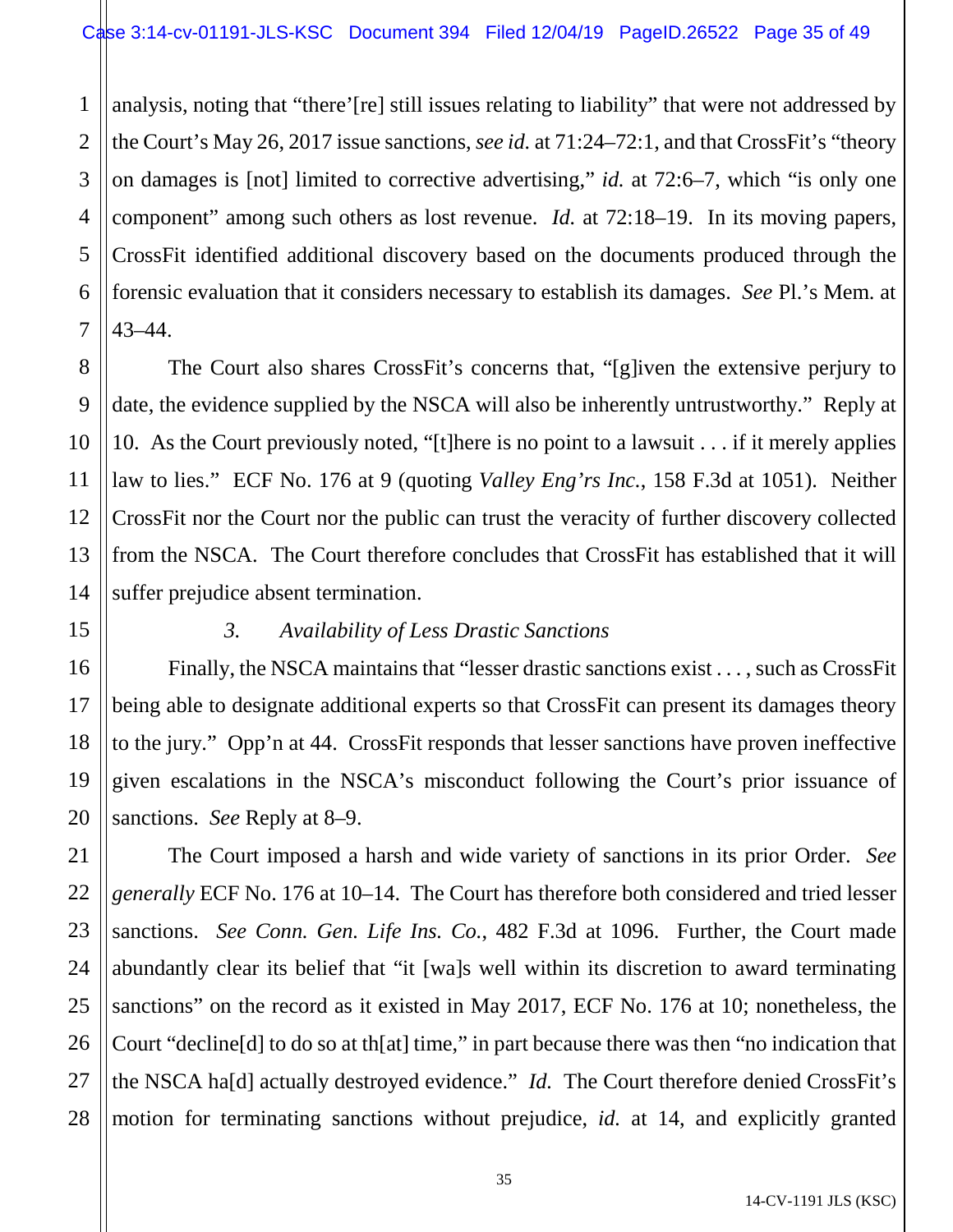1 2 3 4 analysis, noting that "there'[re] still issues relating to liability" that were not addressed by the Court's May 26, 2017 issue sanctions, *see id.* at 71:24–72:1, and that CrossFit's "theory on damages is [not] limited to corrective advertising," *id.* at 72:6–7, which "is only one component" among such others as lost revenue. *Id.* at 72:18–19. In its moving papers, CrossFit identified additional discovery based on the documents produced through the forensic evaluation that it considers necessary to establish its damages. *See* Pl.'s Mem. at 43–44.

The Court also shares CrossFit's concerns that, "[g]iven the extensive perjury to date, the evidence supplied by the NSCA will also be inherently untrustworthy." Reply at 10. As the Court previously noted, "[t]here is no point to a lawsuit . . . if it merely applies law to lies." ECF No. 176 at 9 (quoting *Valley Eng'rs Inc.*, 158 F.3d at 1051). Neither CrossFit nor the Court nor the public can trust the veracity of further discovery collected from the NSCA. The Court therefore concludes that CrossFit has established that it will suffer prejudice absent termination.

# *3. Availability of Less Drastic Sanctions*

Finally, the NSCA maintains that "lesser drastic sanctions exist . . . , such as CrossFit being able to designate additional experts so that CrossFit can present its damages theory to the jury." Opp'n at 44. CrossFit responds that lesser sanctions have proven ineffective given escalations in the NSCA's misconduct following the Court's prior issuance of sanctions. *See* Reply at 8–9.

The Court imposed a harsh and wide variety of sanctions in its prior Order. *See generally* ECF No. 176 at 10–14. The Court has therefore both considered and tried lesser sanctions. *See Conn. Gen. Life Ins. Co.*, 482 F.3d at 1096. Further, the Court made abundantly clear its belief that "it [wa]s well within its discretion to award terminating sanctions" on the record as it existed in May 2017, ECF No. 176 at 10; nonetheless, the Court "decline[d] to do so at th[at] time," in part because there was then "no indication that the NSCA ha[d] actually destroyed evidence." *Id.* The Court therefore denied CrossFit's motion for terminating sanctions without prejudice, *id.* at 14, and explicitly granted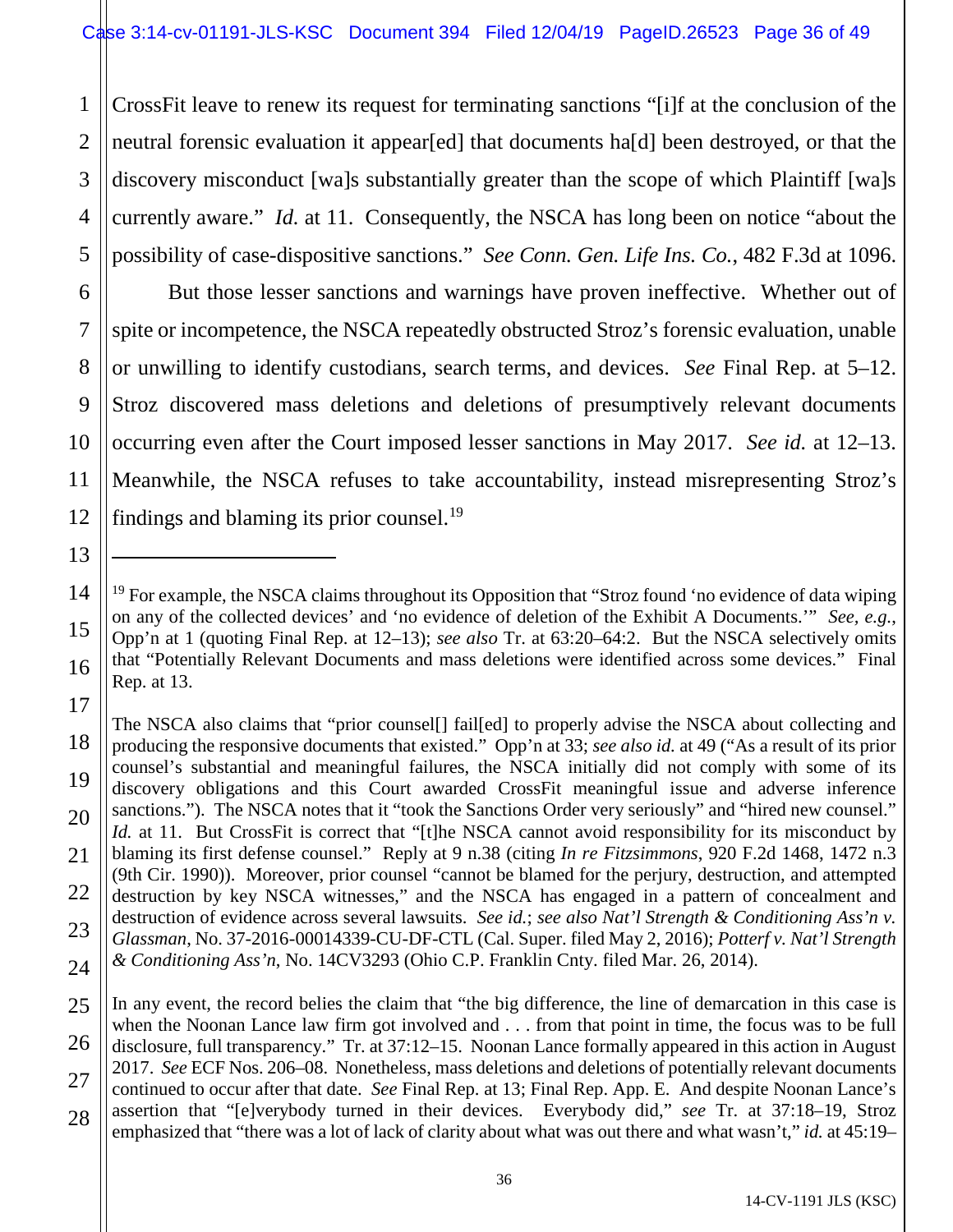1 2 3 4 5 CrossFit leave to renew its request for terminating sanctions "[i]f at the conclusion of the neutral forensic evaluation it appear[ed] that documents ha[d] been destroyed, or that the discovery misconduct [wa]s substantially greater than the scope of which Plaintiff [wa]s currently aware." *Id.* at 11. Consequently, the NSCA has long been on notice "about the possibility of case-dispositive sanctions." *See Conn. Gen. Life Ins. Co.*, 482 F.3d at 1096.

6

7

8

9

10

11

12

13

 $\overline{a}$ 

15

16

17

But those lesser sanctions and warnings have proven ineffective. Whether out of spite or incompetence, the NSCA repeatedly obstructed Stroz's forensic evaluation, unable or unwilling to identify custodians, search terms, and devices. *See* Final Rep. at 5–12. Stroz discovered mass deletions and deletions of presumptively relevant documents occurring even after the Court imposed lesser sanctions in May 2017. *See id.* at 12–13. Meanwhile, the NSCA refuses to take accountability, instead misrepresenting Stroz's findings and blaming its prior counsel.<sup>19</sup>

18 19 20 21 22 23 24 The NSCA also claims that "prior counsel[] fail[ed] to properly advise the NSCA about collecting and producing the responsive documents that existed." Opp'n at 33; *see also id.* at 49 ("As a result of its prior counsel's substantial and meaningful failures, the NSCA initially did not comply with some of its discovery obligations and this Court awarded CrossFit meaningful issue and adverse inference sanctions."). The NSCA notes that it "took the Sanctions Order very seriously" and "hired new counsel." *Id.* at 11. But CrossFit is correct that "[t]he NSCA cannot avoid responsibility for its misconduct by blaming its first defense counsel." Reply at 9 n.38 (citing *In re Fitzsimmons*, 920 F.2d 1468, 1472 n.3 (9th Cir. 1990)). Moreover, prior counsel "cannot be blamed for the perjury, destruction, and attempted destruction by key NSCA witnesses," and the NSCA has engaged in a pattern of concealment and destruction of evidence across several lawsuits. *See id.*; *see also Nat'l Strength & Conditioning Ass'n v. Glassman*, No. 37-2016-00014339-CU-DF-CTL (Cal. Super. filed May 2, 2016); *Potterf v. Nat'l Strength & Conditioning Ass'n*, No. 14CV3293 (Ohio C.P. Franklin Cnty. filed Mar. 26, 2014).

<span id="page-35-0"></span><sup>14</sup>  $19$  For example, the NSCA claims throughout its Opposition that "Stroz found 'no evidence of data wiping on any of the collected devices' and 'no evidence of deletion of the Exhibit A Documents.'" *See, e.g.*, Opp'n at 1 (quoting Final Rep. at 12–13); *see also* Tr. at 63:20–64:2. But the NSCA selectively omits that "Potentially Relevant Documents and mass deletions were identified across some devices." Final Rep. at 13.

<sup>25</sup> 26 27 28 In any event, the record belies the claim that "the big difference, the line of demarcation in this case is when the Noonan Lance law firm got involved and . . . from that point in time, the focus was to be full disclosure, full transparency." Tr. at 37:12–15. Noonan Lance formally appeared in this action in August 2017. *See* ECF Nos. 206–08. Nonetheless, mass deletions and deletions of potentially relevant documents continued to occur after that date. *See* Final Rep. at 13; Final Rep. App. E. And despite Noonan Lance's assertion that "[e]verybody turned in their devices. Everybody did," *see* Tr. at 37:18–19, Stroz emphasized that "there was a lot of lack of clarity about what was out there and what wasn't," *id.* at 45:19–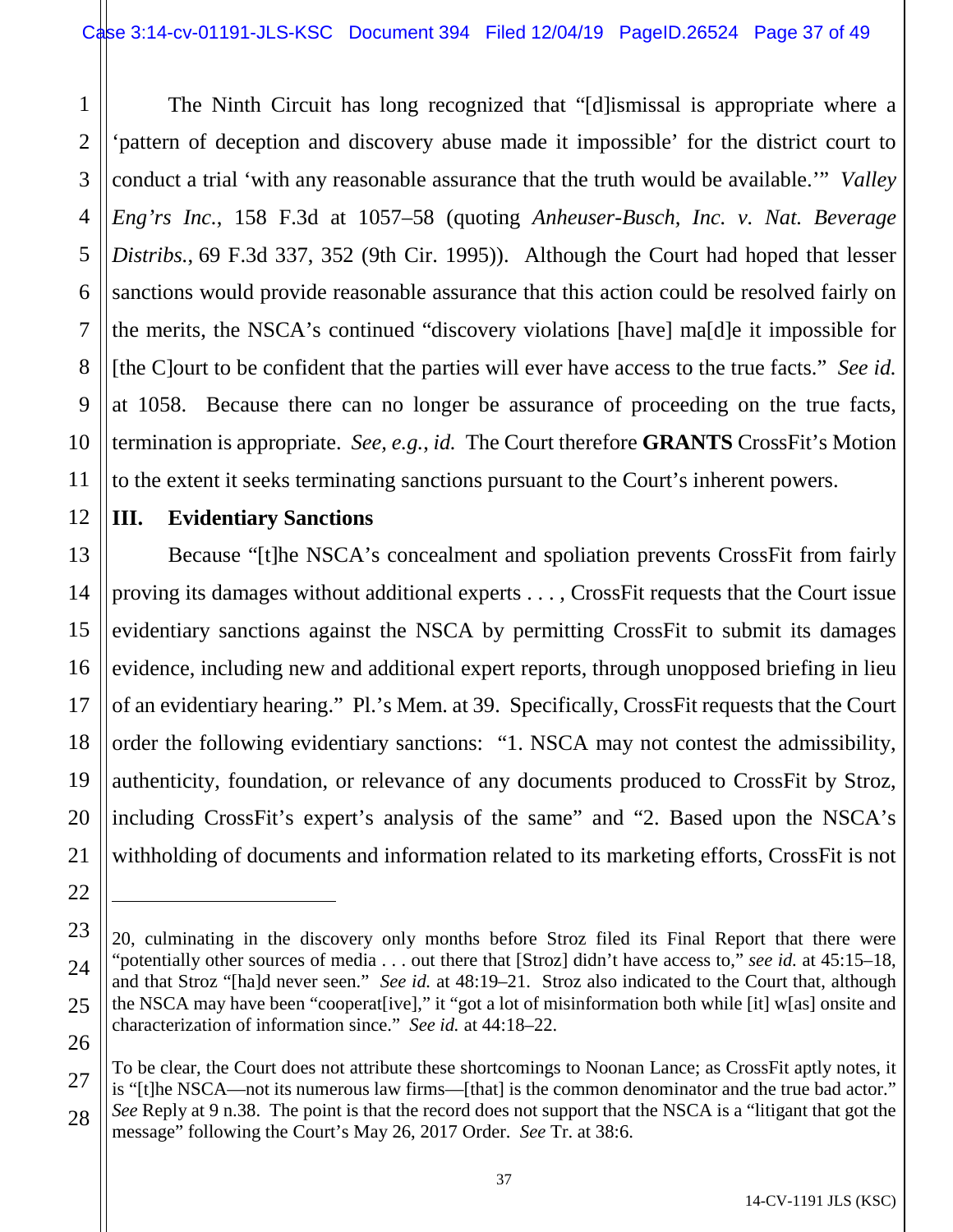1 2 3 4 5 6 7 8 9 10 11 The Ninth Circuit has long recognized that "[d]ismissal is appropriate where a 'pattern of deception and discovery abuse made it impossible' for the district court to conduct a trial 'with any reasonable assurance that the truth would be available.'" *Valley Eng'rs Inc.*, 158 F.3d at 1057–58 (quoting *Anheuser-Busch, Inc. v. Nat. Beverage Distribs.*, 69 F.3d 337, 352 (9th Cir. 1995)). Although the Court had hoped that lesser sanctions would provide reasonable assurance that this action could be resolved fairly on the merits, the NSCA's continued "discovery violations [have] ma[d]e it impossible for [the C]ourt to be confident that the parties will ever have access to the true facts." *See id.* at 1058. Because there can no longer be assurance of proceeding on the true facts, termination is appropriate. *See, e.g.*, *id.* The Court therefore **GRANTS** CrossFit's Motion to the extent it seeks terminating sanctions pursuant to the Court's inherent powers.

# **III. Evidentiary Sanctions**

12

13

15

17

18

21

22

 $\overline{a}$ 

27

14 16 19 20 Because "[t]he NSCA's concealment and spoliation prevents CrossFit from fairly proving its damages without additional experts . . . , CrossFit requests that the Court issue evidentiary sanctions against the NSCA by permitting CrossFit to submit its damages evidence, including new and additional expert reports, through unopposed briefing in lieu of an evidentiary hearing." Pl.'s Mem. at 39. Specifically, CrossFit requests that the Court order the following evidentiary sanctions: "1. NSCA may not contest the admissibility, authenticity, foundation, or relevance of any documents produced to CrossFit by Stroz, including CrossFit's expert's analysis of the same" and "2. Based upon the NSCA's withholding of documents and information related to its marketing efforts, CrossFit is not

<sup>23</sup> 24 25 26 20, culminating in the discovery only months before Stroz filed its Final Report that there were "potentially other sources of media . . . out there that [Stroz] didn't have access to," *see id.* at 45:15–18, and that Stroz "[ha]d never seen." *See id.* at 48:19–21. Stroz also indicated to the Court that, although the NSCA may have been "cooperat[ive]," it "got a lot of misinformation both while [it] w[as] onsite and characterization of information since." *See id.* at 44:18–22.

<sup>28</sup> To be clear, the Court does not attribute these shortcomings to Noonan Lance; as CrossFit aptly notes, it is "[t]he NSCA—not its numerous law firms—[that] is the common denominator and the true bad actor." *See* Reply at 9 n.38. The point is that the record does not support that the NSCA is a "litigant that got the message" following the Court's May 26, 2017 Order. *See* Tr. at 38:6.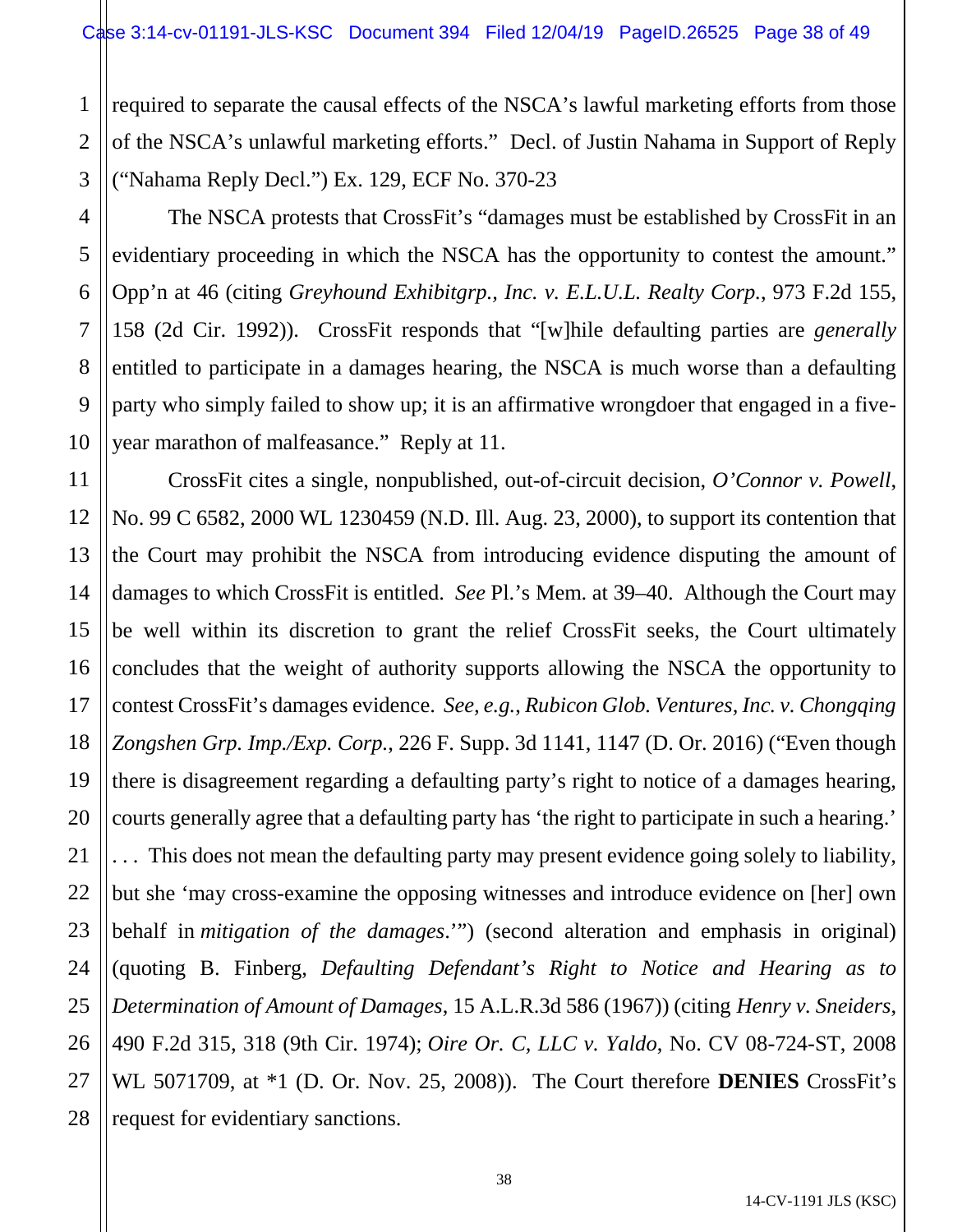1 2 3 required to separate the causal effects of the NSCA's lawful marketing efforts from those of the NSCA's unlawful marketing efforts." Decl. of Justin Nahama in Support of Reply ("Nahama Reply Decl.") Ex. 129, ECF No. 370-23

The NSCA protests that CrossFit's "damages must be established by CrossFit in an evidentiary proceeding in which the NSCA has the opportunity to contest the amount." Opp'n at 46 (citing *Greyhound Exhibitgrp., Inc. v. E.L.U.L. Realty Corp.*, 973 F.2d 155, 158 (2d Cir. 1992)). CrossFit responds that "[w]hile defaulting parties are *generally* entitled to participate in a damages hearing, the NSCA is much worse than a defaulting party who simply failed to show up; it is an affirmative wrongdoer that engaged in a fiveyear marathon of malfeasance." Reply at 11.

CrossFit cites a single, nonpublished, out-of-circuit decision, *O'Connor v. Powell*, No. 99 C 6582, 2000 WL 1230459 (N.D. Ill. Aug. 23, 2000), to support its contention that the Court may prohibit the NSCA from introducing evidence disputing the amount of damages to which CrossFit is entitled. *See* Pl.'s Mem. at 39–40. Although the Court may be well within its discretion to grant the relief CrossFit seeks, the Court ultimately concludes that the weight of authority supports allowing the NSCA the opportunity to contest CrossFit's damages evidence. *See, e.g.*, *Rubicon Glob. Ventures, Inc. v. Chongqing Zongshen Grp. Imp./Exp. Corp.*, 226 F. Supp. 3d 1141, 1147 (D. Or. 2016) ("Even though there is disagreement regarding a defaulting party's right to notice of a damages hearing, courts generally agree that a defaulting party has 'the right to participate in such a hearing.' . . . This does not mean the defaulting party may present evidence going solely to liability, but she 'may cross-examine the opposing witnesses and introduce evidence on [her] own behalf in *mitigation of the damages*.'") (second alteration and emphasis in original) (quoting B. Finberg, *Defaulting Defendant's Right to Notice and Hearing as to Determination of Amount of Damages*, 15 A.L.R.3d 586 (1967)) (citing *Henry v. Sneiders*, 490 F.2d 315, 318 (9th Cir. 1974); *Oire Or. C, LLC v. Yaldo*, No. CV 08-724-ST, 2008 WL 5071709, at \*1 (D. Or. Nov. 25, 2008)). The Court therefore **DENIES** CrossFit's request for evidentiary sanctions.

4

5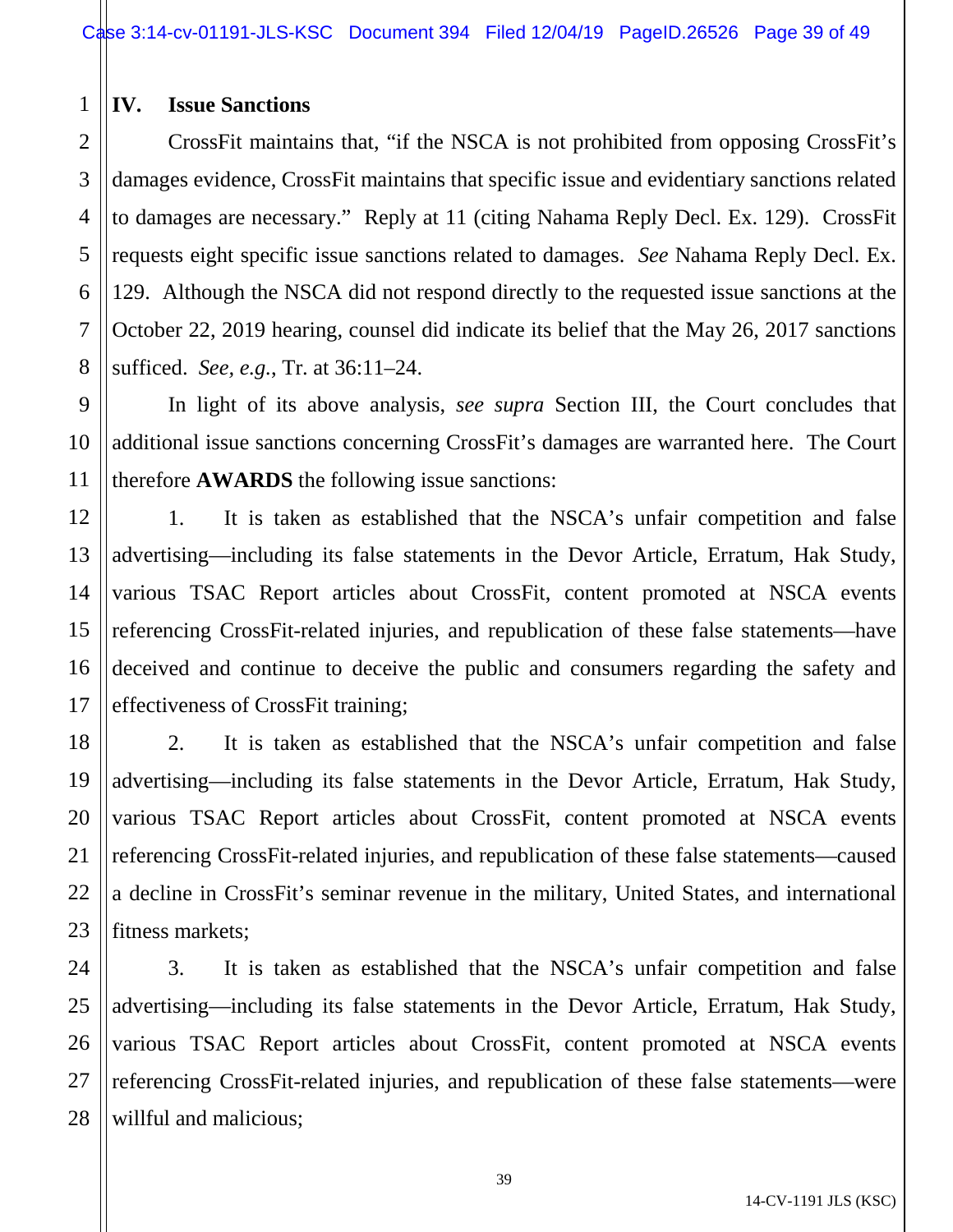## 1 **IV. Issue Sanctions**

CrossFit maintains that, "if the NSCA is not prohibited from opposing CrossFit's damages evidence, CrossFit maintains that specific issue and evidentiary sanctions related to damages are necessary." Reply at 11 (citing Nahama Reply Decl. Ex. 129). CrossFit requests eight specific issue sanctions related to damages. *See* Nahama Reply Decl. Ex. 129. Although the NSCA did not respond directly to the requested issue sanctions at the October 22, 2019 hearing, counsel did indicate its belief that the May 26, 2017 sanctions sufficed. *See, e.g.*, Tr. at 36:11–24.

In light of its above analysis, *see supra* Section III, the Court concludes that additional issue sanctions concerning CrossFit's damages are warranted here. The Court therefore **AWARDS** the following issue sanctions:

1. It is taken as established that the NSCA's unfair competition and false advertising—including its false statements in the Devor Article, Erratum, Hak Study, various TSAC Report articles about CrossFit, content promoted at NSCA events referencing CrossFit-related injuries, and republication of these false statements—have deceived and continue to deceive the public and consumers regarding the safety and effectiveness of CrossFit training;

2. It is taken as established that the NSCA's unfair competition and false advertising—including its false statements in the Devor Article, Erratum, Hak Study, various TSAC Report articles about CrossFit, content promoted at NSCA events referencing CrossFit-related injuries, and republication of these false statements—caused a decline in CrossFit's seminar revenue in the military, United States, and international fitness markets;

3. It is taken as established that the NSCA's unfair competition and false advertising—including its false statements in the Devor Article, Erratum, Hak Study, various TSAC Report articles about CrossFit, content promoted at NSCA events referencing CrossFit-related injuries, and republication of these false statements—were willful and malicious;

2

3

4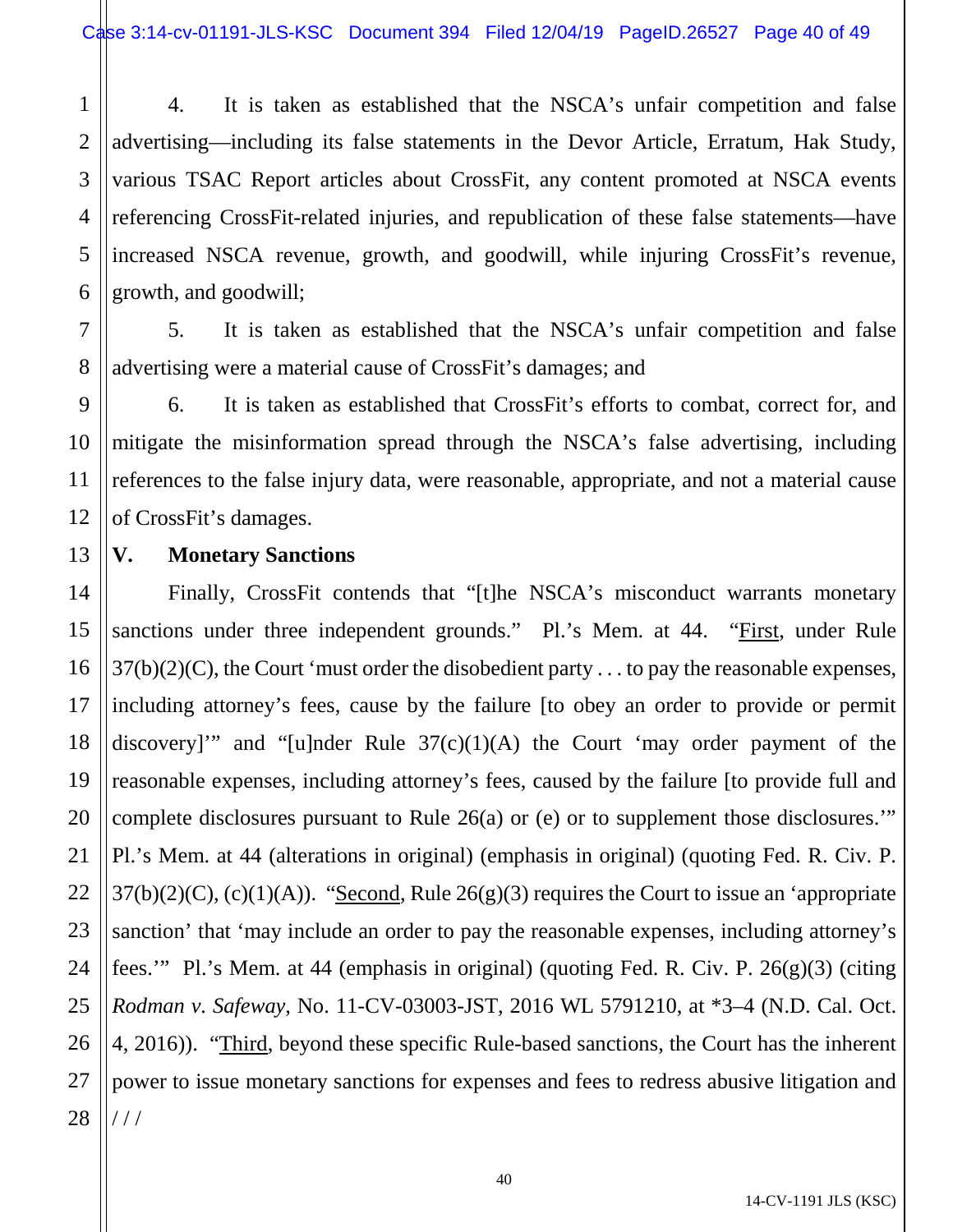1 2 3 4 5 6 4. It is taken as established that the NSCA's unfair competition and false advertising—including its false statements in the Devor Article, Erratum, Hak Study, various TSAC Report articles about CrossFit, any content promoted at NSCA events referencing CrossFit-related injuries, and republication of these false statements—have increased NSCA revenue, growth, and goodwill, while injuring CrossFit's revenue, growth, and goodwill;

7 8 5. It is taken as established that the NSCA's unfair competition and false advertising were a material cause of CrossFit's damages; and

6. It is taken as established that CrossFit's efforts to combat, correct for, and mitigate the misinformation spread through the NSCA's false advertising, including references to the false injury data, were reasonable, appropriate, and not a material cause of CrossFit's damages.

## 13 **V. Monetary Sanctions**

9

10

11

12

14 15 16 17 18 19 20 21 22 23 24 25 26 27 28 Finally, CrossFit contends that "[t]he NSCA's misconduct warrants monetary sanctions under three independent grounds." Pl.'s Mem. at 44. "First, under Rule  $37(b)(2)(C)$ , the Court 'must order the disobedient party . . . to pay the reasonable expenses, including attorney's fees, cause by the failure [to obey an order to provide or permit discovery]" and "[u]nder Rule  $37(c)(1)(A)$  the Court 'may order payment of the reasonable expenses, including attorney's fees, caused by the failure [to provide full and complete disclosures pursuant to Rule 26(a) or (e) or to supplement those disclosures.'" Pl.'s Mem. at 44 (alterations in original) (emphasis in original) (quoting Fed. R. Civ. P.  $37(b)(2)(C)$ , (c)(1)(A)). "Second, Rule  $26(g)(3)$  requires the Court to issue an 'appropriate sanction' that 'may include an order to pay the reasonable expenses, including attorney's fees.'" Pl.'s Mem. at 44 (emphasis in original) (quoting Fed. R. Civ. P. 26(g)(3) (citing *Rodman v. Safeway*, No. 11-CV-03003-JST, 2016 WL 5791210, at \*3–4 (N.D. Cal. Oct. 4, 2016)). "Third, beyond these specific Rule-based sanctions, the Court has the inherent power to issue monetary sanctions for expenses and fees to redress abusive litigation and / / /

14-CV-1191 JLS (KSC)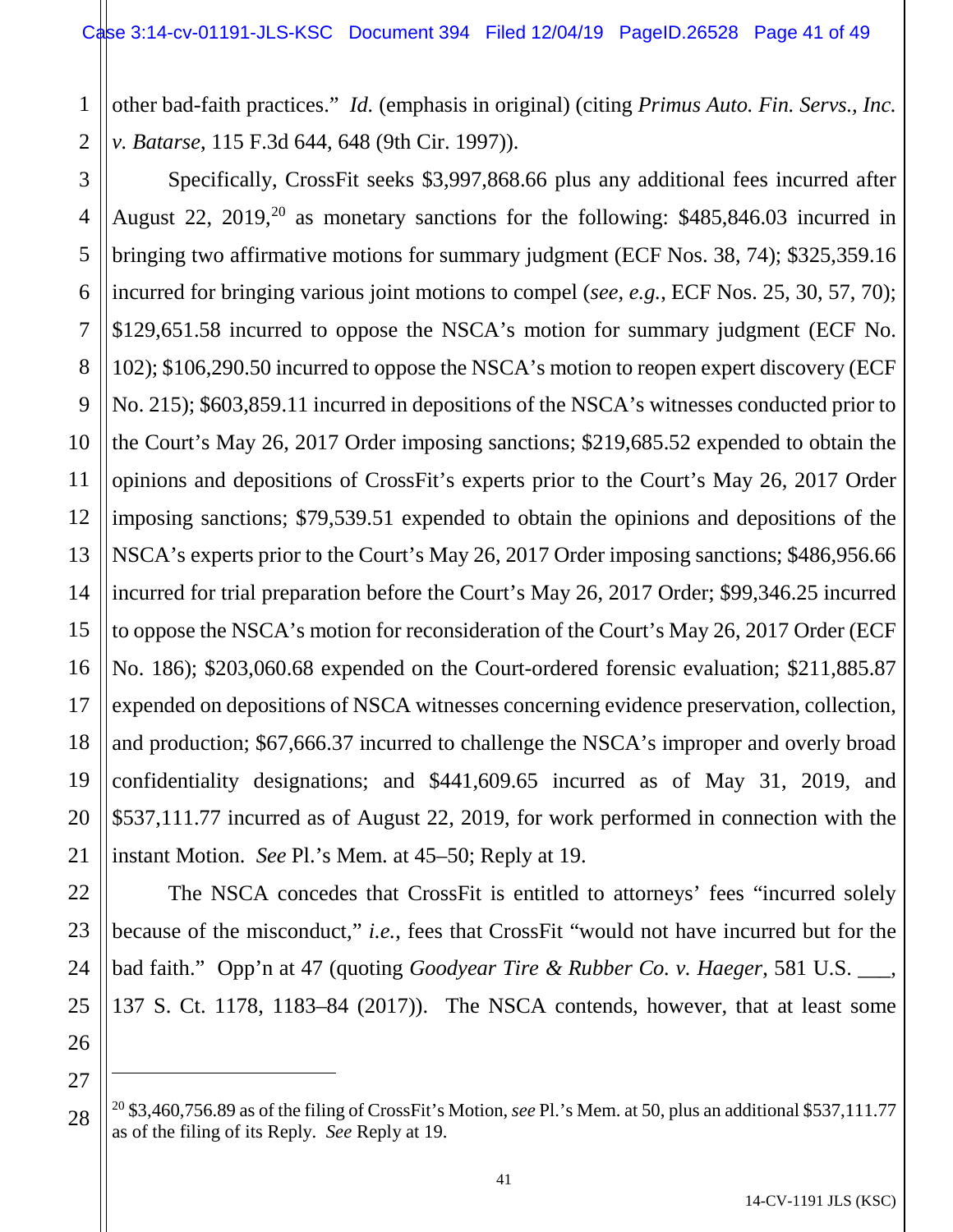1 2 other bad-faith practices." *Id.* (emphasis in original) (citing *Primus Auto. Fin. Servs., Inc. v. Batarse*, 115 F.3d 644, 648 (9th Cir. 1997)).

3 4 5 6 7 8 9 10 11 12 13 14 15 16 17 18 19 20 21 Specifically, CrossFit seeks \$3,997,868.66 plus any additional fees incurred after August 22, 2019,<sup>20</sup> as monetary sanctions for the following:  $$485,846.03$  incurred in bringing two affirmative motions for summary judgment (ECF Nos. 38, 74); \$325,359.16 incurred for bringing various joint motions to compel (*see, e.g.*, ECF Nos. 25, 30, 57, 70); \$129,651.58 incurred to oppose the NSCA's motion for summary judgment (ECF No. 102); \$106,290.50 incurred to oppose the NSCA's motion to reopen expert discovery (ECF No. 215); \$603,859.11 incurred in depositions of the NSCA's witnesses conducted prior to the Court's May 26, 2017 Order imposing sanctions; \$219,685.52 expended to obtain the opinions and depositions of CrossFit's experts prior to the Court's May 26, 2017 Order imposing sanctions; \$79,539.51 expended to obtain the opinions and depositions of the NSCA's experts prior to the Court's May 26, 2017 Order imposing sanctions; \$486,956.66 incurred for trial preparation before the Court's May 26, 2017 Order; \$99,346.25 incurred to oppose the NSCA's motion for reconsideration of the Court's May 26, 2017 Order (ECF No. 186); \$203,060.68 expended on the Court-ordered forensic evaluation; \$211,885.87 expended on depositions of NSCA witnesses concerning evidence preservation, collection, and production; \$67,666.37 incurred to challenge the NSCA's improper and overly broad confidentiality designations; and \$441,609.65 incurred as of May 31, 2019, and \$537,111.77 incurred as of August 22, 2019, for work performed in connection with the instant Motion. *See* Pl.'s Mem. at 45–50; Reply at 19.

The NSCA concedes that CrossFit is entitled to attorneys' fees "incurred solely because of the misconduct," *i.e.*, fees that CrossFit "would not have incurred but for the bad faith." Opp'n at 47 (quoting *Goodyear Tire & Rubber Co. v. Haeger*, 581 U.S. \_\_\_, 137 S. Ct. 1178, 1183–84 (2017)). The NSCA contends, however, that at least some

22

23

24

25

26

27

 $\overline{a}$ 

<span id="page-40-0"></span><sup>28</sup> <sup>20</sup> \$3,460,756.89 as of the filing of CrossFit's Motion, *see* Pl.'s Mem. at 50, plus an additional \$537,111.77 as of the filing of its Reply. *See* Reply at 19.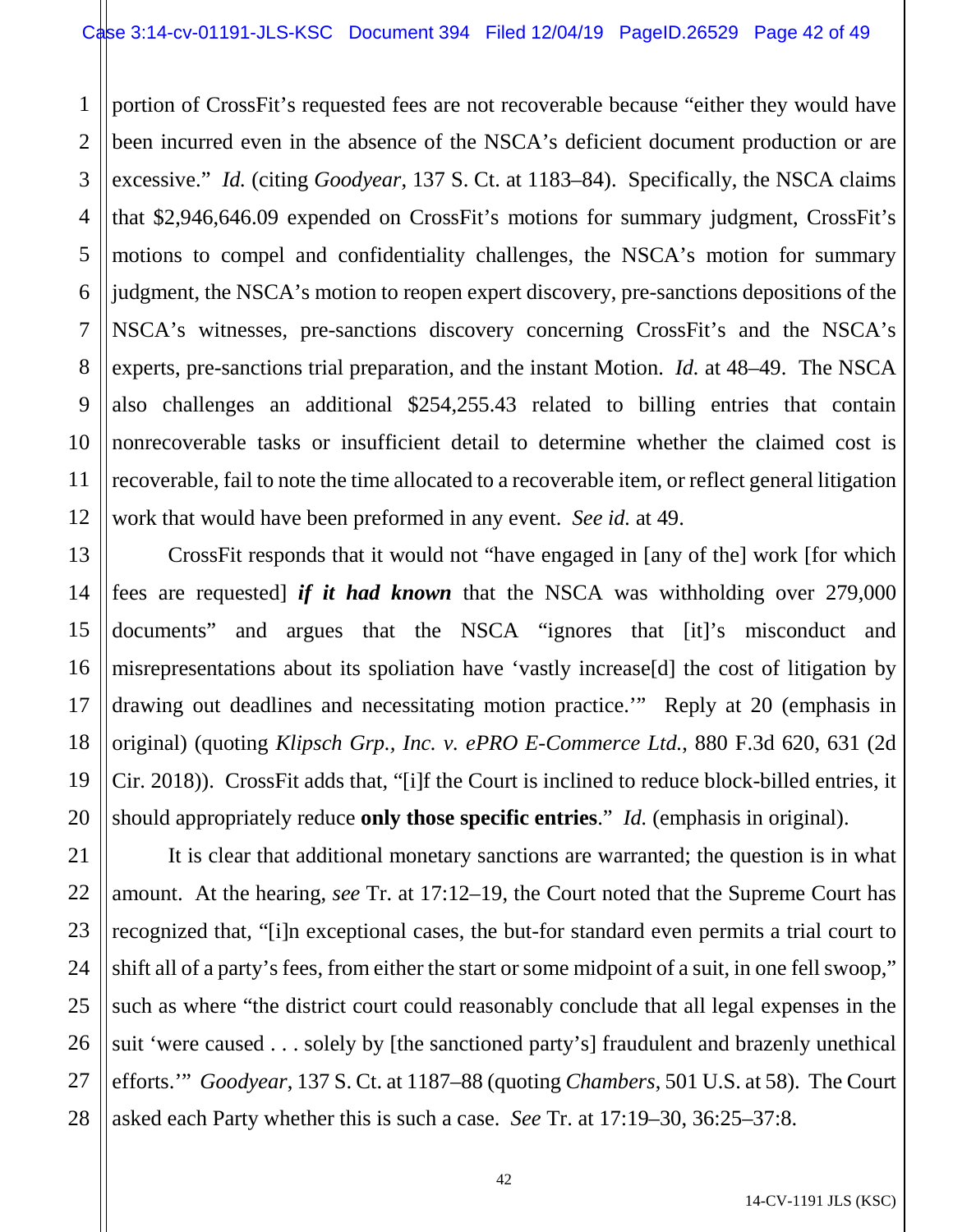1 2 3 4 5 6 7 8 9 10 11 12 portion of CrossFit's requested fees are not recoverable because "either they would have been incurred even in the absence of the NSCA's deficient document production or are excessive." *Id.* (citing *Goodyear*, 137 S. Ct. at 1183–84). Specifically, the NSCA claims that \$2,946,646.09 expended on CrossFit's motions for summary judgment, CrossFit's motions to compel and confidentiality challenges, the NSCA's motion for summary judgment, the NSCA's motion to reopen expert discovery, pre-sanctions depositions of the NSCA's witnesses, pre-sanctions discovery concerning CrossFit's and the NSCA's experts, pre-sanctions trial preparation, and the instant Motion. *Id.* at 48–49. The NSCA also challenges an additional \$254,255.43 related to billing entries that contain nonrecoverable tasks or insufficient detail to determine whether the claimed cost is recoverable, fail to note the time allocated to a recoverable item, or reflect general litigation work that would have been preformed in any event. *See id.* at 49.

13 14 15 16 17 18 19 20 CrossFit responds that it would not "have engaged in [any of the] work [for which fees are requested] *if it had known* that the NSCA was withholding over 279,000 documents" and argues that the NSCA "ignores that [it]'s misconduct and misrepresentations about its spoliation have 'vastly increase[d] the cost of litigation by drawing out deadlines and necessitating motion practice.'" Reply at 20 (emphasis in original) (quoting *Klipsch Grp., Inc. v. ePRO E-Commerce Ltd.*, 880 F.3d 620, 631 (2d Cir. 2018)). CrossFit adds that, "[i]f the Court is inclined to reduce block-billed entries, it should appropriately reduce **only those specific entries**." *Id.* (emphasis in original).

22 23 24 25 26 27 28 It is clear that additional monetary sanctions are warranted; the question is in what amount. At the hearing, *see* Tr. at 17:12–19, the Court noted that the Supreme Court has recognized that, "[i]n exceptional cases, the but-for standard even permits a trial court to shift all of a party's fees, from either the start or some midpoint of a suit, in one fell swoop," such as where "the district court could reasonably conclude that all legal expenses in the suit 'were caused . . . solely by [the sanctioned party's] fraudulent and brazenly unethical efforts.'" *Goodyear*, 137 S. Ct. at 1187–88 (quoting *Chambers*, 501 U.S. at 58). The Court asked each Party whether this is such a case. *See* Tr. at 17:19–30, 36:25–37:8.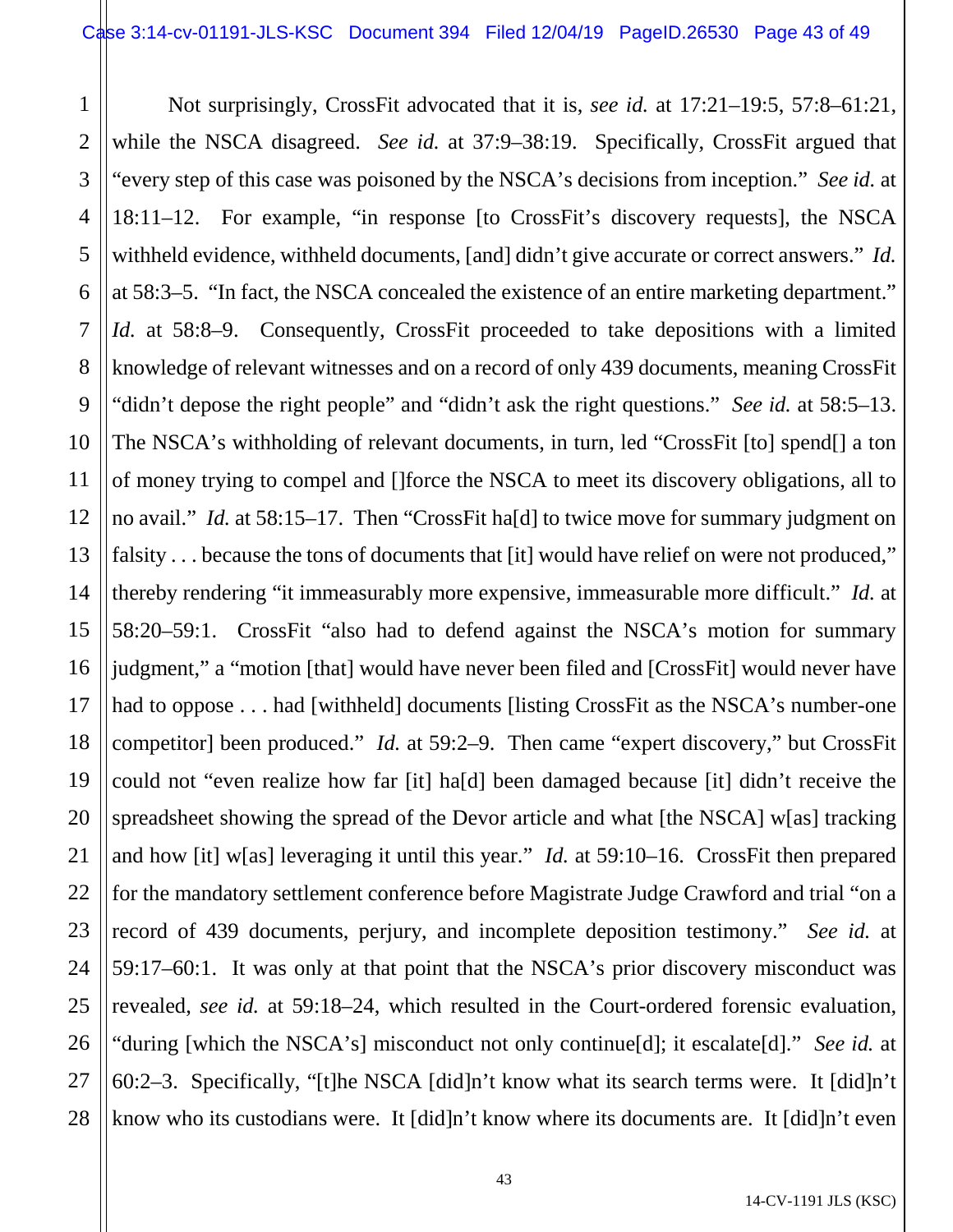1 2 3 4 5 6 7 8 9 10 11 12 13 14 15 16 17 18 19 20 21 22 23 24 25 26 27 28 Not surprisingly, CrossFit advocated that it is, *see id.* at 17:21–19:5, 57:8–61:21, while the NSCA disagreed. *See id.* at 37:9–38:19. Specifically, CrossFit argued that "every step of this case was poisoned by the NSCA's decisions from inception." *See id.* at 18:11–12. For example, "in response [to CrossFit's discovery requests], the NSCA withheld evidence, withheld documents, [and] didn't give accurate or correct answers." *Id.* at 58:3–5. "In fact, the NSCA concealed the existence of an entire marketing department." *Id.* at 58:8–9. Consequently, CrossFit proceeded to take depositions with a limited knowledge of relevant witnesses and on a record of only 439 documents, meaning CrossFit "didn't depose the right people" and "didn't ask the right questions." *See id.* at 58:5–13. The NSCA's withholding of relevant documents, in turn, led "CrossFit [to] spend[] a ton of money trying to compel and []force the NSCA to meet its discovery obligations, all to no avail." *Id.* at 58:15–17. Then "CrossFit ha[d] to twice move for summary judgment on falsity . . . because the tons of documents that [it] would have relief on were not produced," thereby rendering "it immeasurably more expensive, immeasurable more difficult." *Id.* at 58:20–59:1. CrossFit "also had to defend against the NSCA's motion for summary judgment," a "motion [that] would have never been filed and [CrossFit] would never have had to oppose . . . had [withheld] documents [listing CrossFit as the NSCA's number-one competitor] been produced." *Id.* at 59:2–9. Then came "expert discovery," but CrossFit could not "even realize how far [it] ha[d] been damaged because [it] didn't receive the spreadsheet showing the spread of the Devor article and what [the NSCA] w[as] tracking and how [it] w[as] leveraging it until this year." *Id.* at 59:10–16. CrossFit then prepared for the mandatory settlement conference before Magistrate Judge Crawford and trial "on a record of 439 documents, perjury, and incomplete deposition testimony." *See id.* at 59:17–60:1. It was only at that point that the NSCA's prior discovery misconduct was revealed, *see id.* at 59:18–24, which resulted in the Court-ordered forensic evaluation, "during [which the NSCA's] misconduct not only continue[d]; it escalate[d]." *See id.* at 60:2–3. Specifically, "[t]he NSCA [did]n't know what its search terms were. It [did]n't know who its custodians were. It [did]n't know where its documents are. It [did]n't even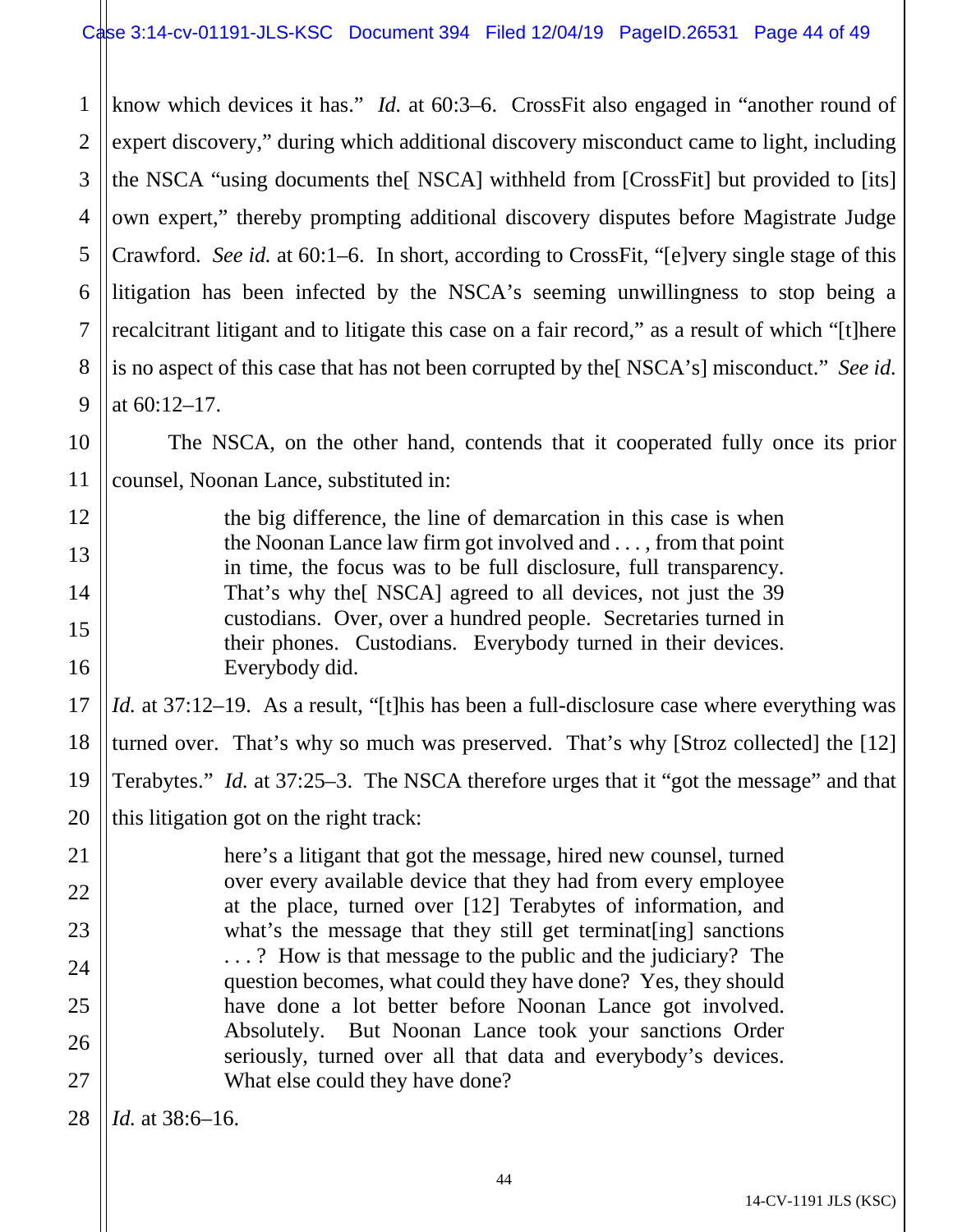1 2 3 4 5 6 7 8 9 know which devices it has." *Id.* at 60:3–6. CrossFit also engaged in "another round of expert discovery," during which additional discovery misconduct came to light, including the NSCA "using documents the[ NSCA] withheld from [CrossFit] but provided to [its] own expert," thereby prompting additional discovery disputes before Magistrate Judge Crawford. *See id.* at 60:1–6. In short, according to CrossFit, "[e]very single stage of this litigation has been infected by the NSCA's seeming unwillingness to stop being a recalcitrant litigant and to litigate this case on a fair record," as a result of which "[t]here is no aspect of this case that has not been corrupted by the[ NSCA's] misconduct." *See id.* at 60:12–17.

The NSCA, on the other hand, contends that it cooperated fully once its prior counsel, Noonan Lance, substituted in:

the big difference, the line of demarcation in this case is when the Noonan Lance law firm got involved and . . . , from that point in time, the focus was to be full disclosure, full transparency. That's why the[ NSCA] agreed to all devices, not just the 39 custodians. Over, over a hundred people. Secretaries turned in their phones. Custodians. Everybody turned in their devices. Everybody did.

17 18 19 20 *Id.* at 37:12–19. As a result, "[t]his has been a full-disclosure case where everything was turned over. That's why so much was preserved. That's why [Stroz collected] the [12] Terabytes." *Id.* at 37:25–3. The NSCA therefore urges that it "got the message" and that this litigation got on the right track:

here's a litigant that got the message, hired new counsel, turned over every available device that they had from every employee at the place, turned over [12] Terabytes of information, and what's the message that they still get terminat [ing] sanctions . . . ? How is that message to the public and the judiciary? The question becomes, what could they have done? Yes, they should have done a lot better before Noonan Lance got involved. Absolutely. But Noonan Lance took your sanctions Order seriously, turned over all that data and everybody's devices. What else could they have done?

28 *Id.* at 38:6–16.

10

11

12

13

14

15

16

21

22

23

24

25

26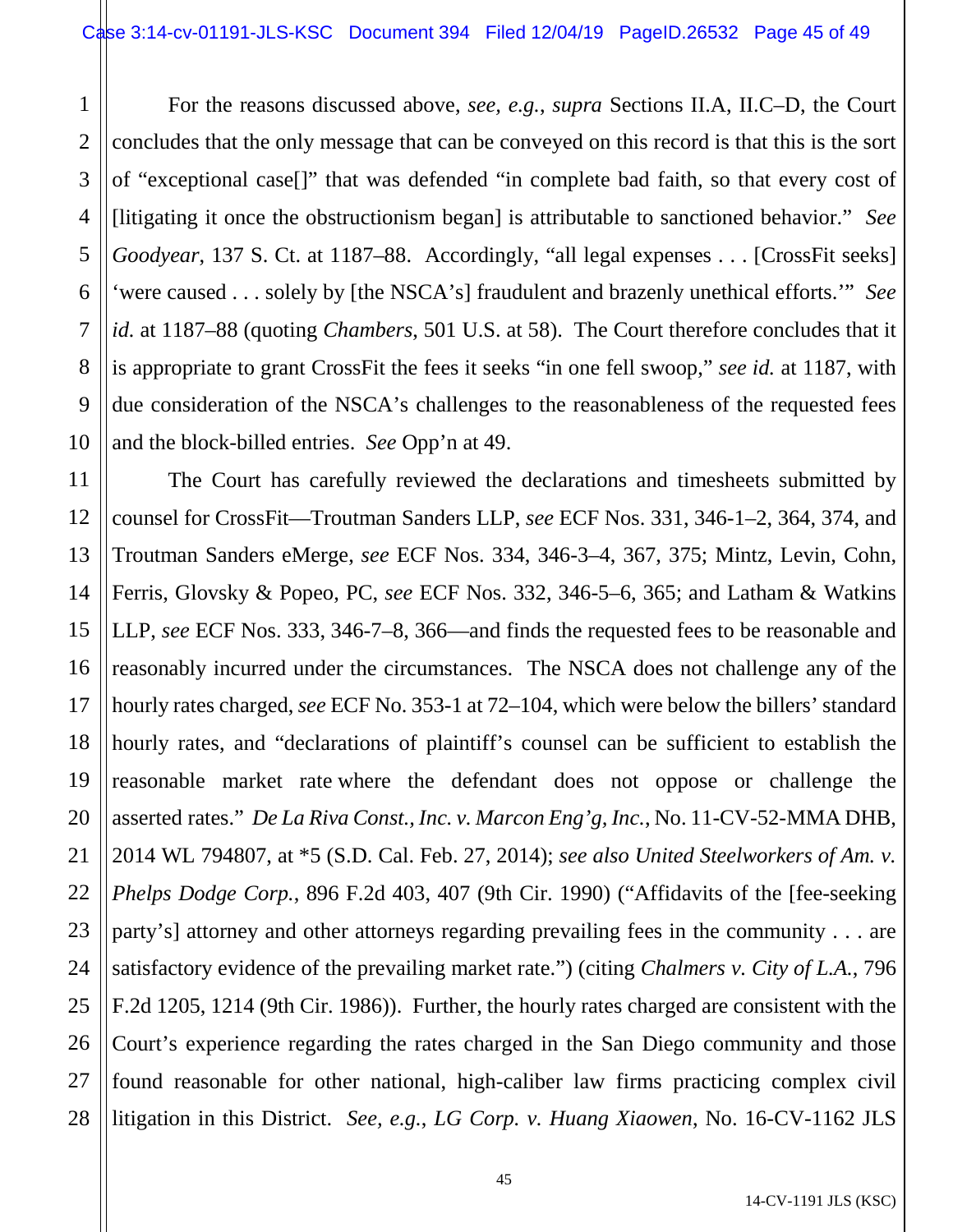1 2 3 4 5 6 7 8 9 10 For the reasons discussed above, *see, e.g.*, *supra* Sections II.A, II.C–D, the Court concludes that the only message that can be conveyed on this record is that this is the sort of "exceptional case[]" that was defended "in complete bad faith, so that every cost of [litigating it once the obstructionism began] is attributable to sanctioned behavior." *See Goodyear*, 137 S. Ct. at 1187–88. Accordingly, "all legal expenses . . . [CrossFit seeks] 'were caused . . . solely by [the NSCA's] fraudulent and brazenly unethical efforts.'" *See id.* at 1187–88 (quoting *Chambers*, 501 U.S. at 58). The Court therefore concludes that it is appropriate to grant CrossFit the fees it seeks "in one fell swoop," *see id.* at 1187, with due consideration of the NSCA's challenges to the reasonableness of the requested fees and the block-billed entries. *See* Opp'n at 49.

11 12 13 14 15 16 17 18 19 20 21 22 23 24 25 26 27 28 The Court has carefully reviewed the declarations and timesheets submitted by counsel for CrossFit—Troutman Sanders LLP, *see* ECF Nos. 331, 346-1–2, 364, 374, and Troutman Sanders eMerge, *see* ECF Nos. 334, 346-3–4, 367, 375; Mintz, Levin, Cohn, Ferris, Glovsky & Popeo, PC, *see* ECF Nos. 332, 346-5–6, 365; and Latham & Watkins LLP, *see* ECF Nos. 333, 346-7–8, 366—and finds the requested fees to be reasonable and reasonably incurred under the circumstances. The NSCA does not challenge any of the hourly rates charged, *see* ECF No. 353-1 at 72–104, which were below the billers' standard hourly rates, and "declarations of plaintiff's counsel can be sufficient to establish the reasonable market rate where the defendant does not oppose or challenge the asserted rates." *De La Riva Const., Inc. v. Marcon Eng'g, Inc.*, No. 11-CV-52-MMA DHB, 2014 WL 794807, at \*5 (S.D. Cal. Feb. 27, 2014); *see also United Steelworkers of Am. v. Phelps Dodge Corp.*, 896 F.2d 403, 407 (9th Cir. 1990) ("Affidavits of the [fee-seeking party's] attorney and other attorneys regarding prevailing fees in the community . . . are satisfactory evidence of the prevailing market rate.") (citing *Chalmers v. City of L.A.*, 796 F.2d 1205, 1214 (9th Cir. 1986)). Further, the hourly rates charged are consistent with the Court's experience regarding the rates charged in the San Diego community and those found reasonable for other national, high-caliber law firms practicing complex civil litigation in this District. *See, e.g.*, *LG Corp. v. Huang Xiaowen*, No. 16-CV-1162 JLS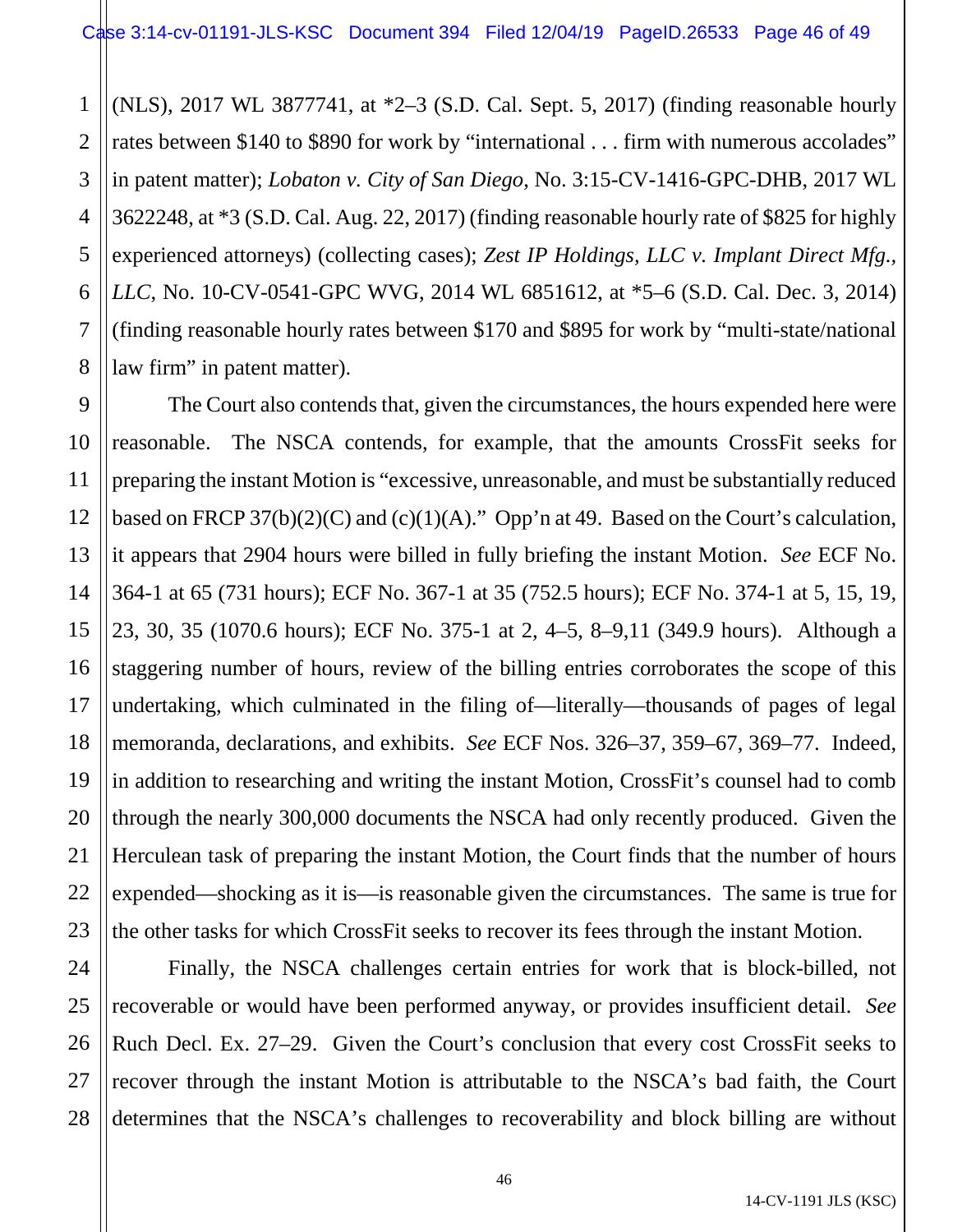1 2 3 4 5 6 7 8 (NLS), 2017 WL 3877741, at \*2–3 (S.D. Cal. Sept. 5, 2017) (finding reasonable hourly rates between \$140 to \$890 for work by "international . . . firm with numerous accolades" in patent matter); *Lobaton v. City of San Diego*, No. 3:15-CV-1416-GPC-DHB, 2017 WL 3622248, at \*3 (S.D. Cal. Aug. 22, 2017) (finding reasonable hourly rate of \$825 for highly experienced attorneys) (collecting cases); *Zest IP Holdings, LLC v. Implant Direct Mfg., LLC*, No. 10-CV-0541-GPC WVG, 2014 WL 6851612, at \*5–6 (S.D. Cal. Dec. 3, 2014) (finding reasonable hourly rates between \$170 and \$895 for work by "multi-state/national law firm" in patent matter).

9 10 11 12 13 14 15 16 17 18 19 20 21 22 23 The Court also contends that, given the circumstances, the hours expended here were reasonable. The NSCA contends, for example, that the amounts CrossFit seeks for preparing the instant Motion is "excessive, unreasonable, and must be substantially reduced based on FRCP 37(b)(2)(C) and (c)(1)(A)." Opp'n at 49. Based on the Court's calculation, it appears that 2904 hours were billed in fully briefing the instant Motion. *See* ECF No. 364-1 at 65 (731 hours); ECF No. 367-1 at 35 (752.5 hours); ECF No. 374-1 at 5, 15, 19, 23, 30, 35 (1070.6 hours); ECF No. 375-1 at 2, 4–5, 8–9,11 (349.9 hours). Although a staggering number of hours, review of the billing entries corroborates the scope of this undertaking, which culminated in the filing of—literally—thousands of pages of legal memoranda, declarations, and exhibits. *See* ECF Nos. 326–37, 359–67, 369–77. Indeed, in addition to researching and writing the instant Motion, CrossFit's counsel had to comb through the nearly 300,000 documents the NSCA had only recently produced. Given the Herculean task of preparing the instant Motion, the Court finds that the number of hours expended—shocking as it is—is reasonable given the circumstances. The same is true for the other tasks for which CrossFit seeks to recover its fees through the instant Motion.

24 25 26 27 28 Finally, the NSCA challenges certain entries for work that is block-billed, not recoverable or would have been performed anyway, or provides insufficient detail. *See*  Ruch Decl. Ex. 27–29. Given the Court's conclusion that every cost CrossFit seeks to recover through the instant Motion is attributable to the NSCA's bad faith, the Court determines that the NSCA's challenges to recoverability and block billing are without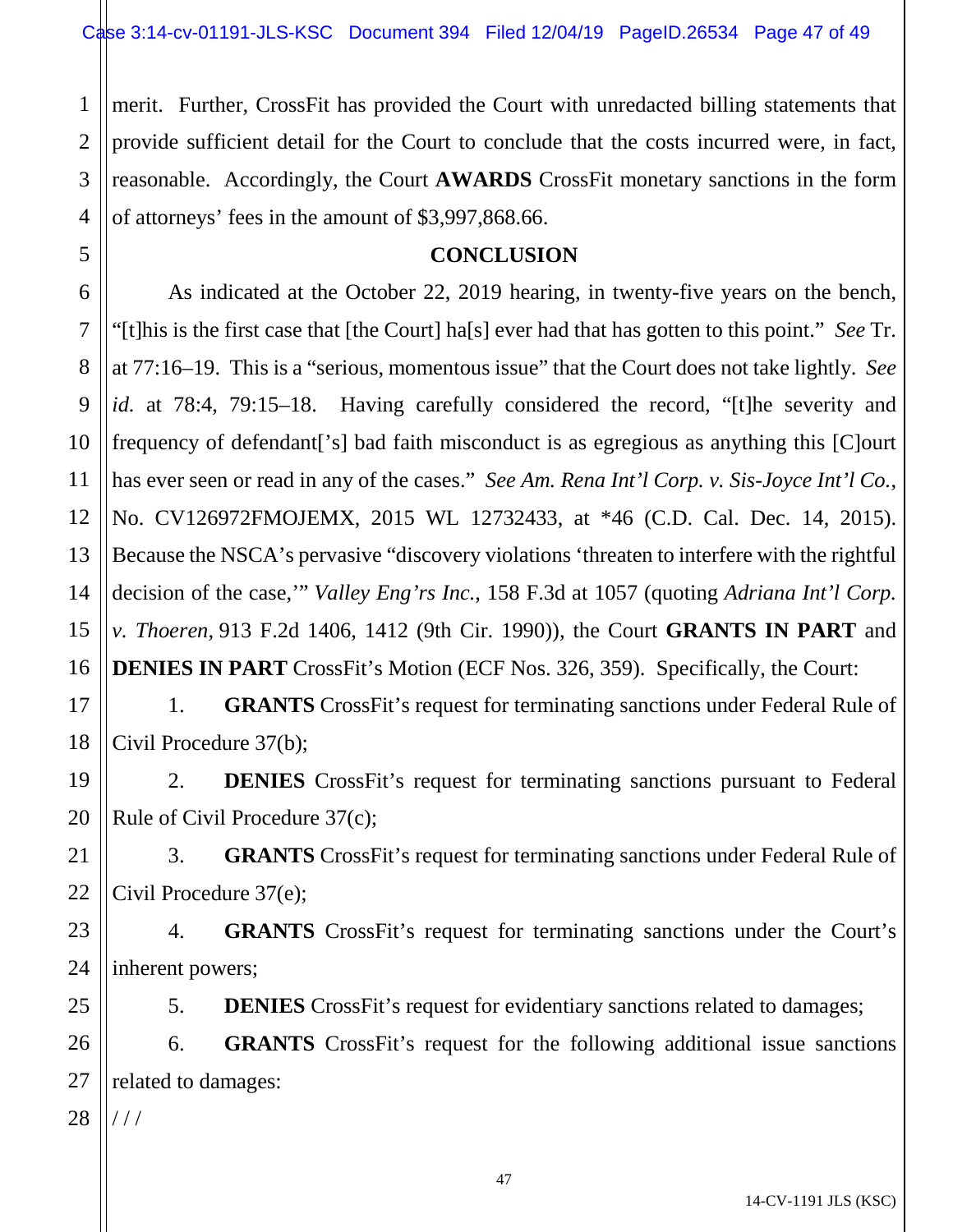1 2 3 4 merit. Further, CrossFit has provided the Court with unredacted billing statements that provide sufficient detail for the Court to conclude that the costs incurred were, in fact, reasonable. Accordingly, the Court **AWARDS** CrossFit monetary sanctions in the form of attorneys' fees in the amount of \$3,997,868.66.

# **CONCLUSION**

As indicated at the October 22, 2019 hearing, in twenty-five years on the bench, "[t]his is the first case that [the Court] ha[s] ever had that has gotten to this point." *See* Tr. at 77:16–19. This is a "serious, momentous issue" that the Court does not take lightly. *See id.* at 78:4, 79:15–18. Having carefully considered the record, "[t]he severity and frequency of defendant['s] bad faith misconduct is as egregious as anything this [C]ourt has ever seen or read in any of the cases." *See Am. Rena Int'l Corp. v. Sis-Joyce Int'l Co.*, No. CV126972FMOJEMX, 2015 WL 12732433, at \*46 (C.D. Cal. Dec. 14, 2015). Because the NSCA's pervasive "discovery violations 'threaten to interfere with the rightful decision of the case,'" *Valley Eng'rs Inc.*, 158 F.3d at 1057 (quoting *Adriana Int'l Corp. v. Thoeren*, 913 F.2d 1406, 1412 (9th Cir. 1990)), the Court **GRANTS IN PART** and **DENIES IN PART** CrossFit's Motion (ECF Nos. 326, 359). Specifically, the Court:

1. **GRANTS** CrossFit's request for terminating sanctions under Federal Rule of Civil Procedure 37(b);

19 20 2. **DENIES** CrossFit's request for terminating sanctions pursuant to Federal Rule of Civil Procedure 37(c);

21 22 3. **GRANTS** CrossFit's request for terminating sanctions under Federal Rule of Civil Procedure 37(e);

23 24 4. **GRANTS** CrossFit's request for terminating sanctions under the Court's inherent powers;

5. **DENIES** CrossFit's request for evidentiary sanctions related to damages;

26 27 6. **GRANTS** CrossFit's request for the following additional issue sanctions related to damages:

28 / / /

25

5

6

7

8

9

10

11

12

13

14

15

16

17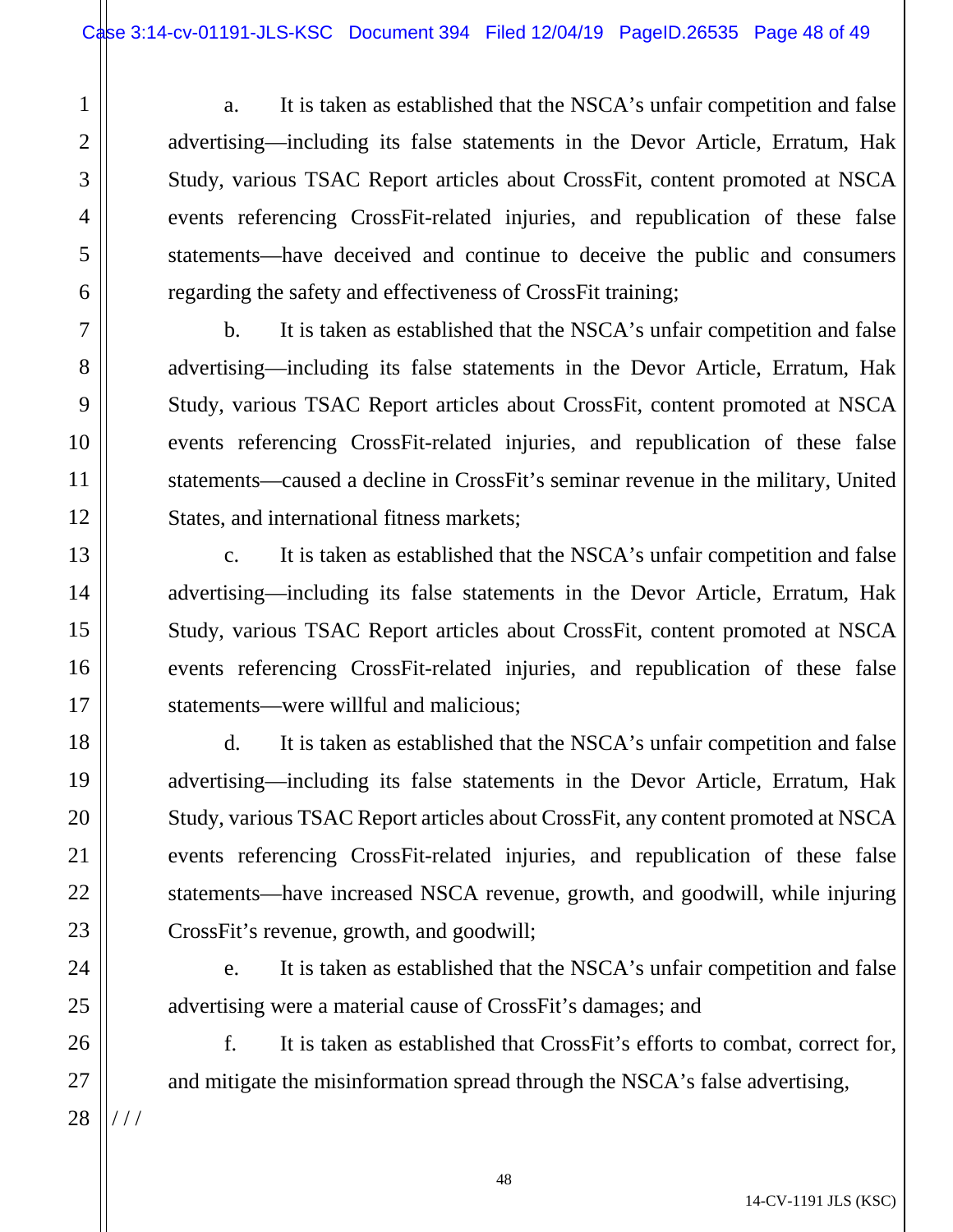a. It is taken as established that the NSCA's unfair competition and false advertising—including its false statements in the Devor Article, Erratum, Hak Study, various TSAC Report articles about CrossFit, content promoted at NSCA events referencing CrossFit-related injuries, and republication of these false statements—have deceived and continue to deceive the public and consumers regarding the safety and effectiveness of CrossFit training;

b. It is taken as established that the NSCA's unfair competition and false advertising—including its false statements in the Devor Article, Erratum, Hak Study, various TSAC Report articles about CrossFit, content promoted at NSCA events referencing CrossFit-related injuries, and republication of these false statements—caused a decline in CrossFit's seminar revenue in the military, United States, and international fitness markets;

c. It is taken as established that the NSCA's unfair competition and false advertising—including its false statements in the Devor Article, Erratum, Hak Study, various TSAC Report articles about CrossFit, content promoted at NSCA events referencing CrossFit-related injuries, and republication of these false statements—were willful and malicious;

d. It is taken as established that the NSCA's unfair competition and false advertising—including its false statements in the Devor Article, Erratum, Hak Study, various TSAC Report articles about CrossFit, any content promoted at NSCA events referencing CrossFit-related injuries, and republication of these false statements—have increased NSCA revenue, growth, and goodwill, while injuring CrossFit's revenue, growth, and goodwill;

e. It is taken as established that the NSCA's unfair competition and false advertising were a material cause of CrossFit's damages; and

f. It is taken as established that CrossFit's efforts to combat, correct for, and mitigate the misinformation spread through the NSCA's false advertising,

28 / / /

1

2

3

4

5

6

7

8

9

10

11

12

13

14

15

16

17

18

19

20

21

22

23

24

25

26